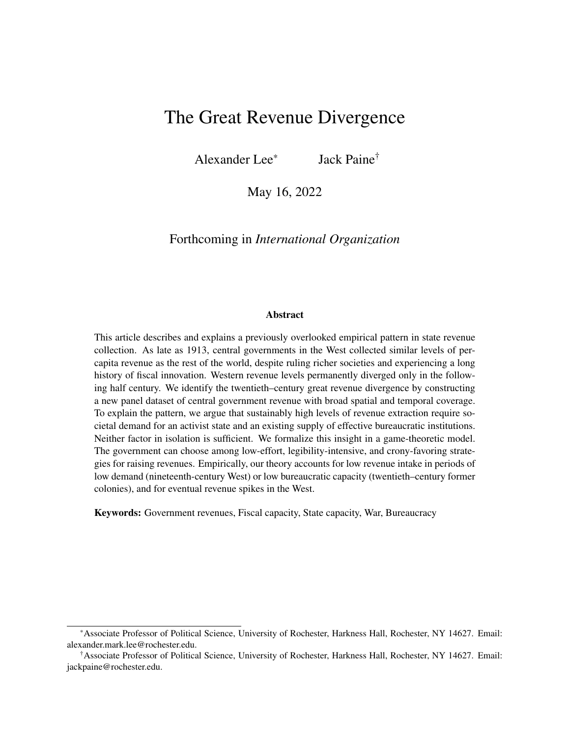# <span id="page-0-0"></span>The Great Revenue Divergence

Alexander Lee\* Jack Paine†

May 16, 2022

Forthcoming in *International Organization*

#### **Abstract**

This article describes and explains a previously overlooked empirical pattern in state revenue collection. As late as 1913, central governments in the West collected similar levels of percapita revenue as the rest of the world, despite ruling richer societies and experiencing a long history of fiscal innovation. Western revenue levels permanently diverged only in the following half century. We identify the twentieth–century great revenue divergence by constructing a new panel dataset of central government revenue with broad spatial and temporal coverage. To explain the pattern, we argue that sustainably high levels of revenue extraction require societal demand for an activist state and an existing supply of effective bureaucratic institutions. Neither factor in isolation is sufficient. We formalize this insight in a game-theoretic model. The government can choose among low-effort, legibility-intensive, and crony-favoring strategies for raising revenues. Empirically, our theory accounts for low revenue intake in periods of low demand (nineteenth-century West) or low bureaucratic capacity (twentieth–century former colonies), and for eventual revenue spikes in the West.

Keywords: Government revenues, Fiscal capacity, State capacity, War, Bureaucracy

<sup>\*</sup>Associate Professor of Political Science, University of Rochester, Harkness Hall, Rochester, NY 14627. Email: alexander.mark.lee@rochester.edu.

<sup>†</sup>Associate Professor of Political Science, University of Rochester, Harkness Hall, Rochester, NY 14627. Email: jackpaine@rochester.edu.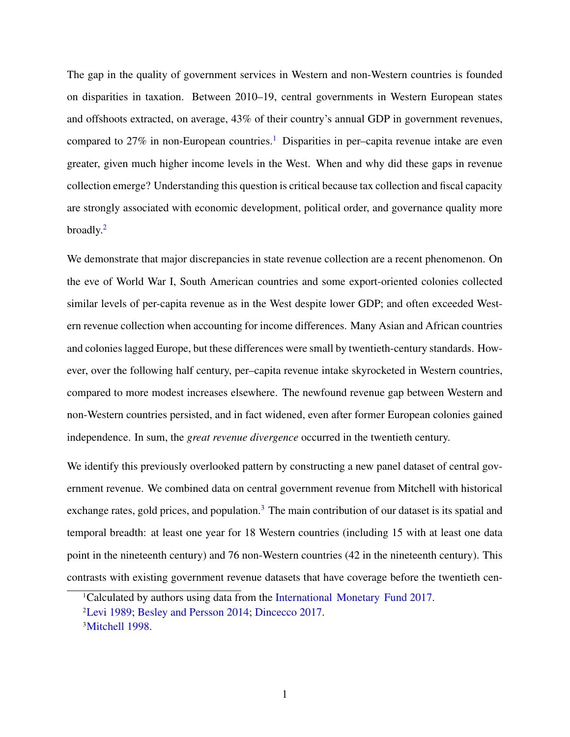The gap in the quality of government services in Western and non-Western countries is founded on disparities in taxation. Between 2010–19, central governments in Western European states and offshoots extracted, on average, 43% of their country's annual GDP in government revenues, compared to  $27\%$  in non-European countries.<sup>[1](#page-0-0)</sup> Disparities in per–capita revenue intake are even greater, given much higher income levels in the West. When and why did these gaps in revenue collection emerge? Understanding this question is critical because tax collection and fiscal capacity are strongly associated with economic development, political order, and governance quality more broadly.[2](#page-0-0)

We demonstrate that major discrepancies in state revenue collection are a recent phenomenon. On the eve of World War I, South American countries and some export-oriented colonies collected similar levels of per-capita revenue as in the West despite lower GDP; and often exceeded Western revenue collection when accounting for income differences. Many Asian and African countries and colonies lagged Europe, but these differences were small by twentieth-century standards. However, over the following half century, per–capita revenue intake skyrocketed in Western countries, compared to more modest increases elsewhere. The newfound revenue gap between Western and non-Western countries persisted, and in fact widened, even after former European colonies gained independence. In sum, the *great revenue divergence* occurred in the twentieth century.

We identify this previously overlooked pattern by constructing a new panel dataset of central government revenue. We combined data on central government revenue from Mitchell with historical exchange rates, gold prices, and population.<sup>[3](#page-0-0)</sup> The main contribution of our dataset is its spatial and temporal breadth: at least one year for 18 Western countries (including 15 with at least one data point in the nineteenth century) and 76 non-Western countries (42 in the nineteenth century). This contrasts with existing government revenue datasets that have coverage before the twentieth cen-

<sup>&</sup>lt;sup>1</sup>Calculated by authors using data from the International Monetary Fund [2017.](#page-52-0)

<sup>2</sup>[Levi](#page-53-0) [1989;](#page-53-0) [Besley and Persson](#page-50-0) [2014;](#page-50-0) [Dincecco](#page-52-1) [2017.](#page-52-1)

<sup>3</sup>[Mitchell](#page-53-1) [1998.](#page-53-1)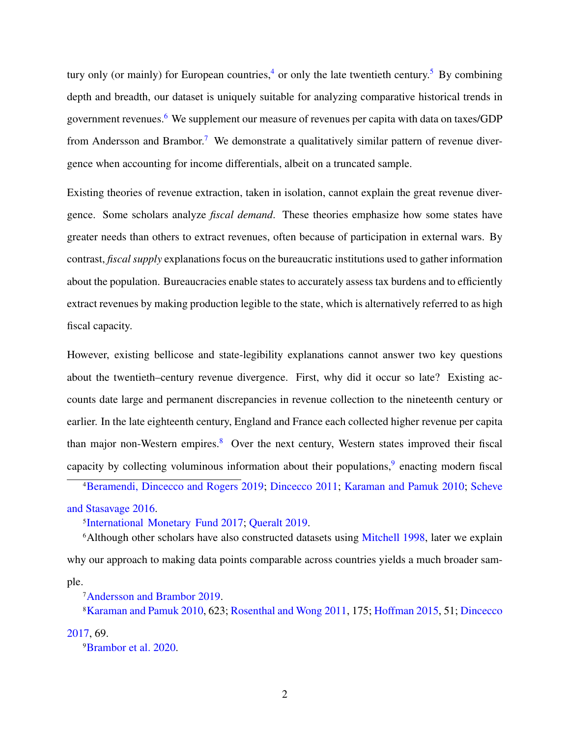tury only (or mainly) for European countries,<sup>[4](#page-0-0)</sup> or only the late twentieth century.<sup>[5](#page-0-0)</sup> By combining depth and breadth, our dataset is uniquely suitable for analyzing comparative historical trends in government revenues.<sup>[6](#page-0-0)</sup> We supplement our measure of revenues per capita with data on taxes/GDP from Andersson and Brambor.<sup>[7](#page-0-0)</sup> We demonstrate a qualitatively similar pattern of revenue divergence when accounting for income differentials, albeit on a truncated sample.

Existing theories of revenue extraction, taken in isolation, cannot explain the great revenue divergence. Some scholars analyze *fiscal demand*. These theories emphasize how some states have greater needs than others to extract revenues, often because of participation in external wars. By contrast, *fiscal supply* explanations focus on the bureaucratic institutions used to gather information about the population. Bureaucracies enable states to accurately assess tax burdens and to efficiently extract revenues by making production legible to the state, which is alternatively referred to as high fiscal capacity.

However, existing bellicose and state-legibility explanations cannot answer two key questions about the twentieth–century revenue divergence. First, why did it occur so late? Existing accounts date large and permanent discrepancies in revenue collection to the nineteenth century or earlier. In the late eighteenth century, England and France each collected higher revenue per capita than major non-Western empires. $8$  Over the next century, Western states improved their fiscal capacity by collecting voluminous information about their populations,<sup>[9](#page-0-0)</sup> enacting modern fiscal

<sup>4</sup>[Beramendi, Dincecco and Rogers](#page-50-1) [2019;](#page-50-1) [Dincecco](#page-51-0) [2011;](#page-51-0) [Karaman and Pamuk](#page-52-2) [2010;](#page-52-2) [Scheve](#page-54-0) [and Stasavage](#page-54-0) [2016.](#page-54-0)

<sup>5</sup>International Monetary Fund [2017;](#page-52-0) [Queralt](#page-54-1) [2019.](#page-54-1)

<sup>6</sup>Although other scholars have also constructed datasets using [Mitchell](#page-53-1) [1998,](#page-53-1) later we explain why our approach to making data points comparable across countries yields a much broader sample.

<sup>7</sup>[Andersson and Brambor](#page-50-2) [2019.](#page-50-2)

<sup>8</sup>[Karaman and Pamuk](#page-52-2) [2010,](#page-52-2) 623; [Rosenthal and Wong](#page-54-2) [2011,](#page-54-2) 175; [Hoffman](#page-52-3) [2015,](#page-52-3) 51; [Dincecco](#page-52-1) [2017,](#page-52-1) 69.

<sup>9</sup>[Brambor et al.](#page-51-1) [2020.](#page-51-1)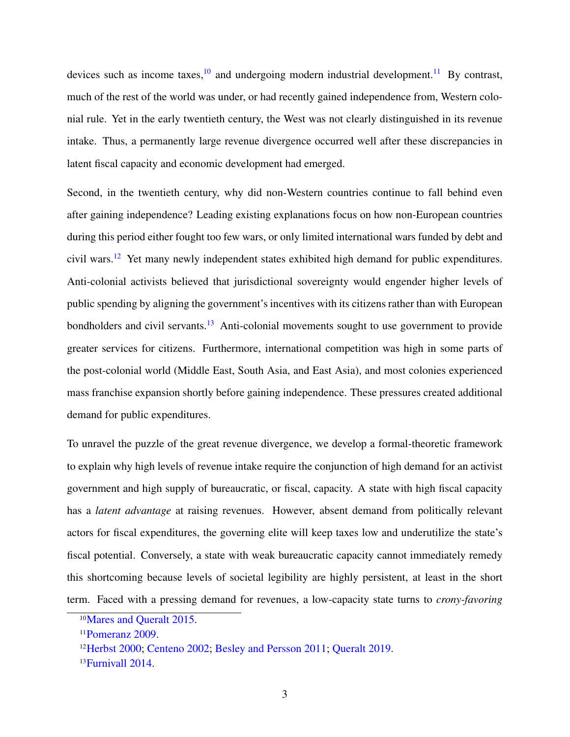devices such as income taxes, $10$  and undergoing modern industrial development.<sup>[11](#page-0-0)</sup> By contrast, much of the rest of the world was under, or had recently gained independence from, Western colonial rule. Yet in the early twentieth century, the West was not clearly distinguished in its revenue intake. Thus, a permanently large revenue divergence occurred well after these discrepancies in latent fiscal capacity and economic development had emerged.

Second, in the twentieth century, why did non-Western countries continue to fall behind even after gaining independence? Leading existing explanations focus on how non-European countries during this period either fought too few wars, or only limited international wars funded by debt and civil wars.<sup>[12](#page-0-0)</sup> Yet many newly independent states exhibited high demand for public expenditures. Anti-colonial activists believed that jurisdictional sovereignty would engender higher levels of public spending by aligning the government's incentives with its citizens rather than with European bondholders and civil servants.<sup>[13](#page-0-0)</sup> Anti-colonial movements sought to use government to provide greater services for citizens. Furthermore, international competition was high in some parts of the post-colonial world (Middle East, South Asia, and East Asia), and most colonies experienced mass franchise expansion shortly before gaining independence. These pressures created additional demand for public expenditures.

To unravel the puzzle of the great revenue divergence, we develop a formal-theoretic framework to explain why high levels of revenue intake require the conjunction of high demand for an activist government and high supply of bureaucratic, or fiscal, capacity. A state with high fiscal capacity has a *latent advantage* at raising revenues. However, absent demand from politically relevant actors for fiscal expenditures, the governing elite will keep taxes low and underutilize the state's fiscal potential. Conversely, a state with weak bureaucratic capacity cannot immediately remedy this shortcoming because levels of societal legibility are highly persistent, at least in the short term. Faced with a pressing demand for revenues, a low-capacity state turns to *crony-favoring*

<sup>10</sup>[Mares and Queralt](#page-53-2) [2015.](#page-53-2)

<sup>11</sup>[Pomeranz](#page-53-3) [2009.](#page-53-3)

<sup>12</sup>[Herbst](#page-52-4) [2000;](#page-52-4) [Centeno](#page-51-2) [2002;](#page-51-2) [Besley and Persson](#page-50-3) [2011;](#page-50-3) [Queralt](#page-54-1) [2019.](#page-54-1)

<sup>&</sup>lt;sup>13</sup>[Furnivall](#page-52-5) [2014.](#page-52-5)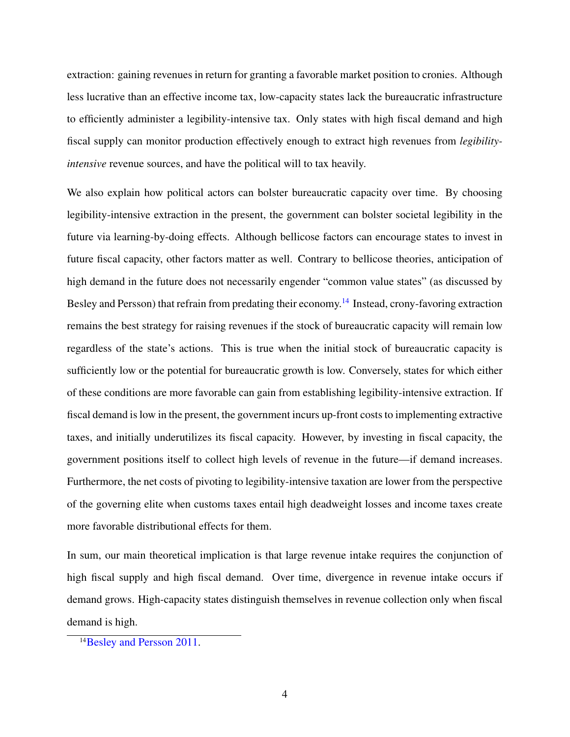extraction: gaining revenues in return for granting a favorable market position to cronies. Although less lucrative than an effective income tax, low-capacity states lack the bureaucratic infrastructure to efficiently administer a legibility-intensive tax. Only states with high fiscal demand and high fiscal supply can monitor production effectively enough to extract high revenues from *legibilityintensive* revenue sources, and have the political will to tax heavily.

We also explain how political actors can bolster bureaucratic capacity over time. By choosing legibility-intensive extraction in the present, the government can bolster societal legibility in the future via learning-by-doing effects. Although bellicose factors can encourage states to invest in future fiscal capacity, other factors matter as well. Contrary to bellicose theories, anticipation of high demand in the future does not necessarily engender "common value states" (as discussed by Besley and Persson) that refrain from predating their economy.<sup>[14](#page-0-0)</sup> Instead, crony-favoring extraction remains the best strategy for raising revenues if the stock of bureaucratic capacity will remain low regardless of the state's actions. This is true when the initial stock of bureaucratic capacity is sufficiently low or the potential for bureaucratic growth is low. Conversely, states for which either of these conditions are more favorable can gain from establishing legibility-intensive extraction. If fiscal demand is low in the present, the government incurs up-front costs to implementing extractive taxes, and initially underutilizes its fiscal capacity. However, by investing in fiscal capacity, the government positions itself to collect high levels of revenue in the future—if demand increases. Furthermore, the net costs of pivoting to legibility-intensive taxation are lower from the perspective of the governing elite when customs taxes entail high deadweight losses and income taxes create more favorable distributional effects for them.

In sum, our main theoretical implication is that large revenue intake requires the conjunction of high fiscal supply and high fiscal demand. Over time, divergence in revenue intake occurs if demand grows. High-capacity states distinguish themselves in revenue collection only when fiscal demand is high.

<sup>14</sup>[Besley and Persson](#page-50-3) [2011.](#page-50-3)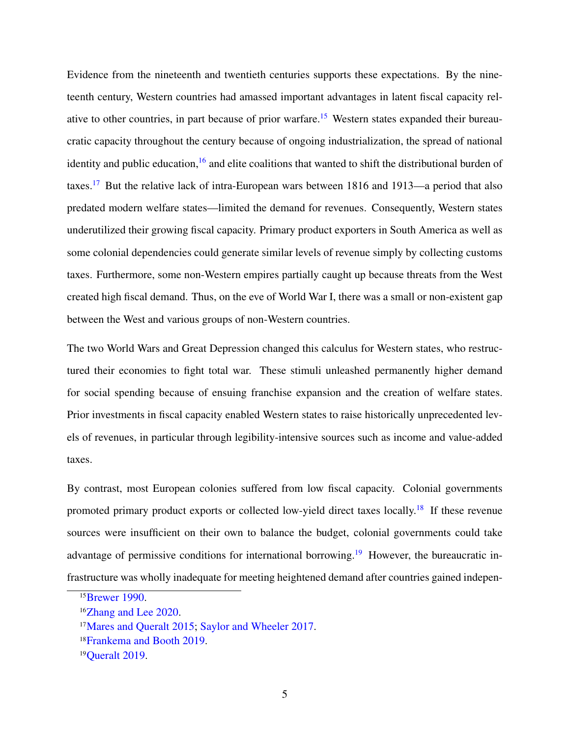Evidence from the nineteenth and twentieth centuries supports these expectations. By the nineteenth century, Western countries had amassed important advantages in latent fiscal capacity rel-ative to other countries, in part because of prior warfare.<sup>[15](#page-0-0)</sup> Western states expanded their bureaucratic capacity throughout the century because of ongoing industrialization, the spread of national identity and public education, $16$  and elite coalitions that wanted to shift the distributional burden of taxes.[17](#page-0-0) But the relative lack of intra-European wars between 1816 and 1913—a period that also predated modern welfare states—limited the demand for revenues. Consequently, Western states underutilized their growing fiscal capacity. Primary product exporters in South America as well as some colonial dependencies could generate similar levels of revenue simply by collecting customs taxes. Furthermore, some non-Western empires partially caught up because threats from the West created high fiscal demand. Thus, on the eve of World War I, there was a small or non-existent gap between the West and various groups of non-Western countries.

The two World Wars and Great Depression changed this calculus for Western states, who restructured their economies to fight total war. These stimuli unleashed permanently higher demand for social spending because of ensuing franchise expansion and the creation of welfare states. Prior investments in fiscal capacity enabled Western states to raise historically unprecedented levels of revenues, in particular through legibility-intensive sources such as income and value-added taxes.

By contrast, most European colonies suffered from low fiscal capacity. Colonial governments promoted primary product exports or collected low-yield direct taxes locally.<sup>[18](#page-0-0)</sup> If these revenue sources were insufficient on their own to balance the budget, colonial governments could take advantage of permissive conditions for international borrowing.<sup>[19](#page-0-0)</sup> However, the bureaucratic infrastructure was wholly inadequate for meeting heightened demand after countries gained indepen-

<sup>&</sup>lt;sup>15</sup>[Brewer](#page-51-3) [1990.](#page-51-3)

<sup>16</sup>[Zhang and Lee](#page-55-0) [2020.](#page-55-0)

<sup>17</sup>[Mares and Queralt](#page-53-2) [2015;](#page-53-2) [Saylor and Wheeler](#page-54-3) [2017.](#page-54-3)

<sup>18</sup>[Frankema and Booth](#page-52-6) [2019.](#page-52-6)

<sup>19</sup>[Queralt](#page-54-1) [2019.](#page-54-1)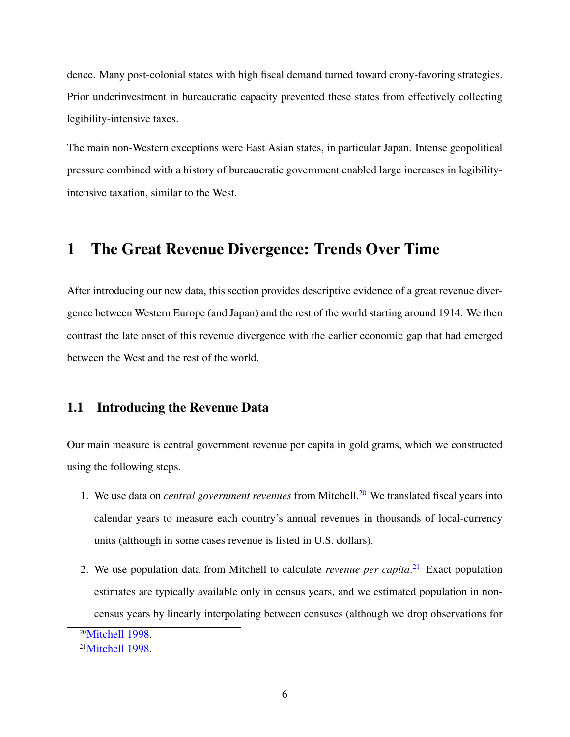dence. Many post-colonial states with high fiscal demand turned toward crony-favoring strategies. Prior underinvestment in bureaucratic capacity prevented these states from effectively collecting legibility-intensive taxes.

The main non-Western exceptions were East Asian states, in particular Japan. Intense geopolitical pressure combined with a history of bureaucratic government enabled large increases in legibilityintensive taxation, similar to the West.

## 1 The Great Revenue Divergence: Trends Over Time

After introducing our new data, this section provides descriptive evidence of a great revenue divergence between Western Europe (and Japan) and the rest of the world starting around 1914. We then contrast the late onset of this revenue divergence with the earlier economic gap that had emerged between the West and the rest of the world.

#### 1.1 Introducing the Revenue Data

Our main measure is central government revenue per capita in gold grams, which we constructed using the following steps.

- 1. We use data on *central government revenues* from Mitchell.[20](#page-0-0) We translated fiscal years into calendar years to measure each country's annual revenues in thousands of local-currency units (although in some cases revenue is listed in U.S. dollars).
- 2. We use population data from Mitchell to calculate *revenue per capita*. [21](#page-0-0) Exact population estimates are typically available only in census years, and we estimated population in noncensus years by linearly interpolating between censuses (although we drop observations for

 $20$ [Mitchell](#page-53-1) [1998.](#page-53-1)

<sup>&</sup>lt;sup>21</sup>[Mitchell](#page-53-1) [1998.](#page-53-1)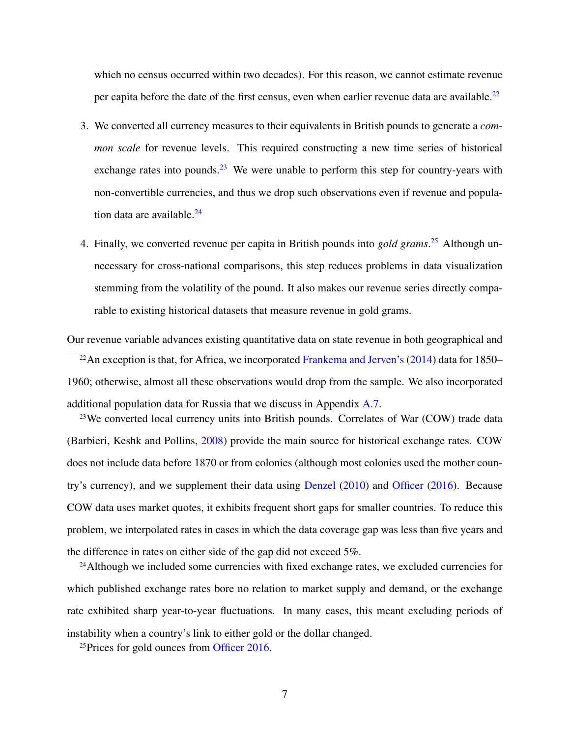which no census occurred within two decades). For this reason, we cannot estimate revenue per capita before the date of the first census, even when earlier revenue data are available.<sup>[22](#page-0-0)</sup>

- 3. We converted all currency measures to their equivalents in British pounds to generate a *common scale* for revenue levels. This required constructing a new time series of historical exchange rates into pounds.<sup>[23](#page-0-0)</sup> We were unable to perform this step for country-years with non-convertible currencies, and thus we drop such observations even if revenue and population data are available. $^{24}$  $^{24}$  $^{24}$
- 4. Finally, we converted revenue per capita in British pounds into *gold grams*. [25](#page-0-0) Although unnecessary for cross-national comparisons, this step reduces problems in data visualization stemming from the volatility of the pound. It also makes our revenue series directly comparable to existing historical datasets that measure revenue in gold grams.

Our revenue variable advances existing quantitative data on state revenue in both geographical and <sup>22</sup>An exception is that, for Africa, we incorporated [Frankema and Jerven's](#page-52-7)  $(2014)$  data for 1850– 1960; otherwise, almost all these observations would drop from the sample. We also incorporated additional population data for Russia that we discuss in Appendix [A.7.](#page-68-0)

<sup>23</sup>We converted local currency units into British pounds. Correlates of War (COW) trade data (Barbieri, Keshk and Pollins, [2008\)](#page-50-4) provide the main source for historical exchange rates. COW does not include data before 1870 or from colonies (although most colonies used the mother country's currency), and we supplement their data using [Denzel](#page-51-4) [\(2010\)](#page-51-4) and [Officer](#page-53-4) [\(2016\)](#page-53-4). Because COW data uses market quotes, it exhibits frequent short gaps for smaller countries. To reduce this problem, we interpolated rates in cases in which the data coverage gap was less than five years and the difference in rates on either side of the gap did not exceed 5%.

<sup>24</sup>Although we included some currencies with fixed exchange rates, we excluded currencies for which published exchange rates bore no relation to market supply and demand, or the exchange rate exhibited sharp year-to-year fluctuations. In many cases, this meant excluding periods of instability when a country's link to either gold or the dollar changed.

<sup>25</sup>Prices for gold ounces from [Officer](#page-53-4) [2016.](#page-53-4)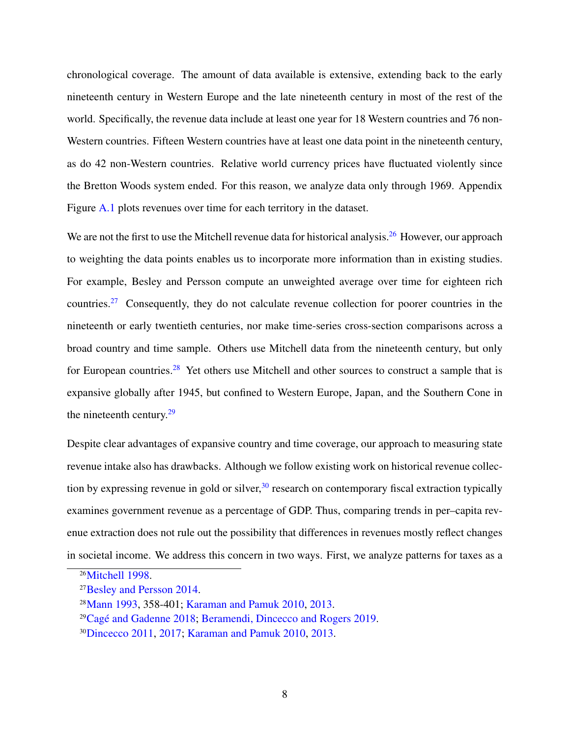chronological coverage. The amount of data available is extensive, extending back to the early nineteenth century in Western Europe and the late nineteenth century in most of the rest of the world. Specifically, the revenue data include at least one year for 18 Western countries and 76 non-Western countries. Fifteen Western countries have at least one data point in the nineteenth century, as do 42 non-Western countries. Relative world currency prices have fluctuated violently since the Bretton Woods system ended. For this reason, we analyze data only through 1969. Appendix Figure [A.1](#page-58-0) plots revenues over time for each territory in the dataset.

We are not the first to use the Mitchell revenue data for historical analysis.<sup>[26](#page-0-0)</sup> However, our approach to weighting the data points enables us to incorporate more information than in existing studies. For example, Besley and Persson compute an unweighted average over time for eighteen rich countries.[27](#page-0-0) Consequently, they do not calculate revenue collection for poorer countries in the nineteenth or early twentieth centuries, nor make time-series cross-section comparisons across a broad country and time sample. Others use Mitchell data from the nineteenth century, but only for European countries.<sup>[28](#page-0-0)</sup> Yet others use Mitchell and other sources to construct a sample that is expansive globally after 1945, but confined to Western Europe, Japan, and the Southern Cone in the nineteenth century. $29$ 

Despite clear advantages of expansive country and time coverage, our approach to measuring state revenue intake also has drawbacks. Although we follow existing work on historical revenue collection by expressing revenue in gold or silver,  $30$  research on contemporary fiscal extraction typically examines government revenue as a percentage of GDP. Thus, comparing trends in per–capita revenue extraction does not rule out the possibility that differences in revenues mostly reflect changes in societal income. We address this concern in two ways. First, we analyze patterns for taxes as a

<sup>26</sup>[Mitchell](#page-53-1) [1998.](#page-53-1)

<sup>27</sup>[Besley and Persson](#page-50-0) [2014.](#page-50-0)

<sup>28</sup>[Mann](#page-53-5) [1993,](#page-53-5) 358-401; [Karaman and Pamuk](#page-52-2) [2010,](#page-52-2) [2013.](#page-53-6)

<sup>&</sup>lt;sup>29</sup>Cagé and Gadenne [2018;](#page-51-5) [Beramendi, Dincecco and Rogers](#page-50-1) [2019.](#page-50-1)

<sup>30</sup>[Dincecco](#page-51-0) [2011,](#page-51-0) [2017;](#page-52-1) [Karaman and Pamuk](#page-52-2) [2010,](#page-52-2) [2013.](#page-53-6)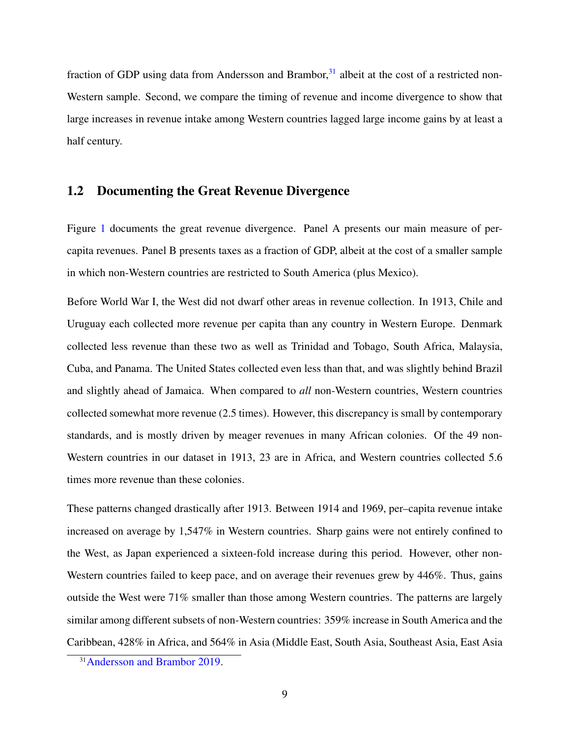fraction of GDP using data from Andersson and Brambor, $31$  albeit at the cost of a restricted non-Western sample. Second, we compare the timing of revenue and income divergence to show that large increases in revenue intake among Western countries lagged large income gains by at least a half century.

### 1.2 Documenting the Great Revenue Divergence

Figure [1](#page-10-0) documents the great revenue divergence. Panel A presents our main measure of percapita revenues. Panel B presents taxes as a fraction of GDP, albeit at the cost of a smaller sample in which non-Western countries are restricted to South America (plus Mexico).

Before World War I, the West did not dwarf other areas in revenue collection. In 1913, Chile and Uruguay each collected more revenue per capita than any country in Western Europe. Denmark collected less revenue than these two as well as Trinidad and Tobago, South Africa, Malaysia, Cuba, and Panama. The United States collected even less than that, and was slightly behind Brazil and slightly ahead of Jamaica. When compared to *all* non-Western countries, Western countries collected somewhat more revenue (2.5 times). However, this discrepancy is small by contemporary standards, and is mostly driven by meager revenues in many African colonies. Of the 49 non-Western countries in our dataset in 1913, 23 are in Africa, and Western countries collected 5.6 times more revenue than these colonies.

These patterns changed drastically after 1913. Between 1914 and 1969, per–capita revenue intake increased on average by 1,547% in Western countries. Sharp gains were not entirely confined to the West, as Japan experienced a sixteen-fold increase during this period. However, other non-Western countries failed to keep pace, and on average their revenues grew by 446%. Thus, gains outside the West were 71% smaller than those among Western countries. The patterns are largely similar among different subsets of non-Western countries: 359% increase in South America and the Caribbean, 428% in Africa, and 564% in Asia (Middle East, South Asia, Southeast Asia, East Asia

<sup>31</sup>[Andersson and Brambor](#page-50-2) [2019.](#page-50-2)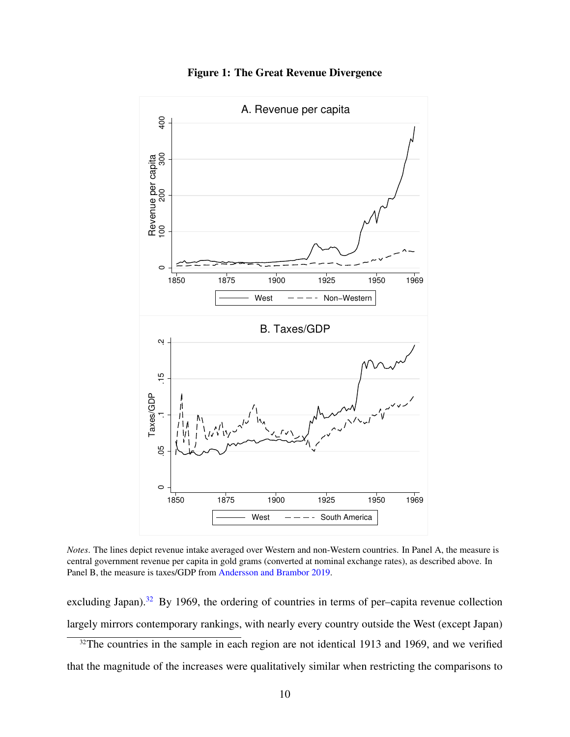

<span id="page-10-0"></span>

*Notes*. The lines depict revenue intake averaged over Western and non-Western countries. In Panel A, the measure is central government revenue per capita in gold grams (converted at nominal exchange rates), as described above. In Panel B, the measure is taxes/GDP from [Andersson and Brambor](#page-50-2) [2019.](#page-50-2)

excluding Japan). $32$  By 1969, the ordering of countries in terms of per-capita revenue collection largely mirrors contemporary rankings, with nearly every country outside the West (except Japan)

 $32$ The countries in the sample in each region are not identical 1913 and 1969, and we verified that the magnitude of the increases were qualitatively similar when restricting the comparisons to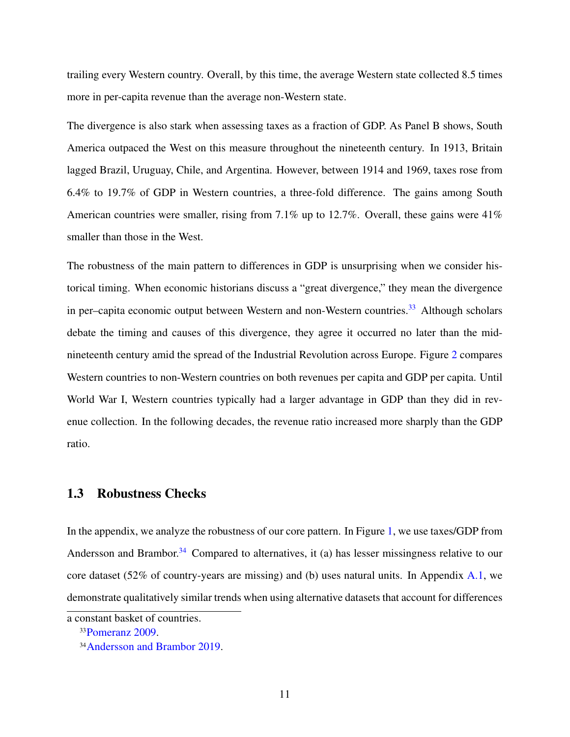trailing every Western country. Overall, by this time, the average Western state collected 8.5 times more in per-capita revenue than the average non-Western state.

The divergence is also stark when assessing taxes as a fraction of GDP. As Panel B shows, South America outpaced the West on this measure throughout the nineteenth century. In 1913, Britain lagged Brazil, Uruguay, Chile, and Argentina. However, between 1914 and 1969, taxes rose from 6.4% to 19.7% of GDP in Western countries, a three-fold difference. The gains among South American countries were smaller, rising from 7.1% up to 12.7%. Overall, these gains were 41% smaller than those in the West.

The robustness of the main pattern to differences in GDP is unsurprising when we consider historical timing. When economic historians discuss a "great divergence," they mean the divergence in per–capita economic output between Western and non-Western countries.<sup>[33](#page-0-0)</sup> Although scholars debate the timing and causes of this divergence, they agree it occurred no later than the midnineteenth century amid the spread of the Industrial Revolution across Europe. Figure [2](#page-12-0) compares Western countries to non-Western countries on both revenues per capita and GDP per capita. Until World War I, Western countries typically had a larger advantage in GDP than they did in revenue collection. In the following decades, the revenue ratio increased more sharply than the GDP ratio.

### 1.3 Robustness Checks

In the appendix, we analyze the robustness of our core pattern. In Figure [1,](#page-10-0) we use taxes/GDP from Andersson and Brambor.<sup>[34](#page-0-0)</sup> Compared to alternatives, it (a) has lesser missingness relative to our core dataset (52% of country-years are missing) and (b) uses natural units. In Appendix [A.1,](#page-60-0) we demonstrate qualitatively similar trends when using alternative datasets that account for differences

a constant basket of countries.

<sup>33</sup>[Pomeranz](#page-53-3) [2009.](#page-53-3)

<sup>&</sup>lt;sup>34</sup>[Andersson and Brambor](#page-50-2) [2019.](#page-50-2)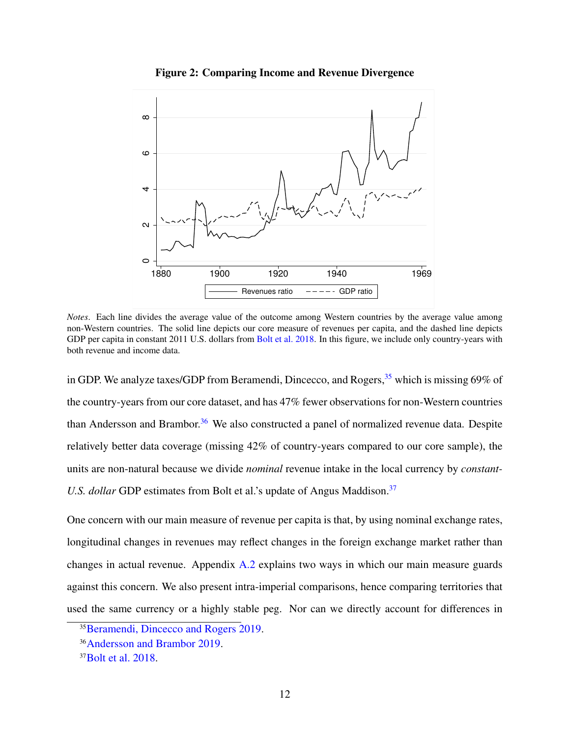<span id="page-12-0"></span>

Figure 2: Comparing Income and Revenue Divergence

*Notes*. Each line divides the average value of the outcome among Western countries by the average value among non-Western countries. The solid line depicts our core measure of revenues per capita, and the dashed line depicts GDP per capita in constant 2011 U.S. dollars from [Bolt et al.](#page-51-6) [2018.](#page-51-6) In this figure, we include only country-years with both revenue and income data.

in GDP. We analyze taxes/GDP from Beramendi, Dincecco, and Rogers,  $35$  which is missing 69% of the country-years from our core dataset, and has 47% fewer observations for non-Western countries than Andersson and Brambor.<sup>[36](#page-0-0)</sup> We also constructed a panel of normalized revenue data. Despite relatively better data coverage (missing 42% of country-years compared to our core sample), the units are non-natural because we divide *nominal* revenue intake in the local currency by *constant-U.S. dollar* GDP estimates from Bolt et al.'s update of Angus Maddison.<sup>[37](#page-0-0)</sup>

One concern with our main measure of revenue per capita is that, by using nominal exchange rates, longitudinal changes in revenues may reflect changes in the foreign exchange market rather than changes in actual revenue. Appendix [A.2](#page-62-0) explains two ways in which our main measure guards against this concern. We also present intra-imperial comparisons, hence comparing territories that used the same currency or a highly stable peg. Nor can we directly account for differences in

<sup>35</sup>[Beramendi, Dincecco and Rogers](#page-50-1) [2019.](#page-50-1)

<sup>36</sup>[Andersson and Brambor](#page-50-2) [2019.](#page-50-2)

<sup>&</sup>lt;sup>37</sup>[Bolt et al.](#page-51-6) [2018.](#page-51-6)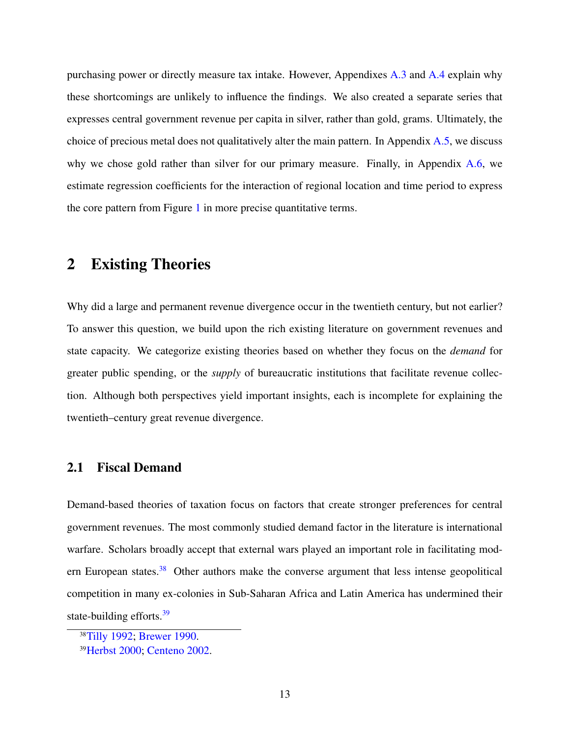purchasing power or directly measure tax intake. However, Appendixes [A.3](#page-64-0) and [A.4](#page-65-0) explain why these shortcomings are unlikely to influence the findings. We also created a separate series that expresses central government revenue per capita in silver, rather than gold, grams. Ultimately, the choice of precious metal does not qualitatively alter the main pattern. In Appendix [A.5,](#page-66-0) we discuss why we chose gold rather than silver for our primary measure. Finally, in Appendix [A.6,](#page-67-0) we estimate regression coefficients for the interaction of regional location and time period to express the core pattern from Figure [1](#page-10-0) in more precise quantitative terms.

## 2 Existing Theories

Why did a large and permanent revenue divergence occur in the twentieth century, but not earlier? To answer this question, we build upon the rich existing literature on government revenues and state capacity. We categorize existing theories based on whether they focus on the *demand* for greater public spending, or the *supply* of bureaucratic institutions that facilitate revenue collection. Although both perspectives yield important insights, each is incomplete for explaining the twentieth–century great revenue divergence.

### 2.1 Fiscal Demand

Demand-based theories of taxation focus on factors that create stronger preferences for central government revenues. The most commonly studied demand factor in the literature is international warfare. Scholars broadly accept that external wars played an important role in facilitating mod-ern European states.<sup>[38](#page-0-0)</sup> Other authors make the converse argument that less intense geopolitical competition in many ex-colonies in Sub-Saharan Africa and Latin America has undermined their state-building efforts.<sup>[39](#page-0-0)</sup>

<sup>38</sup>[Tilly](#page-54-4) [1992;](#page-54-4) [Brewer](#page-51-3) [1990.](#page-51-3)

<sup>39</sup>[Herbst](#page-52-4) [2000;](#page-52-4) [Centeno](#page-51-2) [2002.](#page-51-2)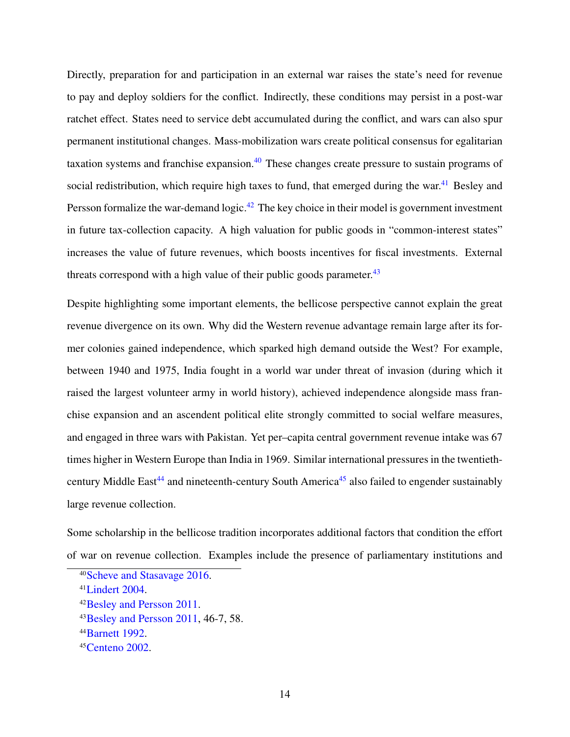Directly, preparation for and participation in an external war raises the state's need for revenue to pay and deploy soldiers for the conflict. Indirectly, these conditions may persist in a post-war ratchet effect. States need to service debt accumulated during the conflict, and wars can also spur permanent institutional changes. Mass-mobilization wars create political consensus for egalitarian taxation systems and franchise expansion.<sup>[40](#page-0-0)</sup> These changes create pressure to sustain programs of social redistribution, which require high taxes to fund, that emerged during the war.<sup>[41](#page-0-0)</sup> Besley and Persson formalize the war-demand logic.<sup>[42](#page-0-0)</sup> The key choice in their model is government investment in future tax-collection capacity. A high valuation for public goods in "common-interest states" increases the value of future revenues, which boosts incentives for fiscal investments. External threats correspond with a high value of their public goods parameter.<sup>[43](#page-0-0)</sup>

Despite highlighting some important elements, the bellicose perspective cannot explain the great revenue divergence on its own. Why did the Western revenue advantage remain large after its former colonies gained independence, which sparked high demand outside the West? For example, between 1940 and 1975, India fought in a world war under threat of invasion (during which it raised the largest volunteer army in world history), achieved independence alongside mass franchise expansion and an ascendent political elite strongly committed to social welfare measures, and engaged in three wars with Pakistan. Yet per–capita central government revenue intake was 67 times higher in Western Europe than India in 1969. Similar international pressures in the twentieth-century Middle East<sup>[44](#page-0-0)</sup> and nineteenth-century South America<sup>[45](#page-0-0)</sup> also failed to engender sustainably large revenue collection.

Some scholarship in the bellicose tradition incorporates additional factors that condition the effort of war on revenue collection. Examples include the presence of parliamentary institutions and

<sup>40</sup>[Scheve and Stasavage](#page-54-0) [2016.](#page-54-0)

<sup>41</sup>[Lindert](#page-53-7) [2004.](#page-53-7)

<sup>42</sup>[Besley and Persson](#page-50-3) [2011.](#page-50-3)

<sup>43</sup>[Besley and Persson](#page-50-3) [2011,](#page-50-3) 46-7, 58.

<sup>44</sup>[Barnett](#page-50-5) [1992.](#page-50-5)

<sup>45</sup>[Centeno](#page-51-2) [2002.](#page-51-2)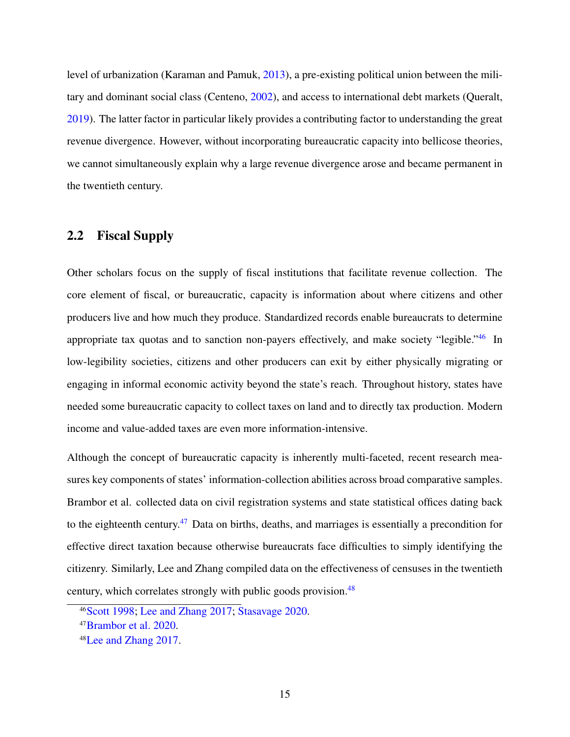level of urbanization (Karaman and Pamuk, [2013\)](#page-53-6), a pre-existing political union between the military and dominant social class (Centeno, [2002\)](#page-51-2), and access to international debt markets (Queralt, [2019\)](#page-54-1). The latter factor in particular likely provides a contributing factor to understanding the great revenue divergence. However, without incorporating bureaucratic capacity into bellicose theories, we cannot simultaneously explain why a large revenue divergence arose and became permanent in the twentieth century.

### 2.2 Fiscal Supply

Other scholars focus on the supply of fiscal institutions that facilitate revenue collection. The core element of fiscal, or bureaucratic, capacity is information about where citizens and other producers live and how much they produce. Standardized records enable bureaucrats to determine appropriate tax quotas and to sanction non-payers effectively, and make society "legible."<sup>[46](#page-0-0)</sup> In low-legibility societies, citizens and other producers can exit by either physically migrating or engaging in informal economic activity beyond the state's reach. Throughout history, states have needed some bureaucratic capacity to collect taxes on land and to directly tax production. Modern income and value-added taxes are even more information-intensive.

Although the concept of bureaucratic capacity is inherently multi-faceted, recent research measures key components of states' information-collection abilities across broad comparative samples. Brambor et al. collected data on civil registration systems and state statistical offices dating back to the eighteenth century.<sup>[47](#page-0-0)</sup> Data on births, deaths, and marriages is essentially a precondition for effective direct taxation because otherwise bureaucrats face difficulties to simply identifying the citizenry. Similarly, Lee and Zhang compiled data on the effectiveness of censuses in the twentieth century, which correlates strongly with public goods provision.<sup>[48](#page-0-0)</sup>

<sup>46</sup>[Scott](#page-54-5) [1998;](#page-54-5) [Lee and Zhang](#page-53-8) [2017;](#page-53-8) [Stasavage](#page-54-6) [2020.](#page-54-6)

<sup>47</sup>[Brambor et al.](#page-51-1) [2020.](#page-51-1)

<sup>48</sup>[Lee and Zhang](#page-53-8) [2017.](#page-53-8)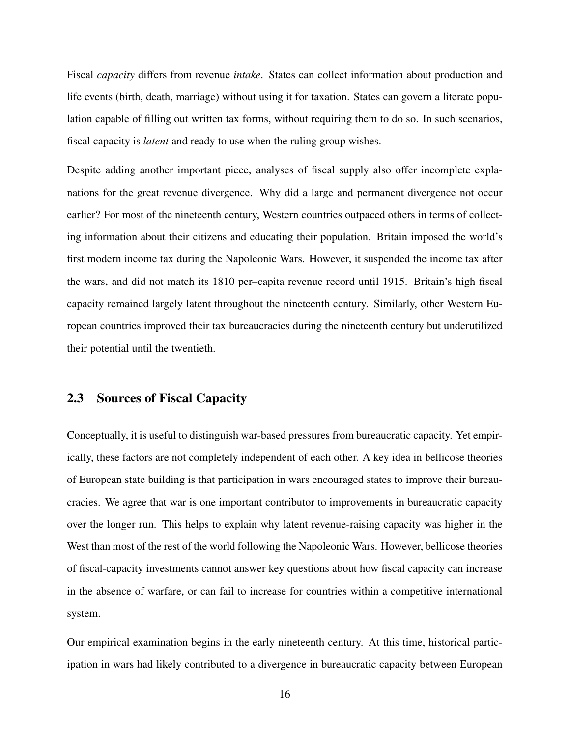Fiscal *capacity* differs from revenue *intake*. States can collect information about production and life events (birth, death, marriage) without using it for taxation. States can govern a literate population capable of filling out written tax forms, without requiring them to do so. In such scenarios, fiscal capacity is *latent* and ready to use when the ruling group wishes.

Despite adding another important piece, analyses of fiscal supply also offer incomplete explanations for the great revenue divergence. Why did a large and permanent divergence not occur earlier? For most of the nineteenth century, Western countries outpaced others in terms of collecting information about their citizens and educating their population. Britain imposed the world's first modern income tax during the Napoleonic Wars. However, it suspended the income tax after the wars, and did not match its 1810 per–capita revenue record until 1915. Britain's high fiscal capacity remained largely latent throughout the nineteenth century. Similarly, other Western European countries improved their tax bureaucracies during the nineteenth century but underutilized their potential until the twentieth.

### 2.3 Sources of Fiscal Capacity

Conceptually, it is useful to distinguish war-based pressures from bureaucratic capacity. Yet empirically, these factors are not completely independent of each other. A key idea in bellicose theories of European state building is that participation in wars encouraged states to improve their bureaucracies. We agree that war is one important contributor to improvements in bureaucratic capacity over the longer run. This helps to explain why latent revenue-raising capacity was higher in the West than most of the rest of the world following the Napoleonic Wars. However, bellicose theories of fiscal-capacity investments cannot answer key questions about how fiscal capacity can increase in the absence of warfare, or can fail to increase for countries within a competitive international system.

Our empirical examination begins in the early nineteenth century. At this time, historical participation in wars had likely contributed to a divergence in bureaucratic capacity between European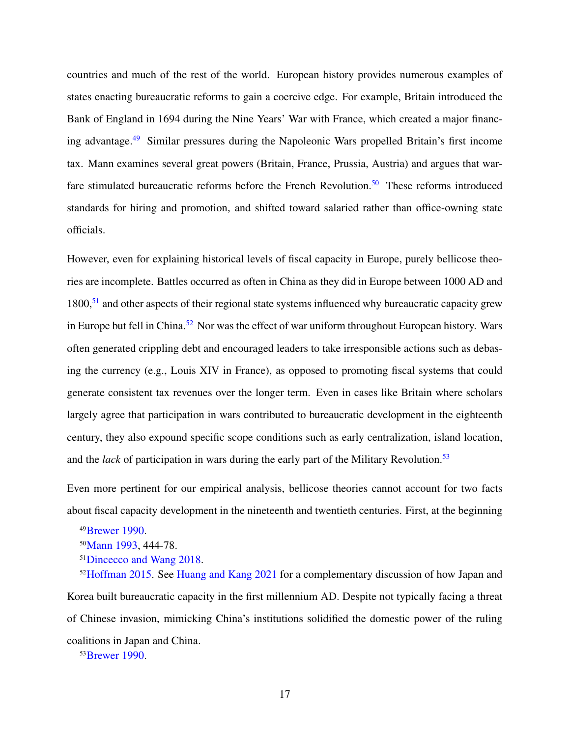countries and much of the rest of the world. European history provides numerous examples of states enacting bureaucratic reforms to gain a coercive edge. For example, Britain introduced the Bank of England in 1694 during the Nine Years' War with France, which created a major financing advantage.[49](#page-0-0) Similar pressures during the Napoleonic Wars propelled Britain's first income tax. Mann examines several great powers (Britain, France, Prussia, Austria) and argues that war-fare stimulated bureaucratic reforms before the French Revolution.<sup>[50](#page-0-0)</sup> These reforms introduced standards for hiring and promotion, and shifted toward salaried rather than office-owning state officials.

However, even for explaining historical levels of fiscal capacity in Europe, purely bellicose theories are incomplete. Battles occurred as often in China as they did in Europe between 1000 AD and 1800,<sup>[51](#page-0-0)</sup> and other aspects of their regional state systems influenced why bureaucratic capacity grew in Europe but fell in China.<sup>[52](#page-0-0)</sup> Nor was the effect of war uniform throughout European history. Wars often generated crippling debt and encouraged leaders to take irresponsible actions such as debasing the currency (e.g., Louis XIV in France), as opposed to promoting fiscal systems that could generate consistent tax revenues over the longer term. Even in cases like Britain where scholars largely agree that participation in wars contributed to bureaucratic development in the eighteenth century, they also expound specific scope conditions such as early centralization, island location, and the *lack* of participation in wars during the early part of the Military Revolution.<sup>[53](#page-0-0)</sup>

Even more pertinent for our empirical analysis, bellicose theories cannot account for two facts about fiscal capacity development in the nineteenth and twentieth centuries. First, at the beginning

<sup>52</sup>[Hoffman](#page-52-3) [2015.](#page-52-3) See [Huang and Kang](#page-52-9) [2021](#page-52-9) for a complementary discussion of how Japan and Korea built bureaucratic capacity in the first millennium AD. Despite not typically facing a threat of Chinese invasion, mimicking China's institutions solidified the domestic power of the ruling coalitions in Japan and China.

<sup>53</sup>[Brewer](#page-51-3) [1990.](#page-51-3)

<sup>49</sup>[Brewer](#page-51-3) [1990.](#page-51-3)

<sup>50</sup>[Mann](#page-53-5) [1993,](#page-53-5) 444-78.

<sup>51</sup>[Dincecco and Wang](#page-52-8) [2018.](#page-52-8)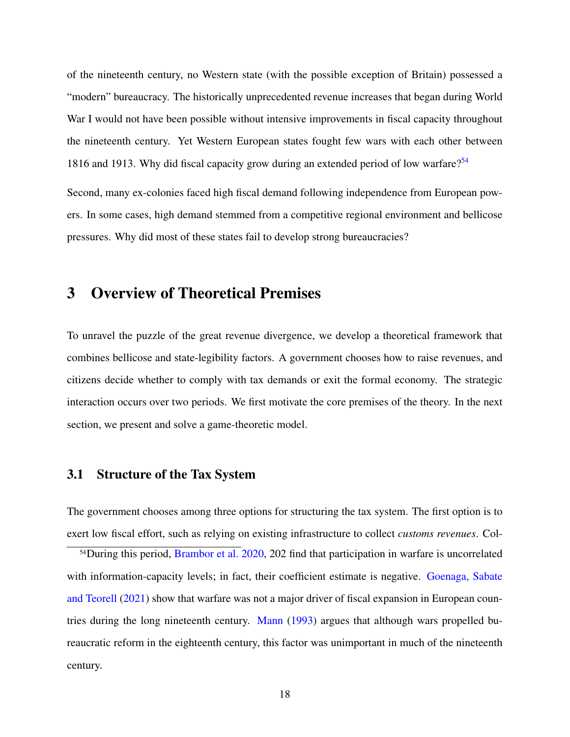of the nineteenth century, no Western state (with the possible exception of Britain) possessed a "modern" bureaucracy. The historically unprecedented revenue increases that began during World War I would not have been possible without intensive improvements in fiscal capacity throughout the nineteenth century. Yet Western European states fought few wars with each other between 1816 and 1913. Why did fiscal capacity grow during an extended period of low warfare?<sup>[54](#page-0-0)</sup>

Second, many ex-colonies faced high fiscal demand following independence from European powers. In some cases, high demand stemmed from a competitive regional environment and bellicose pressures. Why did most of these states fail to develop strong bureaucracies?

### 3 Overview of Theoretical Premises

To unravel the puzzle of the great revenue divergence, we develop a theoretical framework that combines bellicose and state-legibility factors. A government chooses how to raise revenues, and citizens decide whether to comply with tax demands or exit the formal economy. The strategic interaction occurs over two periods. We first motivate the core premises of the theory. In the next section, we present and solve a game-theoretic model.

### 3.1 Structure of the Tax System

The government chooses among three options for structuring the tax system. The first option is to exert low fiscal effort, such as relying on existing infrastructure to collect *customs revenues*. Col-

<sup>54</sup>During this period, [Brambor et al.](#page-51-1) [2020,](#page-51-1) 202 find that participation in warfare is uncorrelated with information-capacity levels; in fact, their coefficient estimate is negative. [Goenaga, Sabate](#page-52-10) [and Teorell](#page-52-10) [\(2021\)](#page-52-10) show that warfare was not a major driver of fiscal expansion in European countries during the long nineteenth century. [Mann](#page-53-5) [\(1993\)](#page-53-5) argues that although wars propelled bureaucratic reform in the eighteenth century, this factor was unimportant in much of the nineteenth century.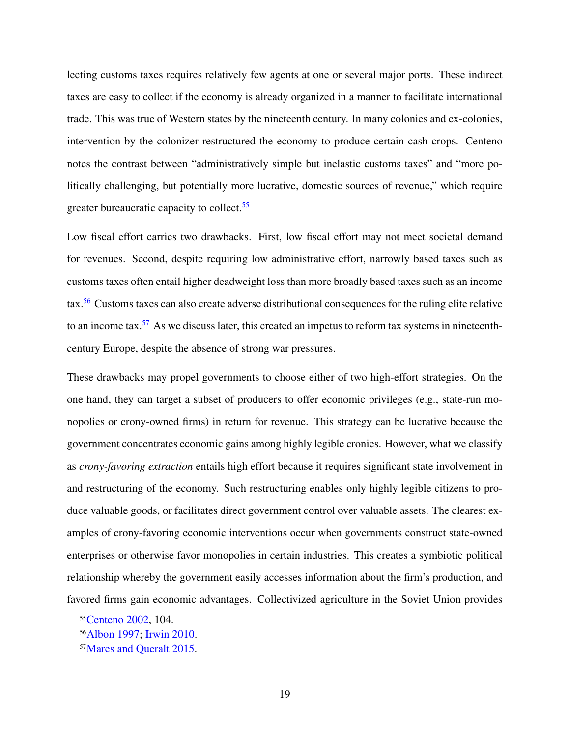lecting customs taxes requires relatively few agents at one or several major ports. These indirect taxes are easy to collect if the economy is already organized in a manner to facilitate international trade. This was true of Western states by the nineteenth century. In many colonies and ex-colonies, intervention by the colonizer restructured the economy to produce certain cash crops. Centeno notes the contrast between "administratively simple but inelastic customs taxes" and "more politically challenging, but potentially more lucrative, domestic sources of revenue," which require greater bureaucratic capacity to collect.<sup>[55](#page-0-0)</sup>

Low fiscal effort carries two drawbacks. First, low fiscal effort may not meet societal demand for revenues. Second, despite requiring low administrative effort, narrowly based taxes such as customs taxes often entail higher deadweight loss than more broadly based taxes such as an income tax.[56](#page-0-0) Customs taxes can also create adverse distributional consequences for the ruling elite relative to an income tax.<sup>[57](#page-0-0)</sup> As we discuss later, this created an impetus to reform tax systems in nineteenthcentury Europe, despite the absence of strong war pressures.

These drawbacks may propel governments to choose either of two high-effort strategies. On the one hand, they can target a subset of producers to offer economic privileges (e.g., state-run monopolies or crony-owned firms) in return for revenue. This strategy can be lucrative because the government concentrates economic gains among highly legible cronies. However, what we classify as *crony-favoring extraction* entails high effort because it requires significant state involvement in and restructuring of the economy. Such restructuring enables only highly legible citizens to produce valuable goods, or facilitates direct government control over valuable assets. The clearest examples of crony-favoring economic interventions occur when governments construct state-owned enterprises or otherwise favor monopolies in certain industries. This creates a symbiotic political relationship whereby the government easily accesses information about the firm's production, and favored firms gain economic advantages. Collectivized agriculture in the Soviet Union provides

<sup>55</sup>[Centeno](#page-51-2) [2002,](#page-51-2) 104.

<sup>56</sup>[Albon](#page-50-6) [1997;](#page-50-6) [Irwin](#page-52-11) [2010.](#page-52-11)

<sup>57</sup>[Mares and Queralt](#page-53-2) [2015.](#page-53-2)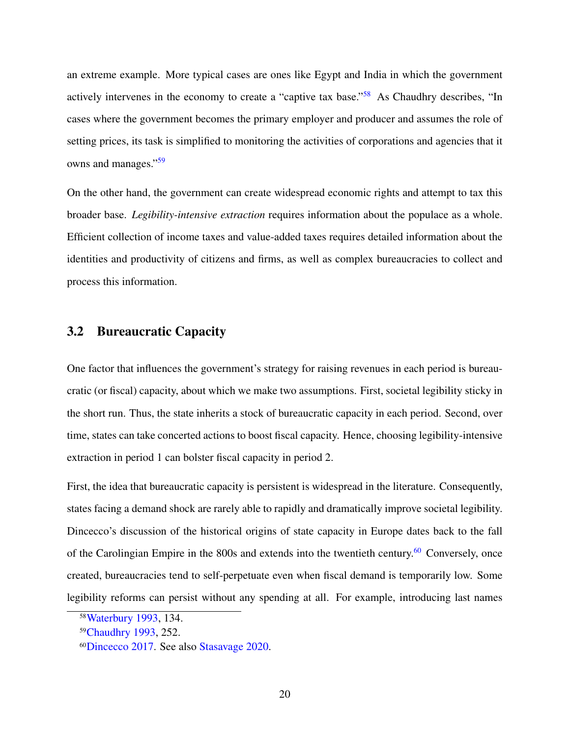an extreme example. More typical cases are ones like Egypt and India in which the government actively intervenes in the economy to create a "captive tax base."<sup>[58](#page-0-0)</sup> As Chaudhry describes, "In cases where the government becomes the primary employer and producer and assumes the role of setting prices, its task is simplified to monitoring the activities of corporations and agencies that it owns and manages."[59](#page-0-0)

On the other hand, the government can create widespread economic rights and attempt to tax this broader base. *Legibility-intensive extraction* requires information about the populace as a whole. Efficient collection of income taxes and value-added taxes requires detailed information about the identities and productivity of citizens and firms, as well as complex bureaucracies to collect and process this information.

### 3.2 Bureaucratic Capacity

One factor that influences the government's strategy for raising revenues in each period is bureaucratic (or fiscal) capacity, about which we make two assumptions. First, societal legibility sticky in the short run. Thus, the state inherits a stock of bureaucratic capacity in each period. Second, over time, states can take concerted actions to boost fiscal capacity. Hence, choosing legibility-intensive extraction in period 1 can bolster fiscal capacity in period 2.

First, the idea that bureaucratic capacity is persistent is widespread in the literature. Consequently, states facing a demand shock are rarely able to rapidly and dramatically improve societal legibility. Dincecco's discussion of the historical origins of state capacity in Europe dates back to the fall of the Carolingian Empire in the 800s and extends into the twentieth century.<sup>[60](#page-0-0)</sup> Conversely, once created, bureaucracies tend to self-perpetuate even when fiscal demand is temporarily low. Some legibility reforms can persist without any spending at all. For example, introducing last names

<sup>58</sup>[Waterbury](#page-54-7) [1993,](#page-54-7) 134.

<sup>59</sup>[Chaudhry](#page-51-7) [1993,](#page-51-7) 252.

<sup>60</sup>[Dincecco](#page-52-1) [2017.](#page-52-1) See also [Stasavage](#page-54-6) [2020.](#page-54-6)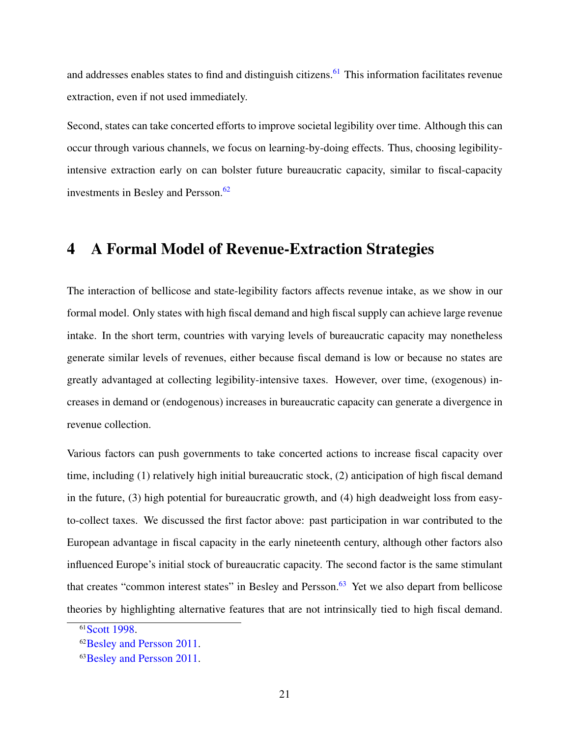and addresses enables states to find and distinguish citizens.<sup>[61](#page-0-0)</sup> This information facilitates revenue extraction, even if not used immediately.

Second, states can take concerted efforts to improve societal legibility over time. Although this can occur through various channels, we focus on learning-by-doing effects. Thus, choosing legibilityintensive extraction early on can bolster future bureaucratic capacity, similar to fiscal-capacity investments in Besley and Persson. $62$ 

### 4 A Formal Model of Revenue-Extraction Strategies

The interaction of bellicose and state-legibility factors affects revenue intake, as we show in our formal model. Only states with high fiscal demand and high fiscal supply can achieve large revenue intake. In the short term, countries with varying levels of bureaucratic capacity may nonetheless generate similar levels of revenues, either because fiscal demand is low or because no states are greatly advantaged at collecting legibility-intensive taxes. However, over time, (exogenous) increases in demand or (endogenous) increases in bureaucratic capacity can generate a divergence in revenue collection.

Various factors can push governments to take concerted actions to increase fiscal capacity over time, including (1) relatively high initial bureaucratic stock, (2) anticipation of high fiscal demand in the future, (3) high potential for bureaucratic growth, and (4) high deadweight loss from easyto-collect taxes. We discussed the first factor above: past participation in war contributed to the European advantage in fiscal capacity in the early nineteenth century, although other factors also influenced Europe's initial stock of bureaucratic capacity. The second factor is the same stimulant that creates "common interest states" in Besley and Persson.<sup>[63](#page-0-0)</sup> Yet we also depart from bellicose theories by highlighting alternative features that are not intrinsically tied to high fiscal demand.

<sup>61</sup>[Scott](#page-54-5) [1998.](#page-54-5)

<sup>62</sup>[Besley and Persson](#page-50-3) [2011.](#page-50-3)

<sup>63</sup>[Besley and Persson](#page-50-3) [2011.](#page-50-3)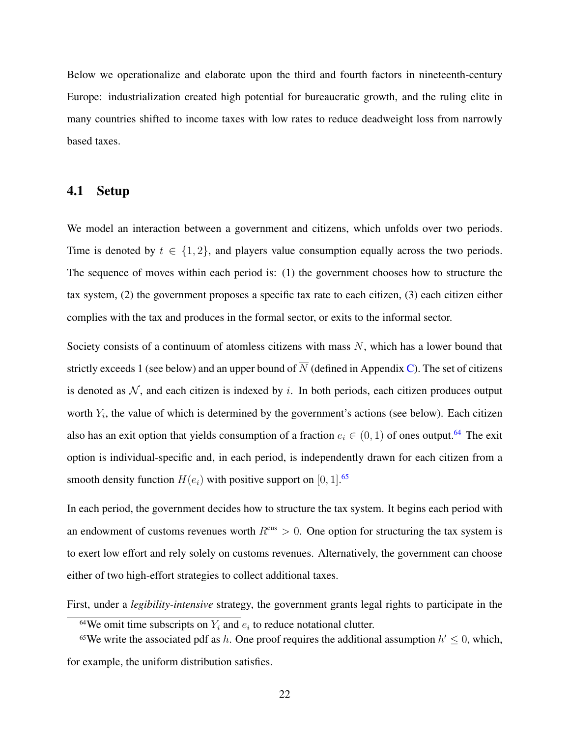Below we operationalize and elaborate upon the third and fourth factors in nineteenth-century Europe: industrialization created high potential for bureaucratic growth, and the ruling elite in many countries shifted to income taxes with low rates to reduce deadweight loss from narrowly based taxes.

### <span id="page-22-0"></span>4.1 Setup

We model an interaction between a government and citizens, which unfolds over two periods. Time is denoted by  $t \in \{1, 2\}$ , and players value consumption equally across the two periods. The sequence of moves within each period is: (1) the government chooses how to structure the tax system, (2) the government proposes a specific tax rate to each citizen, (3) each citizen either complies with the tax and produces in the formal sector, or exits to the informal sector.

Society consists of a continuum of atomless citizens with mass  $N$ , which has a lower bound that strictly exceeds 1 (see below) and an upper bound of  $\overline{N}$  (defined in Appendix [C\)](#page-78-0). The set of citizens is denoted as  $N$ , and each citizen is indexed by i. In both periods, each citizen produces output worth  $Y_i$ , the value of which is determined by the government's actions (see below). Each citizen also has an exit option that yields consumption of a fraction  $e_i \in (0,1)$  of ones output.<sup>[64](#page-0-0)</sup> The exit option is individual-specific and, in each period, is independently drawn for each citizen from a smooth density function  $H(e_i)$  with positive support on [0, 1].<sup>[65](#page-0-0)</sup>

In each period, the government decides how to structure the tax system. It begins each period with an endowment of customs revenues worth  $R<sup>cus</sup> > 0$ . One option for structuring the tax system is to exert low effort and rely solely on customs revenues. Alternatively, the government can choose either of two high-effort strategies to collect additional taxes.

First, under a *legibility-intensive* strategy, the government grants legal rights to participate in the

<sup>&</sup>lt;sup>64</sup>We omit time subscripts on  $Y_i$  and  $e_i$  to reduce notational clutter.

<sup>&</sup>lt;sup>65</sup>We write the associated pdf as h. One proof requires the additional assumption  $h' \leq 0$ , which, for example, the uniform distribution satisfies.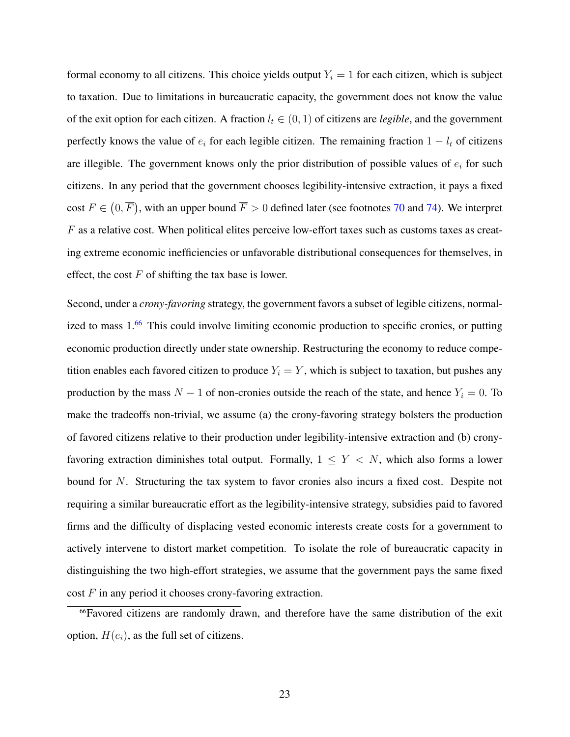formal economy to all citizens. This choice yields output  $Y_i = 1$  for each citizen, which is subject to taxation. Due to limitations in bureaucratic capacity, the government does not know the value of the exit option for each citizen. A fraction  $l_t \in (0,1)$  of citizens are *legible*, and the government perfectly knows the value of  $e_i$  for each legible citizen. The remaining fraction  $1 - l_t$  of citizens are illegible. The government knows only the prior distribution of possible values of  $e_i$  for such citizens. In any period that the government chooses legibility-intensive extraction, it pays a fixed cost  $F \in (0, \overline{F})$ , with an upper bound  $\overline{F} > 0$  defined later (see footnotes [70](#page-26-0) and [74\)](#page-30-0). We interpret  $F$  as a relative cost. When political elites perceive low-effort taxes such as customs taxes as creating extreme economic inefficiencies or unfavorable distributional consequences for themselves, in effect, the cost  $F$  of shifting the tax base is lower.

Second, under a *crony-favoring* strategy, the government favors a subset of legible citizens, normal-ized to mass 1.<sup>[66](#page-0-0)</sup> This could involve limiting economic production to specific cronies, or putting economic production directly under state ownership. Restructuring the economy to reduce competition enables each favored citizen to produce  $Y_i = Y$ , which is subject to taxation, but pushes any production by the mass  $N - 1$  of non-cronies outside the reach of the state, and hence  $Y_i = 0$ . To make the tradeoffs non-trivial, we assume (a) the crony-favoring strategy bolsters the production of favored citizens relative to their production under legibility-intensive extraction and (b) cronyfavoring extraction diminishes total output. Formally,  $1 \leq Y < N$ , which also forms a lower bound for N. Structuring the tax system to favor cronies also incurs a fixed cost. Despite not requiring a similar bureaucratic effort as the legibility-intensive strategy, subsidies paid to favored firms and the difficulty of displacing vested economic interests create costs for a government to actively intervene to distort market competition. To isolate the role of bureaucratic capacity in distinguishing the two high-effort strategies, we assume that the government pays the same fixed  $\cos F$  in any period it chooses crony-favoring extraction.

<sup>66</sup>Favored citizens are randomly drawn, and therefore have the same distribution of the exit option,  $H(e_i)$ , as the full set of citizens.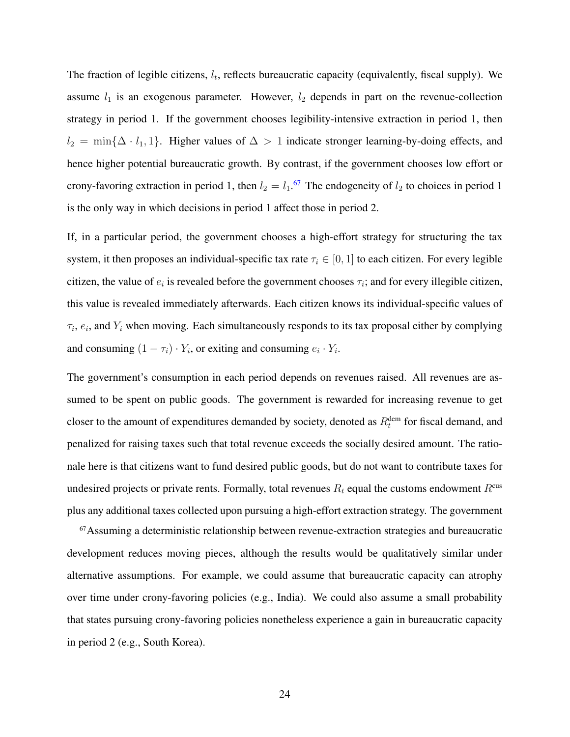The fraction of legible citizens,  $l_t$ , reflects bureaucratic capacity (equivalently, fiscal supply). We assume  $l_1$  is an exogenous parameter. However,  $l_2$  depends in part on the revenue-collection strategy in period 1. If the government chooses legibility-intensive extraction in period 1, then  $l_2 = \min{\Delta \cdot l_1, 1}$ . Higher values of  $\Delta > 1$  indicate stronger learning-by-doing effects, and hence higher potential bureaucratic growth. By contrast, if the government chooses low effort or crony-favoring extraction in period 1, then  $l_2 = l_1$ .<sup>[67](#page-0-0)</sup> The endogeneity of  $l_2$  to choices in period 1 is the only way in which decisions in period 1 affect those in period 2.

If, in a particular period, the government chooses a high-effort strategy for structuring the tax system, it then proposes an individual-specific tax rate  $\tau_i \in [0, 1]$  to each citizen. For every legible citizen, the value of  $e_i$  is revealed before the government chooses  $\tau_i$ ; and for every illegible citizen, this value is revealed immediately afterwards. Each citizen knows its individual-specific values of  $\tau_i$ ,  $e_i$ , and  $Y_i$  when moving. Each simultaneously responds to its tax proposal either by complying and consuming  $(1 - \tau_i) \cdot Y_i$ , or exiting and consuming  $e_i \cdot Y_i$ .

The government's consumption in each period depends on revenues raised. All revenues are assumed to be spent on public goods. The government is rewarded for increasing revenue to get closer to the amount of expenditures demanded by society, denoted as  $R_t^{\text{dem}}$  for fiscal demand, and penalized for raising taxes such that total revenue exceeds the socially desired amount. The rationale here is that citizens want to fund desired public goods, but do not want to contribute taxes for undesired projects or private rents. Formally, total revenues  $R_t$  equal the customs endowment  $R<sup>cus</sup>$ plus any additional taxes collected upon pursuing a high-effort extraction strategy. The government

<sup>67</sup>Assuming a deterministic relationship between revenue-extraction strategies and bureaucratic development reduces moving pieces, although the results would be qualitatively similar under alternative assumptions. For example, we could assume that bureaucratic capacity can atrophy over time under crony-favoring policies (e.g., India). We could also assume a small probability that states pursuing crony-favoring policies nonetheless experience a gain in bureaucratic capacity in period 2 (e.g., South Korea).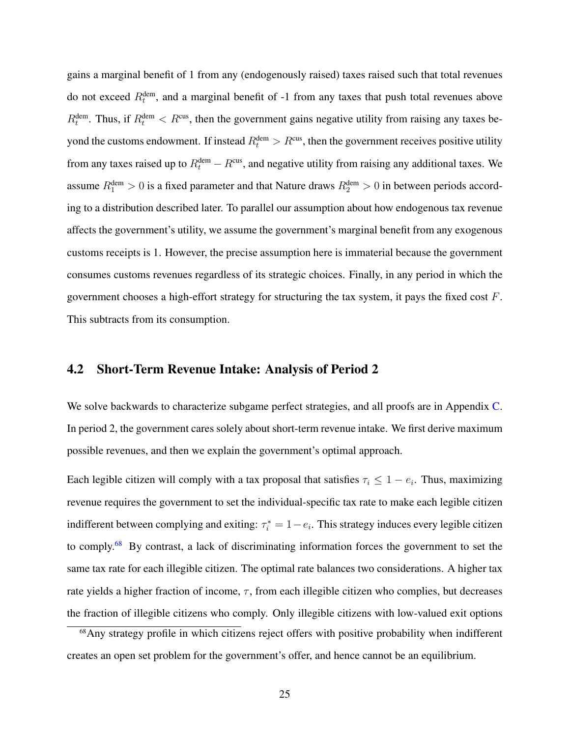gains a marginal benefit of 1 from any (endogenously raised) taxes raised such that total revenues do not exceed  $R_t^{\text{dem}}$ , and a marginal benefit of -1 from any taxes that push total revenues above  $R_t^{\text{dem}}$ . Thus, if  $R_t^{\text{dem}} < R^{\text{cus}}$ , then the government gains negative utility from raising any taxes beyond the customs endowment. If instead  $R_t^{\text{dem}} > R^{\text{cus}}$ , then the government receives positive utility from any taxes raised up to  $R_t^{\text{dem}} - R^{\text{cus}}$ , and negative utility from raising any additional taxes. We assume  $R_1^{\text{dem}} > 0$  is a fixed parameter and that Nature draws  $R_2^{\text{dem}} > 0$  in between periods according to a distribution described later. To parallel our assumption about how endogenous tax revenue affects the government's utility, we assume the government's marginal benefit from any exogenous customs receipts is 1. However, the precise assumption here is immaterial because the government consumes customs revenues regardless of its strategic choices. Finally, in any period in which the government chooses a high-effort strategy for structuring the tax system, it pays the fixed cost F. This subtracts from its consumption.

### 4.2 Short-Term Revenue Intake: Analysis of Period 2

We solve backwards to characterize subgame perfect strategies, and all proofs are in Appendix [C.](#page-78-0) In period 2, the government cares solely about short-term revenue intake. We first derive maximum possible revenues, and then we explain the government's optimal approach.

Each legible citizen will comply with a tax proposal that satisfies  $\tau_i \leq 1 - e_i$ . Thus, maximizing revenue requires the government to set the individual-specific tax rate to make each legible citizen indifferent between complying and exiting:  $\tau_i^* = 1 - e_i$ . This strategy induces every legible citizen to comply.[68](#page-0-0) By contrast, a lack of discriminating information forces the government to set the same tax rate for each illegible citizen. The optimal rate balances two considerations. A higher tax rate yields a higher fraction of income,  $\tau$ , from each illegible citizen who complies, but decreases the fraction of illegible citizens who comply. Only illegible citizens with low-valued exit options

<sup>&</sup>lt;sup>68</sup>Any strategy profile in which citizens reject offers with positive probability when indifferent creates an open set problem for the government's offer, and hence cannot be an equilibrium.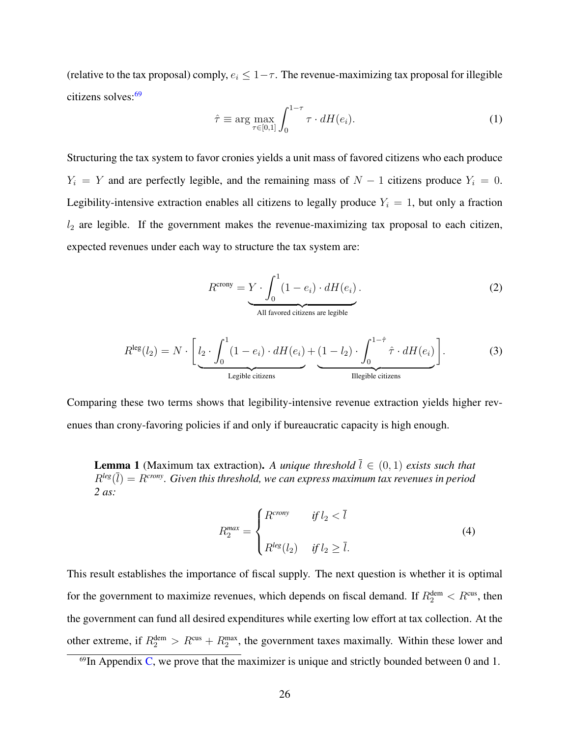(relative to the tax proposal) comply,  $e_i \leq 1-\tau$ . The revenue-maximizing tax proposal for illegible citizens solves:<sup>[69](#page-0-0)</sup>

<span id="page-26-1"></span>
$$
\hat{\tau} \equiv \arg \max_{\tau \in [0,1]} \int_0^{1-\tau} \tau \cdot dH(e_i). \tag{1}
$$

Structuring the tax system to favor cronies yields a unit mass of favored citizens who each produce  $Y_i = Y$  and are perfectly legible, and the remaining mass of  $N - 1$  citizens produce  $Y_i = 0$ . Legibility-intensive extraction enables all citizens to legally produce  $Y_i = 1$ , but only a fraction  $l_2$  are legible. If the government makes the revenue-maximizing tax proposal to each citizen, expected revenues under each way to structure the tax system are:

$$
R^{\text{crony}} = \underbrace{Y \cdot \int_0^1 (1 - e_i) \cdot dH(e_i)}_{\text{All favored citizens are legible}}.
$$
 (2)

$$
R^{\text{leg}}(l_2) = N \cdot \left[ l_2 \cdot \int_0^1 (1 - e_i) \cdot dH(e_i) + (1 - l_2) \cdot \int_0^{1 - \hat{\tau}} \hat{\tau} \cdot dH(e_i) \right].
$$
 (3)   
Legible citizens

Comparing these two terms shows that legibility-intensive revenue extraction yields higher revenues than crony-favoring policies if and only if bureaucratic capacity is high enough.

<span id="page-26-2"></span>**Lemma 1** (Maximum tax extraction). A unique threshold  $\overline{l} \in (0,1)$  exists such that  $R^{\text{leg}}(\bar{l}) = R^{\text{crony}}$ *. Given this threshold, we can express maximum tax revenues in period 2 as:*

<span id="page-26-0"></span>
$$
R_2^{max} = \begin{cases} R^{crony} & \text{if } l_2 < \bar{l} \\ R^{\text{leg}}(l_2) & \text{if } l_2 \ge \bar{l} \end{cases} \tag{4}
$$

This result establishes the importance of fiscal supply. The next question is whether it is optimal for the government to maximize revenues, which depends on fiscal demand. If  $R_2^{\text{dem}} < R^{\text{cus}}$ , then the government can fund all desired expenditures while exerting low effort at tax collection. At the other extreme, if  $R_2^{\text{dem}} > R^{\text{cus}} + R_2^{\text{max}}$ , the government taxes maximally. Within these lower and

 $^{69}$ In Appendix [C,](#page-78-0) we prove that the maximizer is unique and strictly bounded between 0 and 1.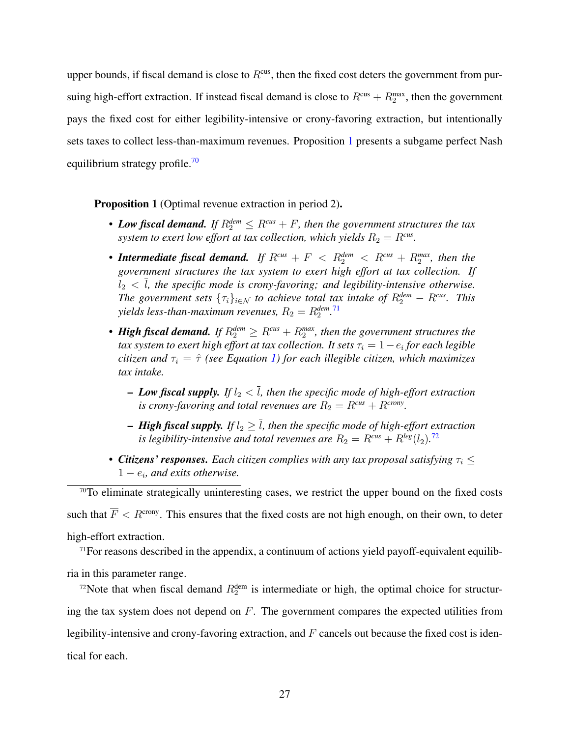upper bounds, if fiscal demand is close to  $R<sup>cus</sup>$ , then the fixed cost deters the government from pursuing high-effort extraction. If instead fiscal demand is close to  $R_{\text{c}}^{\text{cus}} + R_{2}^{\text{max}}$ , then the government pays the fixed cost for either legibility-intensive or crony-favoring extraction, but intentionally sets taxes to collect less-than-maximum revenues. Proposition [1](#page-27-0) presents a subgame perfect Nash equilibrium strategy profile. $\frac{70}{2}$  $\frac{70}{2}$  $\frac{70}{2}$ 

<span id="page-27-0"></span>Proposition 1 (Optimal revenue extraction in period 2).

- Low fiscal demand. If  $R_2^{dem} \leq R^{cus} + F$ , then the government structures the tax *system to exert low effort at tax collection, which yields*  $R_2 = R^{cus}$ .
- Intermediate fiscal demand. If  $R^{cus} + F < R_2^{dem} < R^{cus} + R_2^{max}$ , then the *government structures the tax system to exert high effort at tax collection. If*  $l_2 < \overline{l}$ , the specific mode is crony-favoring; and legibility-intensive otherwise. *The government sets*  $\{\tau_i\}_{i\in\mathcal{N}}$  *to achieve total tax intake of*  $R_2^{dem} - R^{cus}$ *. This* yields less-than-maximum revenues,  $R_2 = R_2^{dem.71}$  $R_2 = R_2^{dem.71}$  $R_2 = R_2^{dem.71}$
- High fiscal demand. If  $R_2^{dem} \geq R^{cus} + R_2^{max}$ , then the government structures the  $\emph{tax system}$  to exert high effort at tax collection. It sets  $\tau_i = 1 - e_i$  for each legible *citizen and*  $\tau_i = \hat{\tau}$  *(see Equation [1\)](#page-26-1) for each illegible citizen, which maximizes tax intake.*
	- **Low fiscal supply.** If  $l_2 < \overline{l}$ , then the specific mode of high-effort extraction *is crony-favoring and total revenues are*  $R_2 = R^{cus} + R^{crony}$ .
	- *High fiscal supply.* If  $l_2 \geq \overline{l}$ , then the specific mode of high-effort extraction is legibility-intensive and total revenues are  $R_2=R^{\text{cus}}+R^{\text{leg}}(l_2).^{72}$  $R_2=R^{\text{cus}}+R^{\text{leg}}(l_2).^{72}$  $R_2=R^{\text{cus}}+R^{\text{leg}}(l_2).^{72}$
- *Citizens' responses. Each citizen complies with any tax proposal satisfying* $\tau_i \leq$  $1 - e_i$ , and exits otherwise.

 $70$ To eliminate strategically uninteresting cases, we restrict the upper bound on the fixed costs such that  $\overline{F}$  <  $R^{crony}$ . This ensures that the fixed costs are not high enough, on their own, to deter high-effort extraction.

 $71$  For reasons described in the appendix, a continuum of actions yield payoff-equivalent equilib-

ria in this parameter range.

<sup>72</sup>Note that when fiscal demand  $R_2^{\text{dem}}$  is intermediate or high, the optimal choice for structuring the tax system does not depend on  $F$ . The government compares the expected utilities from legibility-intensive and crony-favoring extraction, and  $F$  cancels out because the fixed cost is identical for each.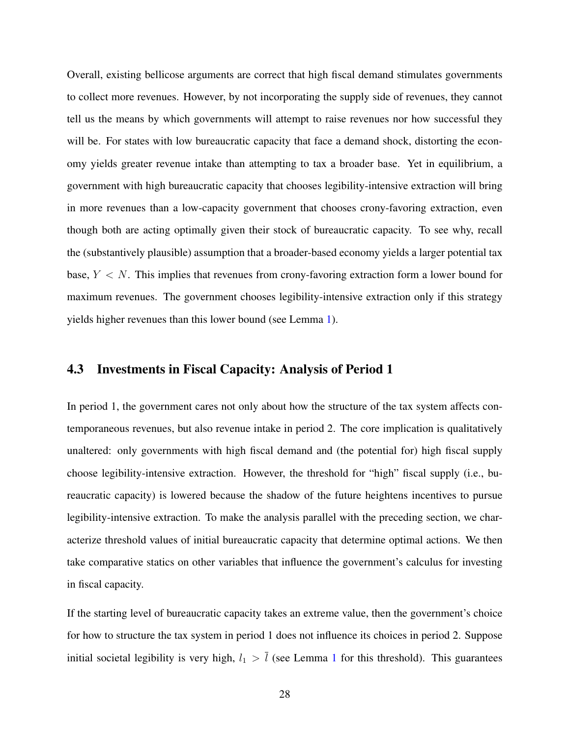Overall, existing bellicose arguments are correct that high fiscal demand stimulates governments to collect more revenues. However, by not incorporating the supply side of revenues, they cannot tell us the means by which governments will attempt to raise revenues nor how successful they will be. For states with low bureaucratic capacity that face a demand shock, distorting the economy yields greater revenue intake than attempting to tax a broader base. Yet in equilibrium, a government with high bureaucratic capacity that chooses legibility-intensive extraction will bring in more revenues than a low-capacity government that chooses crony-favoring extraction, even though both are acting optimally given their stock of bureaucratic capacity. To see why, recall the (substantively plausible) assumption that a broader-based economy yields a larger potential tax base,  $Y < N$ . This implies that revenues from crony-favoring extraction form a lower bound for maximum revenues. The government chooses legibility-intensive extraction only if this strategy yields higher revenues than this lower bound (see Lemma [1\)](#page-26-2).

### 4.3 Investments in Fiscal Capacity: Analysis of Period 1

In period 1, the government cares not only about how the structure of the tax system affects contemporaneous revenues, but also revenue intake in period 2. The core implication is qualitatively unaltered: only governments with high fiscal demand and (the potential for) high fiscal supply choose legibility-intensive extraction. However, the threshold for "high" fiscal supply (i.e., bureaucratic capacity) is lowered because the shadow of the future heightens incentives to pursue legibility-intensive extraction. To make the analysis parallel with the preceding section, we characterize threshold values of initial bureaucratic capacity that determine optimal actions. We then take comparative statics on other variables that influence the government's calculus for investing in fiscal capacity.

If the starting level of bureaucratic capacity takes an extreme value, then the government's choice for how to structure the tax system in period 1 does not influence its choices in period 2. Suppose initial societal legibility is very high,  $l_1 > \overline{l}$  $l_1 > \overline{l}$  $l_1 > \overline{l}$  (see Lemma 1 for this threshold). This guarantees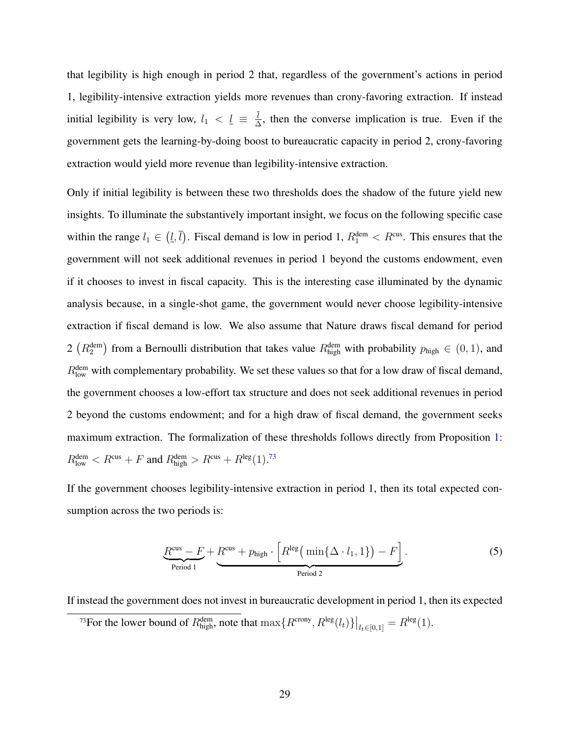that legibility is high enough in period 2 that, regardless of the government's actions in period 1, legibility-intensive extraction yields more revenues than crony-favoring extraction. If instead initial legibility is very low,  $l_1 < l \equiv \frac{l}{\Delta}$  $\frac{l}{\Delta}$ , then the converse implication is true. Even if the government gets the learning-by-doing boost to bureaucratic capacity in period 2, crony-favoring extraction would yield more revenue than legibility-intensive extraction.

Only if initial legibility is between these two thresholds does the shadow of the future yield new insights. To illuminate the substantively important insight, we focus on the following specific case within the range  $l_1 \in (l, \bar{l})$ . Fiscal demand is low in period 1,  $R_1^{\text{dem}} < R^{\text{cus}}$ . This ensures that the government will not seek additional revenues in period 1 beyond the customs endowment, even if it chooses to invest in fiscal capacity. This is the interesting case illuminated by the dynamic analysis because, in a single-shot game, the government would never choose legibility-intensive extraction if fiscal demand is low. We also assume that Nature draws fiscal demand for period 2  $(R_2^{\text{dem}})$  from a Bernoulli distribution that takes value  $R_{\text{high}}^{\text{dem}}$  with probability  $p_{\text{high}} \in (0,1)$ , and  $R_{\text{low}}^{\text{dem}}$  with complementary probability. We set these values so that for a low draw of fiscal demand, the government chooses a low-effort tax structure and does not seek additional revenues in period 2 beyond the customs endowment; and for a high draw of fiscal demand, the government seeks maximum extraction. The formalization of these thresholds follows directly from Proposition [1:](#page-27-0)  $R_{\text{low}}^{\text{dem}} < R^{\text{cus}} + F$  and  $R_{\text{high}}^{\text{dem}} > R^{\text{cus}} + R^{\text{leg}}(1).^{73}$  $R_{\text{high}}^{\text{dem}} > R^{\text{cus}} + R^{\text{leg}}(1).^{73}$  $R_{\text{high}}^{\text{dem}} > R^{\text{cus}} + R^{\text{leg}}(1).^{73}$ 

If the government chooses legibility-intensive extraction in period 1, then its total expected consumption across the two periods is:

$$
\underbrace{R^{\text{cus}} - F}_{\text{Period 1}} + \underbrace{R^{\text{cus}} + p_{\text{high}} \cdot \left[R^{\text{leg}} \left(\min\{\Delta \cdot l_1, 1\}\right) - F\right]}_{\text{Period 2}}.
$$
 (5)

If instead the government does not invest in bureaucratic development in period 1, then its expected <sup>73</sup>For the lower bound of  $R_{\text{high}}^{\text{dem}}$ , note that  $\max\{R^{\text{crony}}, R^{\text{leg}}(l_t)\}\big|_{l_t\in[0,1]} = R^{\text{leg}}(1)$ .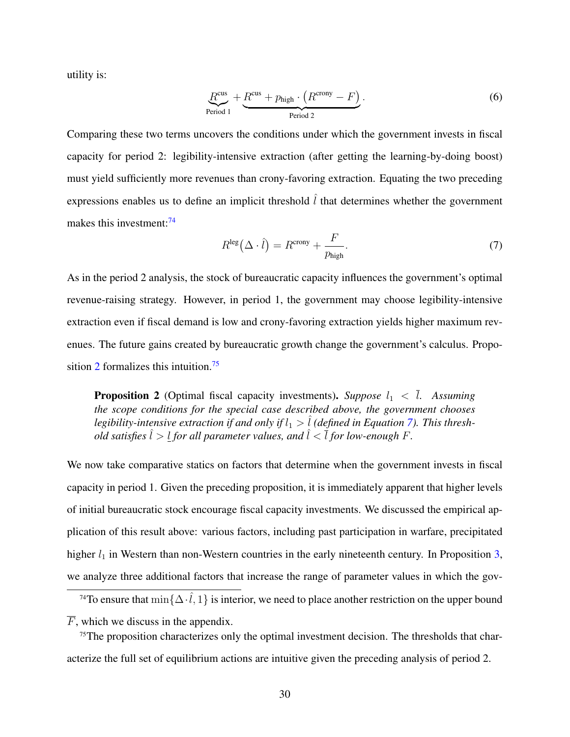utility is:

<span id="page-30-0"></span>
$$
\underbrace{R^{\text{cus}}}_{\text{Period 1}} + \underbrace{R^{\text{cus}} + p_{\text{high}} \cdot (R^{\text{crony}} - F)}_{\text{Period 2}}.
$$
 (6)

Comparing these two terms uncovers the conditions under which the government invests in fiscal capacity for period 2: legibility-intensive extraction (after getting the learning-by-doing boost) must yield sufficiently more revenues than crony-favoring extraction. Equating the two preceding expressions enables us to define an implicit threshold  $\hat{l}$  that determines whether the government makes this investment: $74$ 

<span id="page-30-2"></span>
$$
R^{\text{leg}}\left(\Delta \cdot \hat{l}\right) = R^{\text{crony}} + \frac{F}{p_{\text{high}}}.\tag{7}
$$

As in the period 2 analysis, the stock of bureaucratic capacity influences the government's optimal revenue-raising strategy. However, in period 1, the government may choose legibility-intensive extraction even if fiscal demand is low and crony-favoring extraction yields higher maximum revenues. The future gains created by bureaucratic growth change the government's calculus. Propo-sition [2](#page-30-1) formalizes this intuition.<sup>[75](#page-0-0)</sup>

<span id="page-30-1"></span>**Proposition 2** (Optimal fiscal capacity investments). *Suppose*  $l_1 < \overline{l}$ . Assuming *the scope conditions for the special case described above, the government chooses legibility-intensive extraction if and only if*  $l_1 > l$  *(defined in Equation [7\)](#page-30-2). This threshold satisfies*  $\hat{l} > l$  *for all parameter values, and*  $\hat{l} < \overline{l}$  *for low-enough* F.

We now take comparative statics on factors that determine when the government invests in fiscal capacity in period 1. Given the preceding proposition, it is immediately apparent that higher levels of initial bureaucratic stock encourage fiscal capacity investments. We discussed the empirical application of this result above: various factors, including past participation in warfare, precipitated higher  $l_1$  in Western than non-Western countries in the early nineteenth century. In Proposition [3,](#page-31-0) we analyze three additional factors that increase the range of parameter values in which the gov-

<sup>75</sup>The proposition characterizes only the optimal investment decision. The thresholds that characterize the full set of equilibrium actions are intuitive given the preceding analysis of period 2.

<sup>&</sup>lt;sup>74</sup>To ensure that  $\min\{\Delta \cdot \hat{l}, 1\}$  is interior, we need to place another restriction on the upper bound  $\overline{F}$ , which we discuss in the appendix.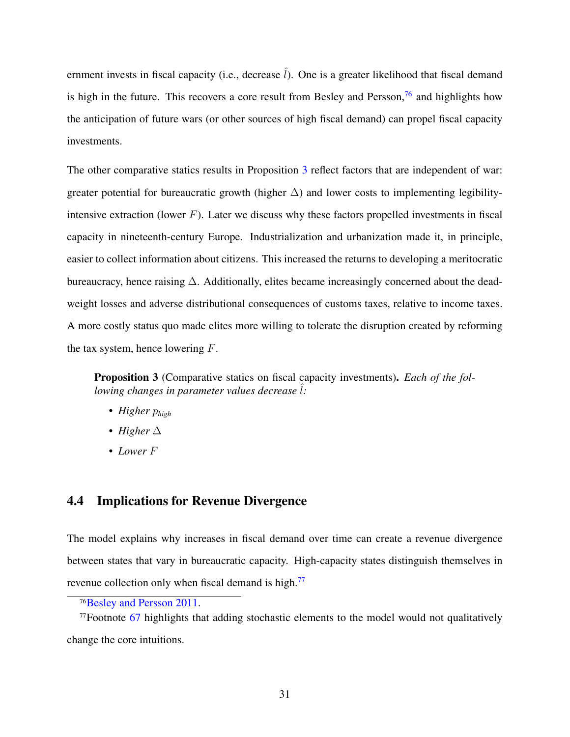ernment invests in fiscal capacity (i.e., decrease  $\hat{l}$ ). One is a greater likelihood that fiscal demand is high in the future. This recovers a core result from Besley and Persson,<sup>[76](#page-0-0)</sup> and highlights how the anticipation of future wars (or other sources of high fiscal demand) can propel fiscal capacity investments.

The other comparative statics results in Proposition [3](#page-31-0) reflect factors that are independent of war: greater potential for bureaucratic growth (higher  $\Delta$ ) and lower costs to implementing legibilityintensive extraction (lower  $F$ ). Later we discuss why these factors propelled investments in fiscal capacity in nineteenth-century Europe. Industrialization and urbanization made it, in principle, easier to collect information about citizens. This increased the returns to developing a meritocratic bureaucracy, hence raising ∆. Additionally, elites became increasingly concerned about the deadweight losses and adverse distributional consequences of customs taxes, relative to income taxes. A more costly status quo made elites more willing to tolerate the disruption created by reforming the tax system, hence lowering  $F$ .

<span id="page-31-0"></span>Proposition 3 (Comparative statics on fiscal capacity investments). *Each of the following changes in parameter values decrease*  $\hat{l}$ *:* 

- *• Higher* p*high*
- *• Higher* ∆
- *• Lower* F

### 4.4 Implications for Revenue Divergence

The model explains why increases in fiscal demand over time can create a revenue divergence between states that vary in bureaucratic capacity. High-capacity states distinguish themselves in revenue collection only when fiscal demand is high. $^{77}$  $^{77}$  $^{77}$ 

<sup>76</sup>[Besley and Persson](#page-50-3) [2011.](#page-50-3)

 $77$ Footnote [67](#page-22-0) highlights that adding stochastic elements to the model would not qualitatively change the core intuitions.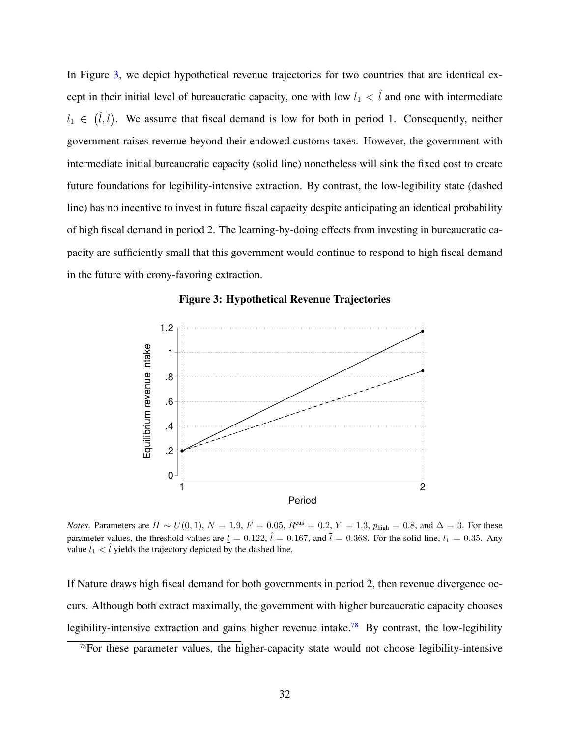In Figure [3,](#page-32-0) we depict hypothetical revenue trajectories for two countries that are identical except in their initial level of bureaucratic capacity, one with low  $l_1 < \hat{l}$  and one with intermediate  $l_1 \in (\hat{l}, \bar{l})$ . We assume that fiscal demand is low for both in period 1. Consequently, neither government raises revenue beyond their endowed customs taxes. However, the government with intermediate initial bureaucratic capacity (solid line) nonetheless will sink the fixed cost to create future foundations for legibility-intensive extraction. By contrast, the low-legibility state (dashed line) has no incentive to invest in future fiscal capacity despite anticipating an identical probability of high fiscal demand in period 2. The learning-by-doing effects from investing in bureaucratic capacity are sufficiently small that this government would continue to respond to high fiscal demand in the future with crony-favoring extraction.

<span id="page-32-0"></span>

Figure 3: Hypothetical Revenue Trajectories

*Notes*. Parameters are  $H \sim U(0, 1)$ ,  $N = 1.9$ ,  $F = 0.05$ ,  $R^{\text{cus}} = 0.2$ ,  $Y = 1.3$ ,  $p_{\text{high}} = 0.8$ , and  $\Delta = 3$ . For these parameter values, the threshold values are  $\underline{l} = 0.122$ ,  $\hat{l} = 0.167$ , and  $\overline{l} = 0.368$ . For the solid line,  $l_1 = 0.35$ . Any value  $l_1 < \hat{l}$  yields the trajectory depicted by the dashed line.

If Nature draws high fiscal demand for both governments in period 2, then revenue divergence occurs. Although both extract maximally, the government with higher bureaucratic capacity chooses legibility-intensive extraction and gains higher revenue intake.<sup>[78](#page-0-0)</sup> By contrast, the low-legibility

<sup>78</sup>For these parameter values, the higher-capacity state would not choose legibility-intensive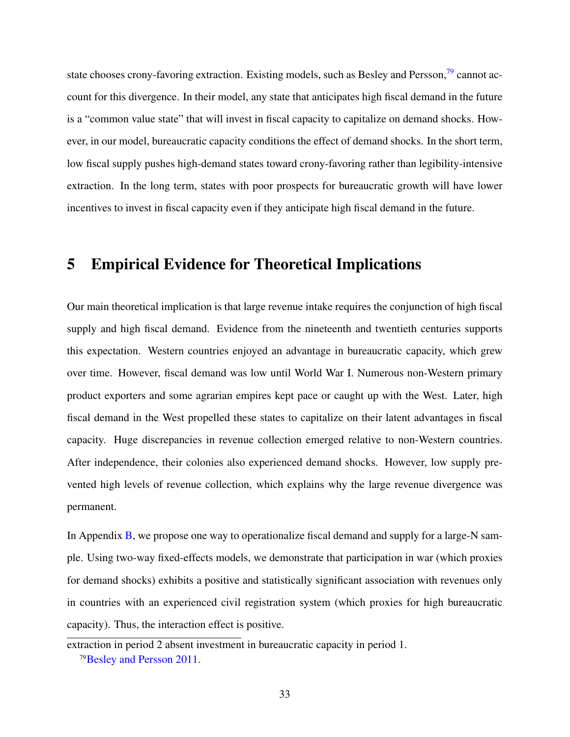state chooses crony-favoring extraction. Existing models, such as Besley and Persson,<sup>[79](#page-0-0)</sup> cannot account for this divergence. In their model, any state that anticipates high fiscal demand in the future is a "common value state" that will invest in fiscal capacity to capitalize on demand shocks. However, in our model, bureaucratic capacity conditions the effect of demand shocks. In the short term, low fiscal supply pushes high-demand states toward crony-favoring rather than legibility-intensive extraction. In the long term, states with poor prospects for bureaucratic growth will have lower incentives to invest in fiscal capacity even if they anticipate high fiscal demand in the future.

# 5 Empirical Evidence for Theoretical Implications

Our main theoretical implication is that large revenue intake requires the conjunction of high fiscal supply and high fiscal demand. Evidence from the nineteenth and twentieth centuries supports this expectation. Western countries enjoyed an advantage in bureaucratic capacity, which grew over time. However, fiscal demand was low until World War I. Numerous non-Western primary product exporters and some agrarian empires kept pace or caught up with the West. Later, high fiscal demand in the West propelled these states to capitalize on their latent advantages in fiscal capacity. Huge discrepancies in revenue collection emerged relative to non-Western countries. After independence, their colonies also experienced demand shocks. However, low supply prevented high levels of revenue collection, which explains why the large revenue divergence was permanent.

In Appendix [B,](#page-70-0) we propose one way to operationalize fiscal demand and supply for a large-N sample. Using two-way fixed-effects models, we demonstrate that participation in war (which proxies for demand shocks) exhibits a positive and statistically significant association with revenues only in countries with an experienced civil registration system (which proxies for high bureaucratic capacity). Thus, the interaction effect is positive.

extraction in period 2 absent investment in bureaucratic capacity in period 1. <sup>79</sup>[Besley and Persson](#page-50-3) [2011.](#page-50-3)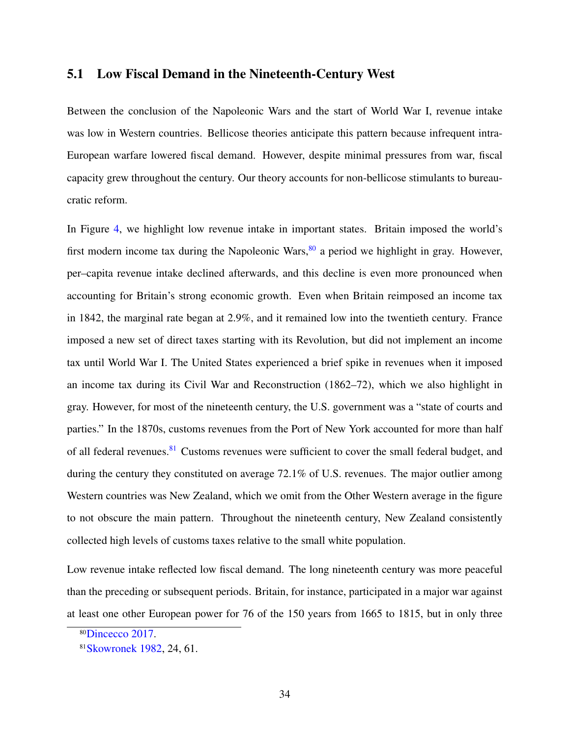### 5.1 Low Fiscal Demand in the Nineteenth-Century West

Between the conclusion of the Napoleonic Wars and the start of World War I, revenue intake was low in Western countries. Bellicose theories anticipate this pattern because infrequent intra-European warfare lowered fiscal demand. However, despite minimal pressures from war, fiscal capacity grew throughout the century. Our theory accounts for non-bellicose stimulants to bureaucratic reform.

In Figure [4,](#page-35-0) we highlight low revenue intake in important states. Britain imposed the world's first modern income tax during the Napoleonic Wars,  $\frac{80}{9}$  $\frac{80}{9}$  $\frac{80}{9}$  a period we highlight in gray. However, per–capita revenue intake declined afterwards, and this decline is even more pronounced when accounting for Britain's strong economic growth. Even when Britain reimposed an income tax in 1842, the marginal rate began at 2.9%, and it remained low into the twentieth century. France imposed a new set of direct taxes starting with its Revolution, but did not implement an income tax until World War I. The United States experienced a brief spike in revenues when it imposed an income tax during its Civil War and Reconstruction (1862–72), which we also highlight in gray. However, for most of the nineteenth century, the U.S. government was a "state of courts and parties." In the 1870s, customs revenues from the Port of New York accounted for more than half of all federal revenues.<sup>[81](#page-0-0)</sup> Customs revenues were sufficient to cover the small federal budget, and during the century they constituted on average 72.1% of U.S. revenues. The major outlier among Western countries was New Zealand, which we omit from the Other Western average in the figure to not obscure the main pattern. Throughout the nineteenth century, New Zealand consistently collected high levels of customs taxes relative to the small white population.

Low revenue intake reflected low fiscal demand. The long nineteenth century was more peaceful than the preceding or subsequent periods. Britain, for instance, participated in a major war against at least one other European power for 76 of the 150 years from 1665 to 1815, but in only three

<sup>80</sup>[Dincecco](#page-52-1) [2017.](#page-52-1)

<sup>81</sup>[Skowronek](#page-54-8) [1982,](#page-54-8) 24, 61.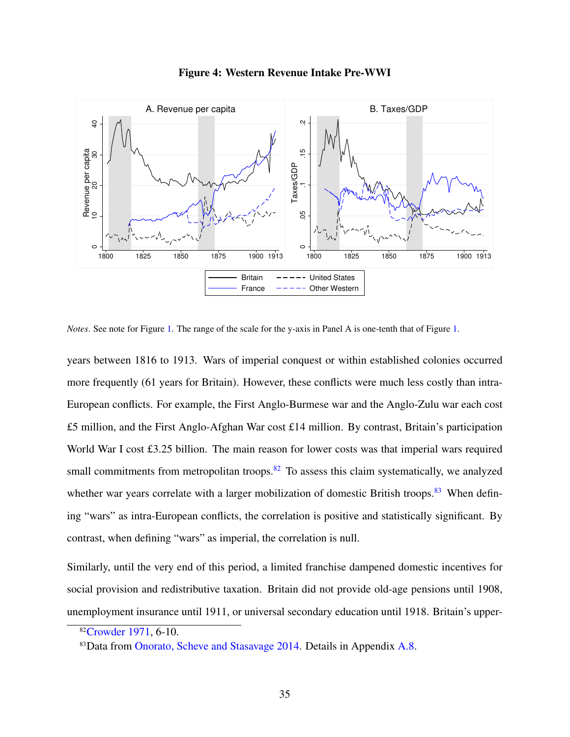<span id="page-35-0"></span>

Figure 4: Western Revenue Intake Pre-WWI

*Notes*. See note for Figure [1.](#page-10-0) The range of the scale for the y-axis in Panel A is one-tenth that of Figure 1.

years between 1816 to 1913. Wars of imperial conquest or within established colonies occurred more frequently (61 years for Britain). However, these conflicts were much less costly than intra-European conflicts. For example, the First Anglo-Burmese war and the Anglo-Zulu war each cost £5 million, and the First Anglo-Afghan War cost £14 million. By contrast, Britain's participation World War I cost  $\pounds$ 3.25 billion. The main reason for lower costs was that imperial wars required small commitments from metropolitan troops. $82$  To assess this claim systematically, we analyzed whether war years correlate with a larger mobilization of domestic British troops.<sup>[83](#page-0-0)</sup> When defining "wars" as intra-European conflicts, the correlation is positive and statistically significant. By contrast, when defining "wars" as imperial, the correlation is null.

Similarly, until the very end of this period, a limited franchise dampened domestic incentives for social provision and redistributive taxation. Britain did not provide old-age pensions until 1908, unemployment insurance until 1911, or universal secondary education until 1918. Britain's upper-

<sup>82</sup>[Crowder](#page-51-8) [1971,](#page-51-8) 6-10.

<sup>83</sup>Data from [Onorato, Scheve and Stasavage](#page-53-9) [2014.](#page-53-9) Details in Appendix [A.8.](#page-69-0)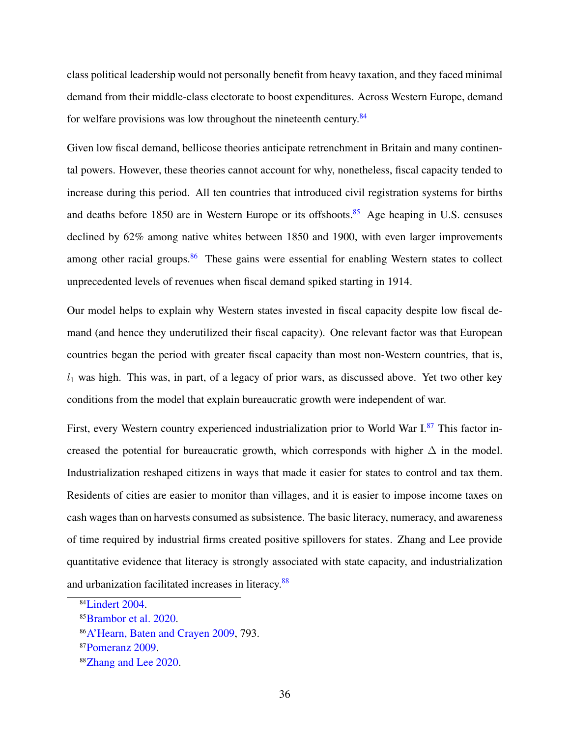class political leadership would not personally benefit from heavy taxation, and they faced minimal demand from their middle-class electorate to boost expenditures. Across Western Europe, demand for welfare provisions was low throughout the nineteenth century.<sup>[84](#page-0-0)</sup>

Given low fiscal demand, bellicose theories anticipate retrenchment in Britain and many continental powers. However, these theories cannot account for why, nonetheless, fiscal capacity tended to increase during this period. All ten countries that introduced civil registration systems for births and deaths before 1[85](#page-0-0)0 are in Western Europe or its offshoots.<sup>85</sup> Age heaping in U.S. censuses declined by 62% among native whites between 1850 and 1900, with even larger improvements among other racial groups. $86$  These gains were essential for enabling Western states to collect unprecedented levels of revenues when fiscal demand spiked starting in 1914.

Our model helps to explain why Western states invested in fiscal capacity despite low fiscal demand (and hence they underutilized their fiscal capacity). One relevant factor was that European countries began the period with greater fiscal capacity than most non-Western countries, that is,  $l_1$  was high. This was, in part, of a legacy of prior wars, as discussed above. Yet two other key conditions from the model that explain bureaucratic growth were independent of war.

First, every Western country experienced industrialization prior to World War I.[87](#page-0-0) This factor increased the potential for bureaucratic growth, which corresponds with higher  $\Delta$  in the model. Industrialization reshaped citizens in ways that made it easier for states to control and tax them. Residents of cities are easier to monitor than villages, and it is easier to impose income taxes on cash wages than on harvests consumed as subsistence. The basic literacy, numeracy, and awareness of time required by industrial firms created positive spillovers for states. Zhang and Lee provide quantitative evidence that literacy is strongly associated with state capacity, and industrialization and urbanization facilitated increases in literacy.[88](#page-0-0)

<sup>84</sup>[Lindert](#page-53-0) [2004.](#page-53-0)

<sup>85</sup>[Brambor et al.](#page-51-0) [2020.](#page-51-0)

<sup>86</sup>[A'Hearn, Baten and Crayen](#page-50-0) [2009,](#page-50-0) 793.

<sup>87</sup>[Pomeranz](#page-53-1) [2009.](#page-53-1)

<sup>88</sup>[Zhang and Lee](#page-55-0) [2020.](#page-55-0)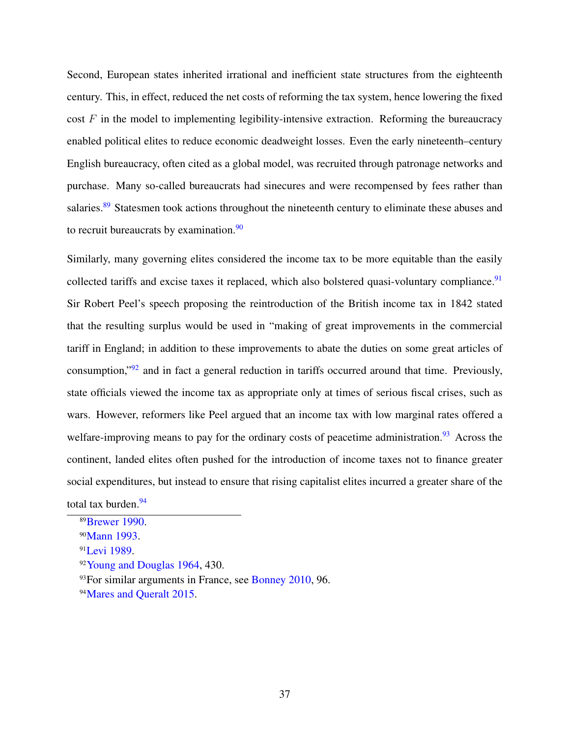Second, European states inherited irrational and inefficient state structures from the eighteenth century. This, in effect, reduced the net costs of reforming the tax system, hence lowering the fixed cost  $F$  in the model to implementing legibility-intensive extraction. Reforming the bureaucracy enabled political elites to reduce economic deadweight losses. Even the early nineteenth–century English bureaucracy, often cited as a global model, was recruited through patronage networks and purchase. Many so-called bureaucrats had sinecures and were recompensed by fees rather than salaries.<sup>[89](#page-0-0)</sup> Statesmen took actions throughout the nineteenth century to eliminate these abuses and to recruit bureaucrats by examination.<sup>[90](#page-0-0)</sup>

Similarly, many governing elites considered the income tax to be more equitable than the easily collected tariffs and excise taxes it replaced, which also bolstered quasi-voluntary compliance.<sup>[91](#page-0-0)</sup> Sir Robert Peel's speech proposing the reintroduction of the British income tax in 1842 stated that the resulting surplus would be used in "making of great improvements in the commercial tariff in England; in addition to these improvements to abate the duties on some great articles of consumption,"[92](#page-0-0) and in fact a general reduction in tariffs occurred around that time. Previously, state officials viewed the income tax as appropriate only at times of serious fiscal crises, such as wars. However, reformers like Peel argued that an income tax with low marginal rates offered a welfare-improving means to pay for the ordinary costs of peacetime administration.<sup>[93](#page-0-0)</sup> Across the continent, landed elites often pushed for the introduction of income taxes not to finance greater social expenditures, but instead to ensure that rising capitalist elites incurred a greater share of the total tax burden.<sup>[94](#page-0-0)</sup>

<sup>89</sup>[Brewer](#page-51-1) [1990.](#page-51-1)

<sup>90</sup>[Mann](#page-53-2) [1993.](#page-53-2)

<sup>&</sup>lt;sup>91</sup>[Levi](#page-53-3) [1989.](#page-53-3)

<sup>92</sup>[Young and Douglas](#page-55-1) [1964,](#page-55-1) 430.

<sup>&</sup>lt;sup>93</sup>For similar arguments in France, see [Bonney](#page-51-2) [2010,](#page-51-2) 96.

<sup>94</sup>[Mares and Queralt](#page-53-4) [2015.](#page-53-4)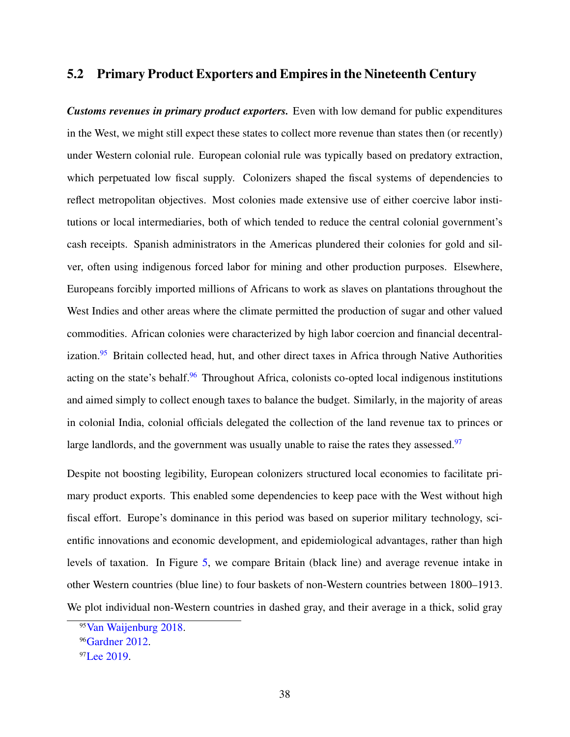# <span id="page-38-0"></span>5.2 Primary Product Exporters and Empires in the Nineteenth Century

*Customs revenues in primary product exporters.* Even with low demand for public expenditures in the West, we might still expect these states to collect more revenue than states then (or recently) under Western colonial rule. European colonial rule was typically based on predatory extraction, which perpetuated low fiscal supply. Colonizers shaped the fiscal systems of dependencies to reflect metropolitan objectives. Most colonies made extensive use of either coercive labor institutions or local intermediaries, both of which tended to reduce the central colonial government's cash receipts. Spanish administrators in the Americas plundered their colonies for gold and silver, often using indigenous forced labor for mining and other production purposes. Elsewhere, Europeans forcibly imported millions of Africans to work as slaves on plantations throughout the West Indies and other areas where the climate permitted the production of sugar and other valued commodities. African colonies were characterized by high labor coercion and financial decentral-ization.<sup>[95](#page-0-0)</sup> Britain collected head, hut, and other direct taxes in Africa through Native Authorities acting on the state's behalf.<sup>[96](#page-0-0)</sup> Throughout Africa, colonists co-opted local indigenous institutions and aimed simply to collect enough taxes to balance the budget. Similarly, in the majority of areas in colonial India, colonial officials delegated the collection of the land revenue tax to princes or large landlords, and the government was usually unable to raise the rates they assessed.<sup>[97](#page-0-0)</sup>

Despite not boosting legibility, European colonizers structured local economies to facilitate primary product exports. This enabled some dependencies to keep pace with the West without high fiscal effort. Europe's dominance in this period was based on superior military technology, scientific innovations and economic development, and epidemiological advantages, rather than high levels of taxation. In Figure [5,](#page-39-0) we compare Britain (black line) and average revenue intake in other Western countries (blue line) to four baskets of non-Western countries between 1800–1913. We plot individual non-Western countries in dashed gray, and their average in a thick, solid gray

<sup>95</sup>[Van Waijenburg](#page-54-0) [2018.](#page-54-0)

<sup>&</sup>lt;sup>96</sup>[Gardner](#page-52-0) [2012.](#page-52-0)

<sup>&</sup>lt;sup>97</sup>[Lee](#page-53-5) [2019.](#page-53-5)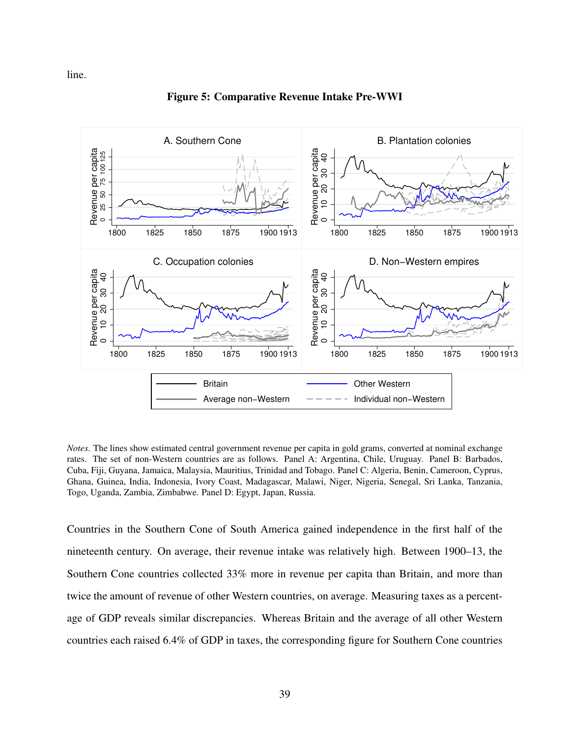line.

<span id="page-39-0"></span>

#### Figure 5: Comparative Revenue Intake Pre-WWI

*Notes*. The lines show estimated central government revenue per capita in gold grams, converted at nominal exchange rates. The set of non-Western countries are as follows. Panel A: Argentina, Chile, Uruguay. Panel B: Barbados, Cuba, Fiji, Guyana, Jamaica, Malaysia, Mauritius, Trinidad and Tobago. Panel C: Algeria, Benin, Cameroon, Cyprus, Ghana, Guinea, India, Indonesia, Ivory Coast, Madagascar, Malawi, Niger, Nigeria, Senegal, Sri Lanka, Tanzania, Togo, Uganda, Zambia, Zimbabwe. Panel D: Egypt, Japan, Russia.

Countries in the Southern Cone of South America gained independence in the first half of the nineteenth century. On average, their revenue intake was relatively high. Between 1900–13, the Southern Cone countries collected 33% more in revenue per capita than Britain, and more than twice the amount of revenue of other Western countries, on average. Measuring taxes as a percentage of GDP reveals similar discrepancies. Whereas Britain and the average of all other Western countries each raised 6.4% of GDP in taxes, the corresponding figure for Southern Cone countries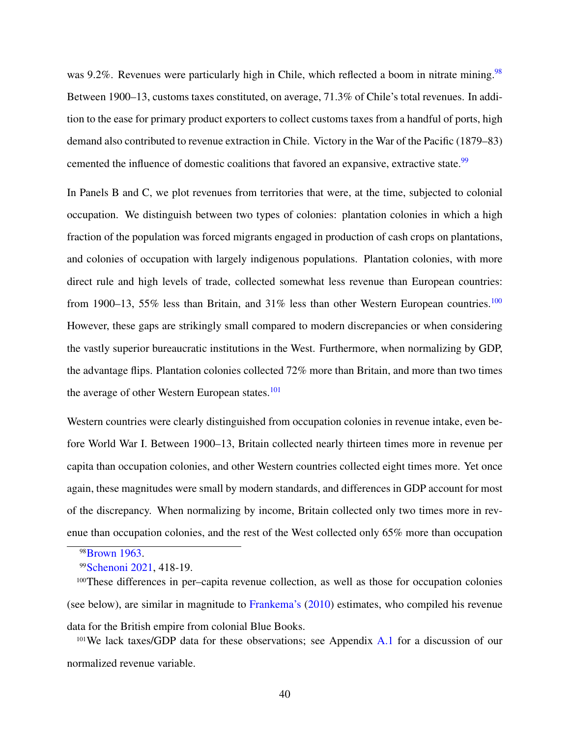was 9.2%. Revenues were particularly high in Chile, which reflected a boom in nitrate mining.<sup>[98](#page-0-0)</sup> Between 1900–13, customs taxes constituted, on average, 71.3% of Chile's total revenues. In addition to the ease for primary product exporters to collect customs taxes from a handful of ports, high demand also contributed to revenue extraction in Chile. Victory in the War of the Pacific (1879–83) cemented the influence of domestic coalitions that favored an expansive, extractive state.<sup>[99](#page-0-0)</sup>

In Panels B and C, we plot revenues from territories that were, at the time, subjected to colonial occupation. We distinguish between two types of colonies: plantation colonies in which a high fraction of the population was forced migrants engaged in production of cash crops on plantations, and colonies of occupation with largely indigenous populations. Plantation colonies, with more direct rule and high levels of trade, collected somewhat less revenue than European countries: from 1900–13, 55% less than Britain, and 31% less than other Western European countries.<sup>[100](#page-0-0)</sup> However, these gaps are strikingly small compared to modern discrepancies or when considering the vastly superior bureaucratic institutions in the West. Furthermore, when normalizing by GDP, the advantage flips. Plantation colonies collected 72% more than Britain, and more than two times the average of other Western European states.<sup>[101](#page-0-0)</sup>

Western countries were clearly distinguished from occupation colonies in revenue intake, even before World War I. Between 1900–13, Britain collected nearly thirteen times more in revenue per capita than occupation colonies, and other Western countries collected eight times more. Yet once again, these magnitudes were small by modern standards, and differences in GDP account for most of the discrepancy. When normalizing by income, Britain collected only two times more in revenue than occupation colonies, and the rest of the West collected only 65% more than occupation

<sup>101</sup>We lack taxes/GDP data for these observations; see Appendix [A.1](#page-60-0) for a discussion of our normalized revenue variable.

<sup>98</sup>[Brown](#page-51-3) [1963.](#page-51-3)

<sup>99</sup> [Schenoni](#page-54-1) [2021,](#page-54-1) 418-19.

<sup>100</sup>These differences in per–capita revenue collection, as well as those for occupation colonies (see below), are similar in magnitude to [Frankema's](#page-52-1) [\(2010\)](#page-52-1) estimates, who compiled his revenue data for the British empire from colonial Blue Books.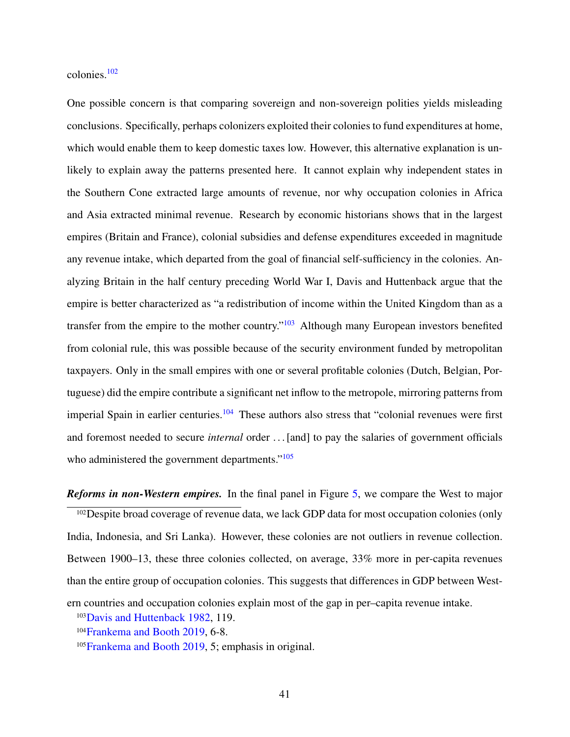colonies.[102](#page-0-0)

One possible concern is that comparing sovereign and non-sovereign polities yields misleading conclusions. Specifically, perhaps colonizers exploited their colonies to fund expenditures at home, which would enable them to keep domestic taxes low. However, this alternative explanation is unlikely to explain away the patterns presented here. It cannot explain why independent states in the Southern Cone extracted large amounts of revenue, nor why occupation colonies in Africa and Asia extracted minimal revenue. Research by economic historians shows that in the largest empires (Britain and France), colonial subsidies and defense expenditures exceeded in magnitude any revenue intake, which departed from the goal of financial self-sufficiency in the colonies. Analyzing Britain in the half century preceding World War I, Davis and Huttenback argue that the empire is better characterized as "a redistribution of income within the United Kingdom than as a transfer from the empire to the mother country."<sup>[103](#page-0-0)</sup> Although many European investors benefited from colonial rule, this was possible because of the security environment funded by metropolitan taxpayers. Only in the small empires with one or several profitable colonies (Dutch, Belgian, Portuguese) did the empire contribute a significant net inflow to the metropole, mirroring patterns from imperial Spain in earlier centuries.<sup>[104](#page-0-0)</sup> These authors also stress that "colonial revenues were first and foremost needed to secure *internal* order . . . [and] to pay the salaries of government officials who administered the government departments."<sup>[105](#page-0-0)</sup>

*Reforms in non-Western empires.* In the final panel in Figure [5,](#page-39-0) we compare the West to major  $102$  Despite broad coverage of revenue data, we lack GDP data for most occupation colonies (only India, Indonesia, and Sri Lanka). However, these colonies are not outliers in revenue collection. Between 1900–13, these three colonies collected, on average, 33% more in per-capita revenues than the entire group of occupation colonies. This suggests that differences in GDP between Western countries and occupation colonies explain most of the gap in per–capita revenue intake.

<sup>&</sup>lt;sup>103</sup>[Davis and Huttenback](#page-51-4) [1982,](#page-51-4) 119.

<sup>&</sup>lt;sup>104</sup>[Frankema and Booth](#page-52-2) [2019,](#page-52-2) 6-8.

<sup>105</sup>[Frankema and Booth](#page-52-2) [2019,](#page-52-2) 5; emphasis in original.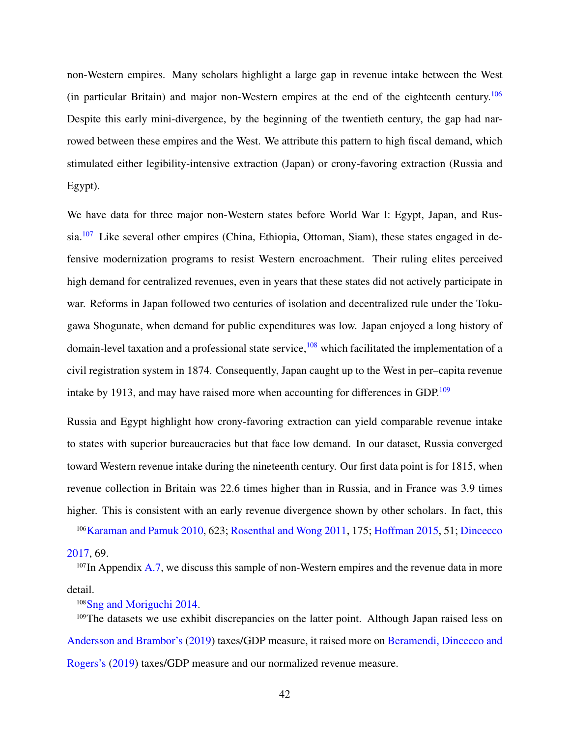non-Western empires. Many scholars highlight a large gap in revenue intake between the West (in particular Britain) and major non-Western empires at the end of the eighteenth century.<sup>[106](#page-0-0)</sup> Despite this early mini-divergence, by the beginning of the twentieth century, the gap had narrowed between these empires and the West. We attribute this pattern to high fiscal demand, which stimulated either legibility-intensive extraction (Japan) or crony-favoring extraction (Russia and Egypt).

We have data for three major non-Western states before World War I: Egypt, Japan, and Rus-sia.<sup>[107](#page-0-0)</sup> Like several other empires (China, Ethiopia, Ottoman, Siam), these states engaged in defensive modernization programs to resist Western encroachment. Their ruling elites perceived high demand for centralized revenues, even in years that these states did not actively participate in war. Reforms in Japan followed two centuries of isolation and decentralized rule under the Tokugawa Shogunate, when demand for public expenditures was low. Japan enjoyed a long history of domain-level taxation and a professional state service, $108$  which facilitated the implementation of a civil registration system in 1874. Consequently, Japan caught up to the West in per–capita revenue intake by 1913, and may have raised more when accounting for differences in GDP. $^{109}$  $^{109}$  $^{109}$ 

Russia and Egypt highlight how crony-favoring extraction can yield comparable revenue intake to states with superior bureaucracies but that face low demand. In our dataset, Russia converged toward Western revenue intake during the nineteenth century. Our first data point is for 1815, when revenue collection in Britain was 22.6 times higher than in Russia, and in France was 3.9 times higher. This is consistent with an early revenue divergence shown by other scholars. In fact, this

<sup>106</sup>[Karaman and Pamuk](#page-52-3) [2010,](#page-52-3) 623; [Rosenthal and Wong](#page-54-2) [2011,](#page-54-2) 175; [Hoffman](#page-52-4) [2015,](#page-52-4) 51; [Dincecco](#page-52-5) [2017,](#page-52-5) 69.

 $107$ In Appendix [A.7,](#page-68-0) we discuss this sample of non-Western empires and the revenue data in more detail.

<sup>108</sup>[Sng and Moriguchi](#page-54-3) [2014.](#page-54-3)

<sup>109</sup>The datasets we use exhibit discrepancies on the latter point. Although Japan raised less on [Andersson and Brambor's](#page-50-1) [\(2019\)](#page-50-1) taxes/GDP measure, it raised more on [Beramendi, Dincecco and](#page-50-2) [Rogers's](#page-50-2) [\(2019\)](#page-50-2) taxes/GDP measure and our normalized revenue measure.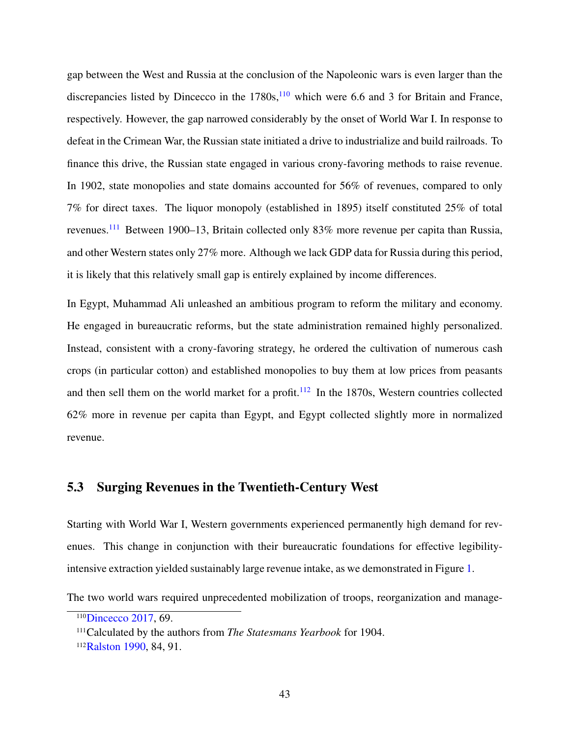gap between the West and Russia at the conclusion of the Napoleonic wars is even larger than the discrepancies listed by Dincecco in the  $1780s$ ,  $110$  which were 6.6 and 3 for Britain and France, respectively. However, the gap narrowed considerably by the onset of World War I. In response to defeat in the Crimean War, the Russian state initiated a drive to industrialize and build railroads. To finance this drive, the Russian state engaged in various crony-favoring methods to raise revenue. In 1902, state monopolies and state domains accounted for 56% of revenues, compared to only 7% for direct taxes. The liquor monopoly (established in 1895) itself constituted 25% of total revenues.[111](#page-0-0) Between 1900–13, Britain collected only 83% more revenue per capita than Russia, and other Western states only 27% more. Although we lack GDP data for Russia during this period, it is likely that this relatively small gap is entirely explained by income differences.

In Egypt, Muhammad Ali unleashed an ambitious program to reform the military and economy. He engaged in bureaucratic reforms, but the state administration remained highly personalized. Instead, consistent with a crony-favoring strategy, he ordered the cultivation of numerous cash crops (in particular cotton) and established monopolies to buy them at low prices from peasants and then sell them on the world market for a profit.<sup>[112](#page-0-0)</sup> In the 1870s, Western countries collected 62% more in revenue per capita than Egypt, and Egypt collected slightly more in normalized revenue.

#### <span id="page-43-0"></span>5.3 Surging Revenues in the Twentieth-Century West

Starting with World War I, Western governments experienced permanently high demand for revenues. This change in conjunction with their bureaucratic foundations for effective legibilityintensive extraction yielded sustainably large revenue intake, as we demonstrated in Figure [1.](#page-10-0)

The two world wars required unprecedented mobilization of troops, reorganization and manage-

<sup>&</sup>lt;sup>110</sup>[Dincecco](#page-52-5) [2017,](#page-52-5) 69.

<sup>111</sup>Calculated by the authors from *The Statesmans Yearbook* for 1904.

<sup>&</sup>lt;sup>112</sup>[Ralston](#page-54-4) [1990,](#page-54-4) 84, 91.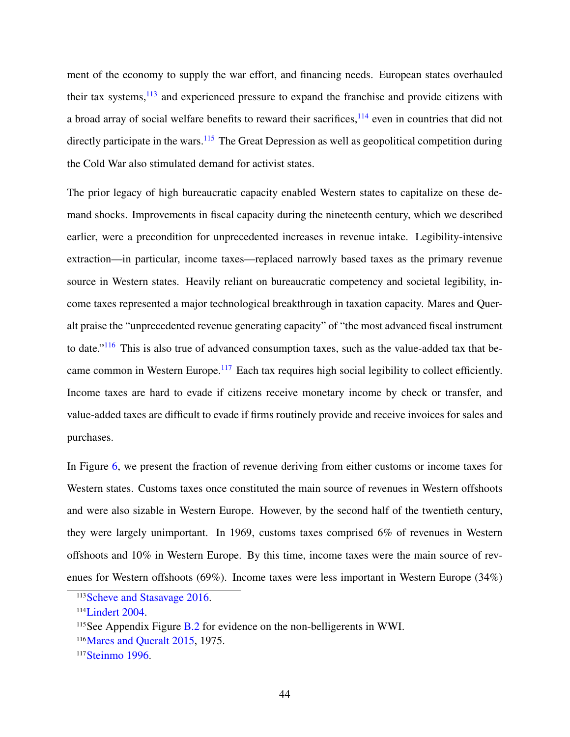ment of the economy to supply the war effort, and financing needs. European states overhauled their tax systems, $\frac{113}{113}$  $\frac{113}{113}$  $\frac{113}{113}$  and experienced pressure to expand the franchise and provide citizens with a broad array of social welfare benefits to reward their sacrifices, $114$  even in countries that did not directly participate in the wars.<sup>[115](#page-0-0)</sup> The Great Depression as well as geopolitical competition during the Cold War also stimulated demand for activist states.

The prior legacy of high bureaucratic capacity enabled Western states to capitalize on these demand shocks. Improvements in fiscal capacity during the nineteenth century, which we described earlier, were a precondition for unprecedented increases in revenue intake. Legibility-intensive extraction—in particular, income taxes—replaced narrowly based taxes as the primary revenue source in Western states. Heavily reliant on bureaucratic competency and societal legibility, income taxes represented a major technological breakthrough in taxation capacity. Mares and Queralt praise the "unprecedented revenue generating capacity" of "the most advanced fiscal instrument to date."[116](#page-0-0) This is also true of advanced consumption taxes, such as the value-added tax that be-came common in Western Europe.<sup>[117](#page-0-0)</sup> Each tax requires high social legibility to collect efficiently. Income taxes are hard to evade if citizens receive monetary income by check or transfer, and value-added taxes are difficult to evade if firms routinely provide and receive invoices for sales and purchases.

In Figure [6,](#page-45-0) we present the fraction of revenue deriving from either customs or income taxes for Western states. Customs taxes once constituted the main source of revenues in Western offshoots and were also sizable in Western Europe. However, by the second half of the twentieth century, they were largely unimportant. In 1969, customs taxes comprised 6% of revenues in Western offshoots and 10% in Western Europe. By this time, income taxes were the main source of revenues for Western offshoots (69%). Income taxes were less important in Western Europe (34%)

<sup>&</sup>lt;sup>113</sup>[Scheve and Stasavage](#page-54-5) [2016.](#page-54-5)

<sup>114</sup>[Lindert](#page-53-0) [2004.](#page-53-0)

 $115$ See Appendix Figure [B.2](#page-75-0) for evidence on the non-belligerents in WWI.

<sup>116</sup>[Mares and Queralt](#page-53-4) [2015,](#page-53-4) 1975.

<sup>&</sup>lt;sup>117</sup>[Steinmo](#page-54-6) [1996.](#page-54-6)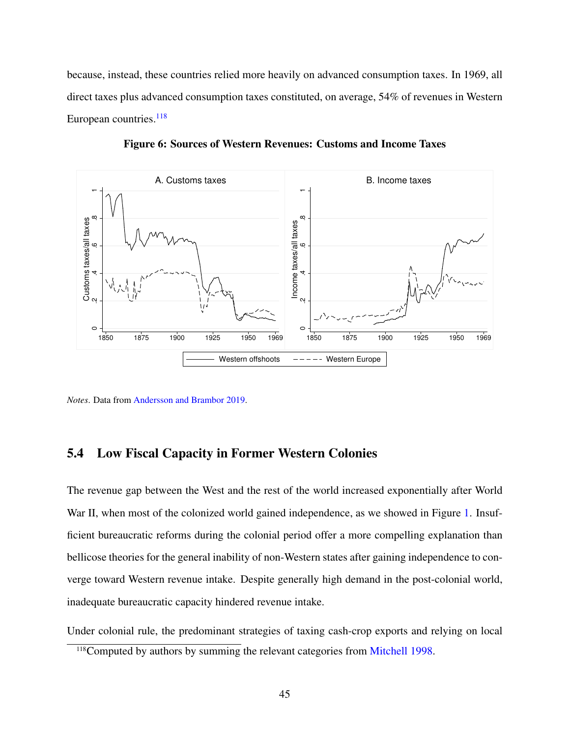because, instead, these countries relied more heavily on advanced consumption taxes. In 1969, all direct taxes plus advanced consumption taxes constituted, on average, 54% of revenues in Western European countries.<sup>[118](#page-0-0)</sup>

<span id="page-45-0"></span>

Figure 6: Sources of Western Revenues: Customs and Income Taxes

*Notes*. Data from [Andersson and Brambor](#page-50-1) [2019.](#page-50-1)

## <span id="page-45-1"></span>5.4 Low Fiscal Capacity in Former Western Colonies

The revenue gap between the West and the rest of the world increased exponentially after World War II, when most of the colonized world gained independence, as we showed in Figure [1.](#page-10-0) Insufficient bureaucratic reforms during the colonial period offer a more compelling explanation than bellicose theories for the general inability of non-Western states after gaining independence to converge toward Western revenue intake. Despite generally high demand in the post-colonial world, inadequate bureaucratic capacity hindered revenue intake.

Under colonial rule, the predominant strategies of taxing cash-crop exports and relying on local

<sup>&</sup>lt;sup>118</sup>Computed by authors by summing the relevant categories from [Mitchell](#page-53-6) [1998.](#page-53-6)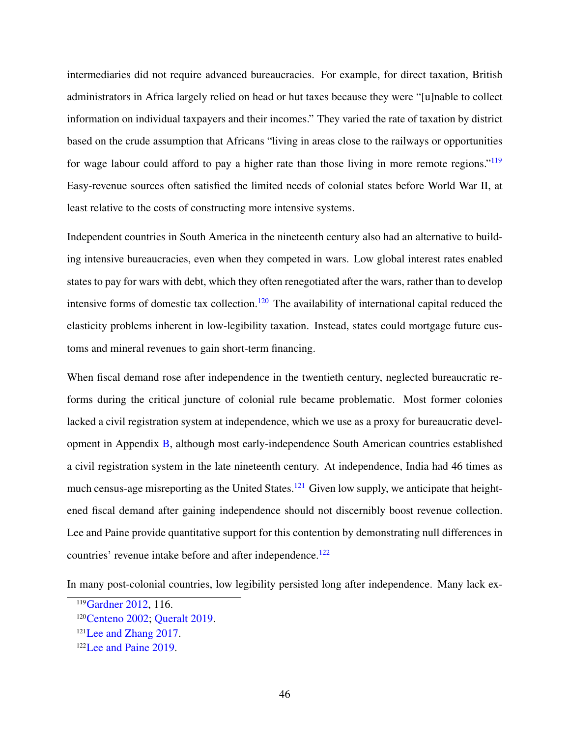intermediaries did not require advanced bureaucracies. For example, for direct taxation, British administrators in Africa largely relied on head or hut taxes because they were "[u]nable to collect information on individual taxpayers and their incomes." They varied the rate of taxation by district based on the crude assumption that Africans "living in areas close to the railways or opportunities for wage labour could afford to pay a higher rate than those living in more remote regions."<sup>[119](#page-0-0)</sup> Easy-revenue sources often satisfied the limited needs of colonial states before World War II, at least relative to the costs of constructing more intensive systems.

Independent countries in South America in the nineteenth century also had an alternative to building intensive bureaucracies, even when they competed in wars. Low global interest rates enabled states to pay for wars with debt, which they often renegotiated after the wars, rather than to develop intensive forms of domestic tax collection.<sup>[120](#page-0-0)</sup> The availability of international capital reduced the elasticity problems inherent in low-legibility taxation. Instead, states could mortgage future customs and mineral revenues to gain short-term financing.

When fiscal demand rose after independence in the twentieth century, neglected bureaucratic reforms during the critical juncture of colonial rule became problematic. Most former colonies lacked a civil registration system at independence, which we use as a proxy for bureaucratic development in Appendix [B,](#page-70-0) although most early-independence South American countries established a civil registration system in the late nineteenth century. At independence, India had 46 times as much census-age misreporting as the United States.<sup>[121](#page-0-0)</sup> Given low supply, we anticipate that heightened fiscal demand after gaining independence should not discernibly boost revenue collection. Lee and Paine provide quantitative support for this contention by demonstrating null differences in countries' revenue intake before and after independence.<sup>[122](#page-0-0)</sup>

In many post-colonial countries, low legibility persisted long after independence. Many lack ex-

<sup>&</sup>lt;sup>119</sup>[Gardner](#page-52-0) [2012,](#page-52-0) 116.

<sup>120</sup>[Centeno](#page-51-5) [2002;](#page-51-5) [Queralt](#page-54-7) [2019.](#page-54-7)

<sup>&</sup>lt;sup>121</sup>[Lee and Zhang](#page-53-7) [2017.](#page-53-7)

<sup>122</sup>[Lee and Paine](#page-53-8) [2019.](#page-53-8)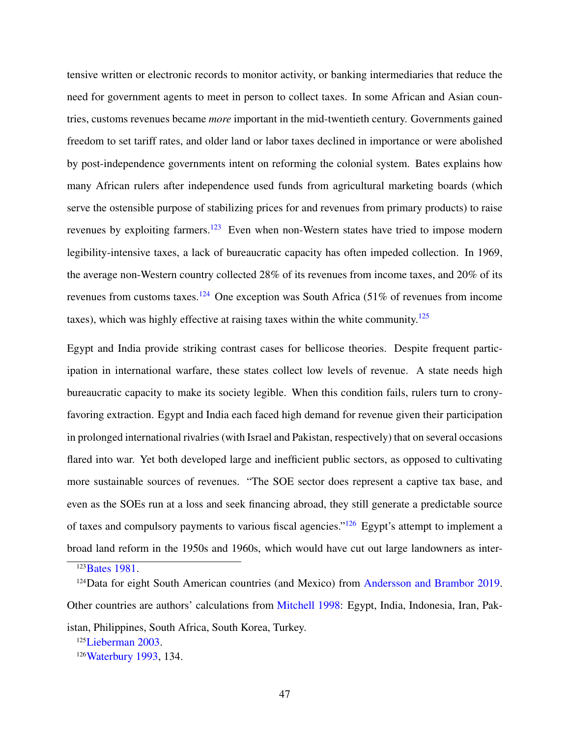tensive written or electronic records to monitor activity, or banking intermediaries that reduce the need for government agents to meet in person to collect taxes. In some African and Asian countries, customs revenues became *more* important in the mid-twentieth century. Governments gained freedom to set tariff rates, and older land or labor taxes declined in importance or were abolished by post-independence governments intent on reforming the colonial system. Bates explains how many African rulers after independence used funds from agricultural marketing boards (which serve the ostensible purpose of stabilizing prices for and revenues from primary products) to raise revenues by exploiting farmers.<sup>[123](#page-0-0)</sup> Even when non-Western states have tried to impose modern legibility-intensive taxes, a lack of bureaucratic capacity has often impeded collection. In 1969, the average non-Western country collected 28% of its revenues from income taxes, and 20% of its revenues from customs taxes.<sup>[124](#page-0-0)</sup> One exception was South Africa (51% of revenues from income taxes), which was highly effective at raising taxes within the white community.[125](#page-0-0)

Egypt and India provide striking contrast cases for bellicose theories. Despite frequent participation in international warfare, these states collect low levels of revenue. A state needs high bureaucratic capacity to make its society legible. When this condition fails, rulers turn to cronyfavoring extraction. Egypt and India each faced high demand for revenue given their participation in prolonged international rivalries (with Israel and Pakistan, respectively) that on several occasions flared into war. Yet both developed large and inefficient public sectors, as opposed to cultivating more sustainable sources of revenues. "The SOE sector does represent a captive tax base, and even as the SOEs run at a loss and seek financing abroad, they still generate a predictable source of taxes and compulsory payments to various fiscal agencies."[126](#page-0-0) Egypt's attempt to implement a broad land reform in the 1950s and 1960s, which would have cut out large landowners as inter-

<sup>124</sup>Data for eight South American countries (and Mexico) from [Andersson and Brambor](#page-50-1) [2019.](#page-50-1) Other countries are authors' calculations from [Mitchell](#page-53-6) [1998:](#page-53-6) Egypt, India, Indonesia, Iran, Pak-

istan, Philippines, South Africa, South Korea, Turkey.

<sup>125</sup>[Lieberman](#page-53-9) [2003.](#page-53-9)

<sup>&</sup>lt;sup>123</sup>[Bates](#page-50-3) [1981.](#page-50-3)

<sup>126</sup>[Waterbury](#page-54-8) [1993,](#page-54-8) 134.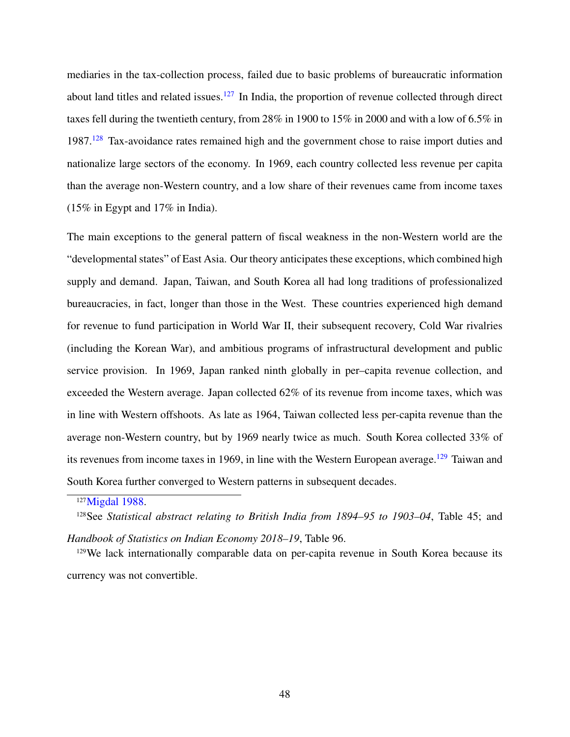mediaries in the tax-collection process, failed due to basic problems of bureaucratic information about land titles and related issues.<sup>[127](#page-0-0)</sup> In India, the proportion of revenue collected through direct taxes fell during the twentieth century, from 28% in 1900 to 15% in 2000 and with a low of 6.5% in 1987.[128](#page-0-0) Tax-avoidance rates remained high and the government chose to raise import duties and nationalize large sectors of the economy. In 1969, each country collected less revenue per capita than the average non-Western country, and a low share of their revenues came from income taxes (15% in Egypt and 17% in India).

The main exceptions to the general pattern of fiscal weakness in the non-Western world are the "developmental states" of East Asia. Our theory anticipates these exceptions, which combined high supply and demand. Japan, Taiwan, and South Korea all had long traditions of professionalized bureaucracies, in fact, longer than those in the West. These countries experienced high demand for revenue to fund participation in World War II, their subsequent recovery, Cold War rivalries (including the Korean War), and ambitious programs of infrastructural development and public service provision. In 1969, Japan ranked ninth globally in per–capita revenue collection, and exceeded the Western average. Japan collected 62% of its revenue from income taxes, which was in line with Western offshoots. As late as 1964, Taiwan collected less per-capita revenue than the average non-Western country, but by 1969 nearly twice as much. South Korea collected 33% of its revenues from income taxes in 1969, in line with the Western European average.<sup>[129](#page-0-0)</sup> Taiwan and South Korea further converged to Western patterns in subsequent decades.

<sup>127</sup>[Migdal](#page-53-10) [1988.](#page-53-10)

<sup>128</sup>See *Statistical abstract relating to British India from 1894–95 to 1903–04*, Table 45; and *Handbook of Statistics on Indian Economy 2018–19*, Table 96.

<sup>129</sup>We lack internationally comparable data on per-capita revenue in South Korea because its currency was not convertible.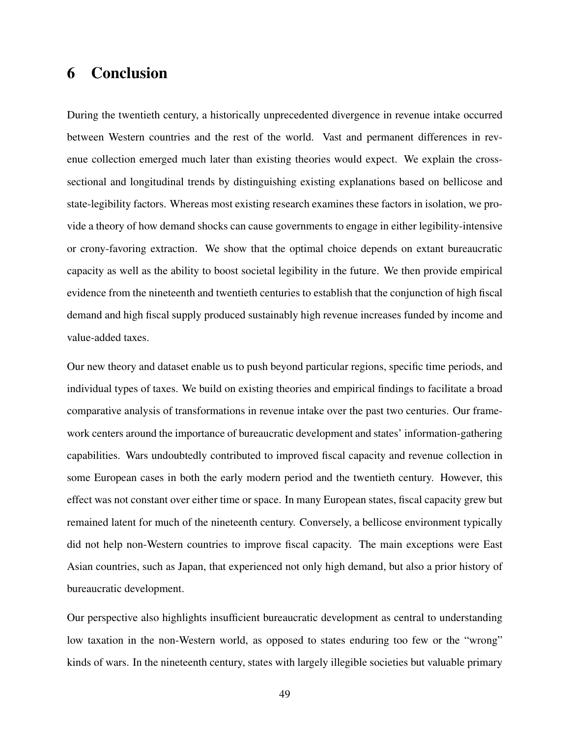# <span id="page-49-0"></span>6 Conclusion

During the twentieth century, a historically unprecedented divergence in revenue intake occurred between Western countries and the rest of the world. Vast and permanent differences in revenue collection emerged much later than existing theories would expect. We explain the crosssectional and longitudinal trends by distinguishing existing explanations based on bellicose and state-legibility factors. Whereas most existing research examines these factors in isolation, we provide a theory of how demand shocks can cause governments to engage in either legibility-intensive or crony-favoring extraction. We show that the optimal choice depends on extant bureaucratic capacity as well as the ability to boost societal legibility in the future. We then provide empirical evidence from the nineteenth and twentieth centuries to establish that the conjunction of high fiscal demand and high fiscal supply produced sustainably high revenue increases funded by income and value-added taxes.

Our new theory and dataset enable us to push beyond particular regions, specific time periods, and individual types of taxes. We build on existing theories and empirical findings to facilitate a broad comparative analysis of transformations in revenue intake over the past two centuries. Our framework centers around the importance of bureaucratic development and states' information-gathering capabilities. Wars undoubtedly contributed to improved fiscal capacity and revenue collection in some European cases in both the early modern period and the twentieth century. However, this effect was not constant over either time or space. In many European states, fiscal capacity grew but remained latent for much of the nineteenth century. Conversely, a bellicose environment typically did not help non-Western countries to improve fiscal capacity. The main exceptions were East Asian countries, such as Japan, that experienced not only high demand, but also a prior history of bureaucratic development.

Our perspective also highlights insufficient bureaucratic development as central to understanding low taxation in the non-Western world, as opposed to states enduring too few or the "wrong" kinds of wars. In the nineteenth century, states with largely illegible societies but valuable primary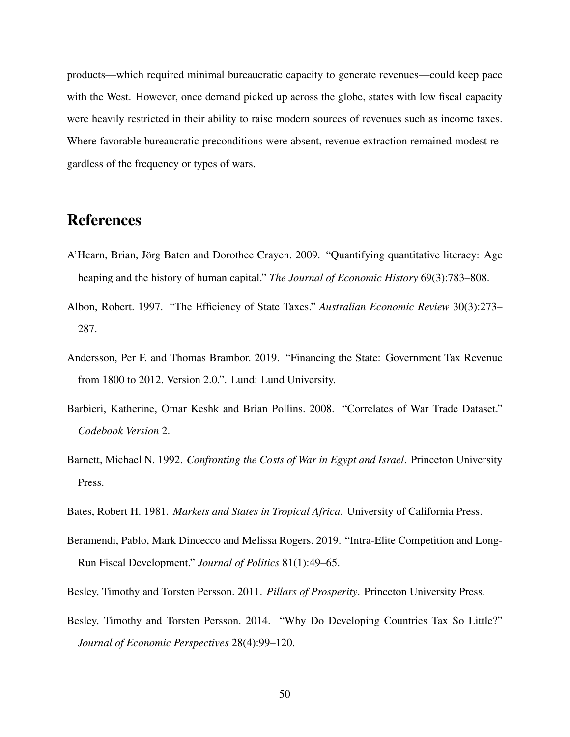products—which required minimal bureaucratic capacity to generate revenues—could keep pace with the West. However, once demand picked up across the globe, states with low fiscal capacity were heavily restricted in their ability to raise modern sources of revenues such as income taxes. Where favorable bureaucratic preconditions were absent, revenue extraction remained modest regardless of the frequency or types of wars.

# References

- <span id="page-50-0"></span>A'Hearn, Brian, Jörg Baten and Dorothee Crayen. 2009. "Quantifying quantitative literacy: Age heaping and the history of human capital." *The Journal of Economic History* 69(3):783–808.
- Albon, Robert. 1997. "The Efficiency of State Taxes." *Australian Economic Review* 30(3):273– 287.
- <span id="page-50-1"></span>Andersson, Per F. and Thomas Brambor. 2019. "Financing the State: Government Tax Revenue from 1800 to 2012. Version 2.0.". Lund: Lund University.
- Barbieri, Katherine, Omar Keshk and Brian Pollins. 2008. "Correlates of War Trade Dataset." *Codebook Version* 2.
- Barnett, Michael N. 1992. *Confronting the Costs of War in Egypt and Israel*. Princeton University Press.
- <span id="page-50-3"></span>Bates, Robert H. 1981. *Markets and States in Tropical Africa*. University of California Press.
- <span id="page-50-2"></span>Beramendi, Pablo, Mark Dincecco and Melissa Rogers. 2019. "Intra-Elite Competition and Long-Run Fiscal Development." *Journal of Politics* 81(1):49–65.
- Besley, Timothy and Torsten Persson. 2011. *Pillars of Prosperity*. Princeton University Press.
- Besley, Timothy and Torsten Persson. 2014. "Why Do Developing Countries Tax So Little?" *Journal of Economic Perspectives* 28(4):99–120.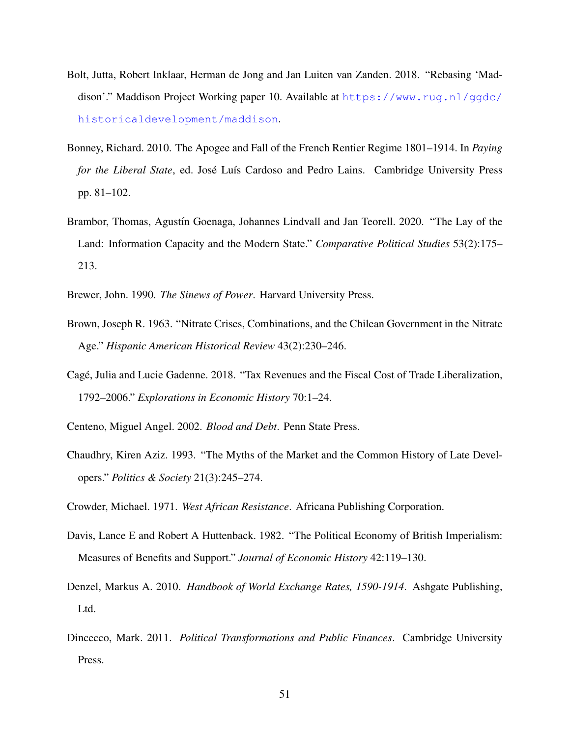- <span id="page-51-6"></span>Bolt, Jutta, Robert Inklaar, Herman de Jong and Jan Luiten van Zanden. 2018. "Rebasing 'Maddison'." Maddison Project Working paper 10. Available at [https://www.rug.nl/ggdc/](https://www.rug.nl/ggdc/historicaldevelopment/maddison) [historicaldevelopment/maddison](https://www.rug.nl/ggdc/historicaldevelopment/maddison).
- <span id="page-51-2"></span>Bonney, Richard. 2010. The Apogee and Fall of the French Rentier Regime 1801–1914. In *Paying for the Liberal State*, ed. José Luís Cardoso and Pedro Lains. Cambridge University Press pp. 81–102.
- <span id="page-51-0"></span>Brambor, Thomas, Agustín Goenaga, Johannes Lindvall and Jan Teorell. 2020. "The Lay of the Land: Information Capacity and the Modern State." *Comparative Political Studies* 53(2):175– 213.
- <span id="page-51-3"></span><span id="page-51-1"></span>Brewer, John. 1990. *The Sinews of Power*. Harvard University Press.
- Brown, Joseph R. 1963. "Nitrate Crises, Combinations, and the Chilean Government in the Nitrate Age." *Hispanic American Historical Review* 43(2):230–246.
- Cage, Julia and Lucie Gadenne. 2018. "Tax Revenues and the Fiscal Cost of Trade Liberalization, ´ 1792–2006." *Explorations in Economic History* 70:1–24.
- <span id="page-51-5"></span>Centeno, Miguel Angel. 2002. *Blood and Debt*. Penn State Press.
- Chaudhry, Kiren Aziz. 1993. "The Myths of the Market and the Common History of Late Developers." *Politics & Society* 21(3):245–274.
- Crowder, Michael. 1971. *West African Resistance*. Africana Publishing Corporation.
- <span id="page-51-4"></span>Davis, Lance E and Robert A Huttenback. 1982. "The Political Economy of British Imperialism: Measures of Benefits and Support." *Journal of Economic History* 42:119–130.
- Denzel, Markus A. 2010. *Handbook of World Exchange Rates, 1590-1914*. Ashgate Publishing, Ltd.
- Dincecco, Mark. 2011. *Political Transformations and Public Finances*. Cambridge University Press.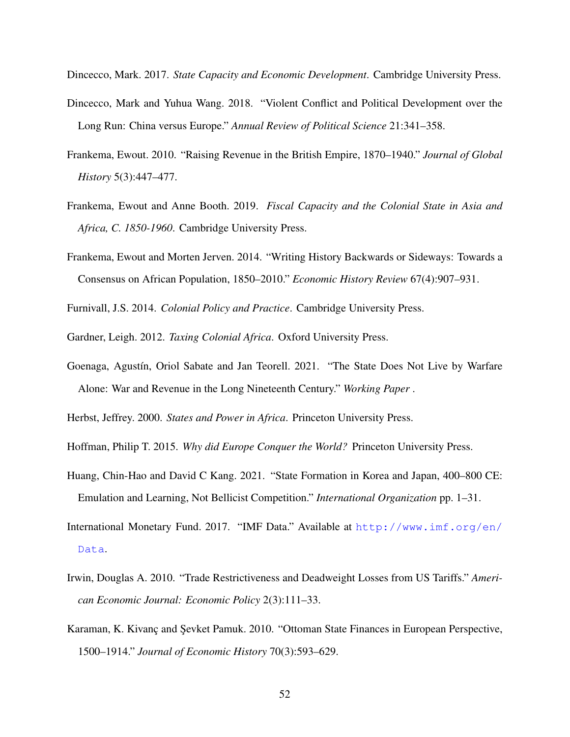<span id="page-52-5"></span>Dincecco, Mark. 2017. *State Capacity and Economic Development*. Cambridge University Press.

- Dincecco, Mark and Yuhua Wang. 2018. "Violent Conflict and Political Development over the Long Run: China versus Europe." *Annual Review of Political Science* 21:341–358.
- <span id="page-52-1"></span>Frankema, Ewout. 2010. "Raising Revenue in the British Empire, 1870–1940." *Journal of Global History* 5(3):447–477.
- <span id="page-52-2"></span>Frankema, Ewout and Anne Booth. 2019. *Fiscal Capacity and the Colonial State in Asia and Africa, C. 1850-1960*. Cambridge University Press.
- Frankema, Ewout and Morten Jerven. 2014. "Writing History Backwards or Sideways: Towards a Consensus on African Population, 1850–2010." *Economic History Review* 67(4):907–931.
- Furnivall, J.S. 2014. *Colonial Policy and Practice*. Cambridge University Press.

<span id="page-52-0"></span>Gardner, Leigh. 2012. *Taxing Colonial Africa*. Oxford University Press.

- Goenaga, Agustín, Oriol Sabate and Jan Teorell. 2021. "The State Does Not Live by Warfare Alone: War and Revenue in the Long Nineteenth Century." *Working Paper* .
- Herbst, Jeffrey. 2000. *States and Power in Africa*. Princeton University Press.

<span id="page-52-4"></span>Hoffman, Philip T. 2015. *Why did Europe Conquer the World?* Princeton University Press.

- Huang, Chin-Hao and David C Kang. 2021. "State Formation in Korea and Japan, 400–800 CE: Emulation and Learning, Not Bellicist Competition." *International Organization* pp. 1–31.
- International Monetary Fund. 2017. "IMF Data." Available at [http://www.imf.org/en/](http://www.imf.org/en/Data) [Data](http://www.imf.org/en/Data).
- Irwin, Douglas A. 2010. "Trade Restrictiveness and Deadweight Losses from US Tariffs." *American Economic Journal: Economic Policy* 2(3):111–33.
- <span id="page-52-3"></span>Karaman, K. Kivanç and Şevket Pamuk. 2010. "Ottoman State Finances in European Perspective, 1500–1914." *Journal of Economic History* 70(3):593–629.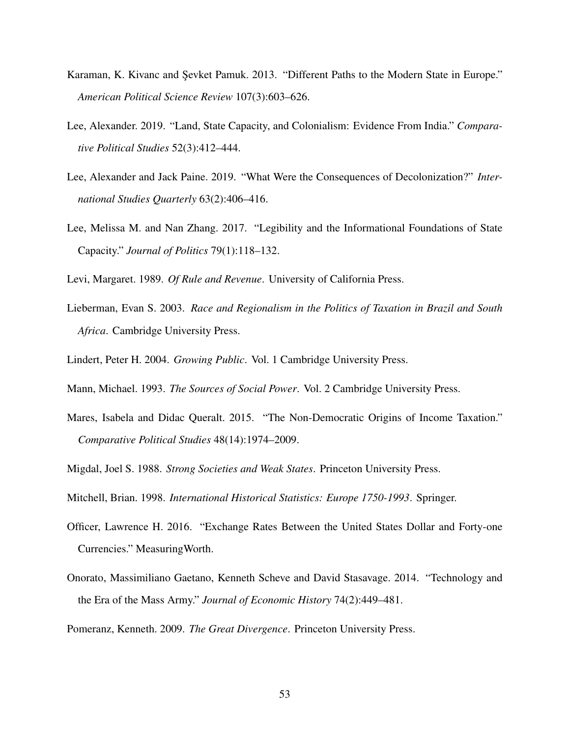- Karaman, K. Kivanc and Şevket Pamuk. 2013. "Different Paths to the Modern State in Europe." *American Political Science Review* 107(3):603–626.
- <span id="page-53-5"></span>Lee, Alexander. 2019. "Land, State Capacity, and Colonialism: Evidence From India." *Comparative Political Studies* 52(3):412–444.
- <span id="page-53-8"></span>Lee, Alexander and Jack Paine. 2019. "What Were the Consequences of Decolonization?" *International Studies Quarterly* 63(2):406–416.
- <span id="page-53-7"></span>Lee, Melissa M. and Nan Zhang. 2017. "Legibility and the Informational Foundations of State Capacity." *Journal of Politics* 79(1):118–132.
- <span id="page-53-9"></span><span id="page-53-3"></span>Levi, Margaret. 1989. *Of Rule and Revenue*. University of California Press.
- Lieberman, Evan S. 2003. *Race and Regionalism in the Politics of Taxation in Brazil and South Africa*. Cambridge University Press.
- <span id="page-53-0"></span>Lindert, Peter H. 2004. *Growing Public*. Vol. 1 Cambridge University Press.
- <span id="page-53-2"></span>Mann, Michael. 1993. *The Sources of Social Power*. Vol. 2 Cambridge University Press.
- <span id="page-53-4"></span>Mares, Isabela and Didac Queralt. 2015. "The Non-Democratic Origins of Income Taxation." *Comparative Political Studies* 48(14):1974–2009.
- <span id="page-53-10"></span>Migdal, Joel S. 1988. *Strong Societies and Weak States*. Princeton University Press.
- <span id="page-53-6"></span>Mitchell, Brian. 1998. *International Historical Statistics: Europe 1750-1993*. Springer.
- <span id="page-53-11"></span>Officer, Lawrence H. 2016. "Exchange Rates Between the United States Dollar and Forty-one Currencies." MeasuringWorth.
- <span id="page-53-12"></span>Onorato, Massimiliano Gaetano, Kenneth Scheve and David Stasavage. 2014. "Technology and the Era of the Mass Army." *Journal of Economic History* 74(2):449–481.

<span id="page-53-1"></span>Pomeranz, Kenneth. 2009. *The Great Divergence*. Princeton University Press.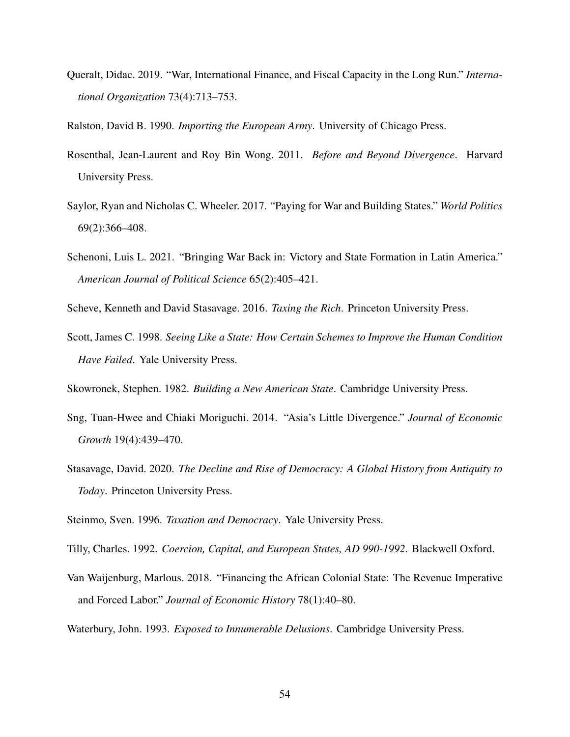<span id="page-54-7"></span>Queralt, Didac. 2019. "War, International Finance, and Fiscal Capacity in the Long Run." *International Organization* 73(4):713–753.

<span id="page-54-4"></span><span id="page-54-2"></span>Ralston, David B. 1990. *Importing the European Army*. University of Chicago Press.

- Rosenthal, Jean-Laurent and Roy Bin Wong. 2011. *Before and Beyond Divergence*. Harvard University Press.
- Saylor, Ryan and Nicholas C. Wheeler. 2017. "Paying for War and Building States." *World Politics* 69(2):366–408.
- <span id="page-54-1"></span>Schenoni, Luis L. 2021. "Bringing War Back in: Victory and State Formation in Latin America." *American Journal of Political Science* 65(2):405–421.
- <span id="page-54-5"></span>Scheve, Kenneth and David Stasavage. 2016. *Taxing the Rich*. Princeton University Press.
- Scott, James C. 1998. *Seeing Like a State: How Certain Schemes to Improve the Human Condition Have Failed*. Yale University Press.

Skowronek, Stephen. 1982. *Building a New American State*. Cambridge University Press.

- <span id="page-54-3"></span>Sng, Tuan-Hwee and Chiaki Moriguchi. 2014. "Asia's Little Divergence." *Journal of Economic Growth* 19(4):439–470.
- Stasavage, David. 2020. *The Decline and Rise of Democracy: A Global History from Antiquity to Today*. Princeton University Press.
- <span id="page-54-6"></span>Steinmo, Sven. 1996. *Taxation and Democracy*. Yale University Press.
- <span id="page-54-0"></span>Tilly, Charles. 1992. *Coercion, Capital, and European States, AD 990-1992*. Blackwell Oxford.
- Van Waijenburg, Marlous. 2018. "Financing the African Colonial State: The Revenue Imperative and Forced Labor." *Journal of Economic History* 78(1):40–80.

<span id="page-54-8"></span>Waterbury, John. 1993. *Exposed to Innumerable Delusions*. Cambridge University Press.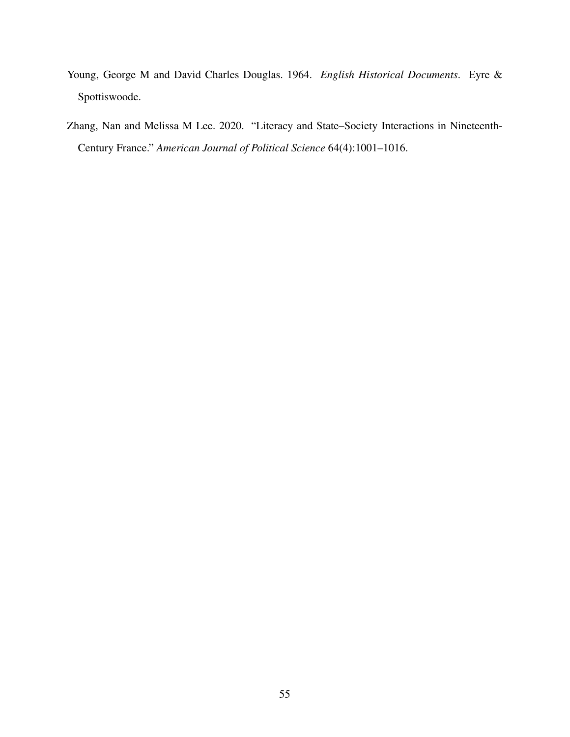- <span id="page-55-1"></span>Young, George M and David Charles Douglas. 1964. *English Historical Documents*. Eyre & Spottiswoode.
- <span id="page-55-0"></span>Zhang, Nan and Melissa M Lee. 2020. "Literacy and State–Society Interactions in Nineteenth-Century France." *American Journal of Political Science* 64(4):1001–1016.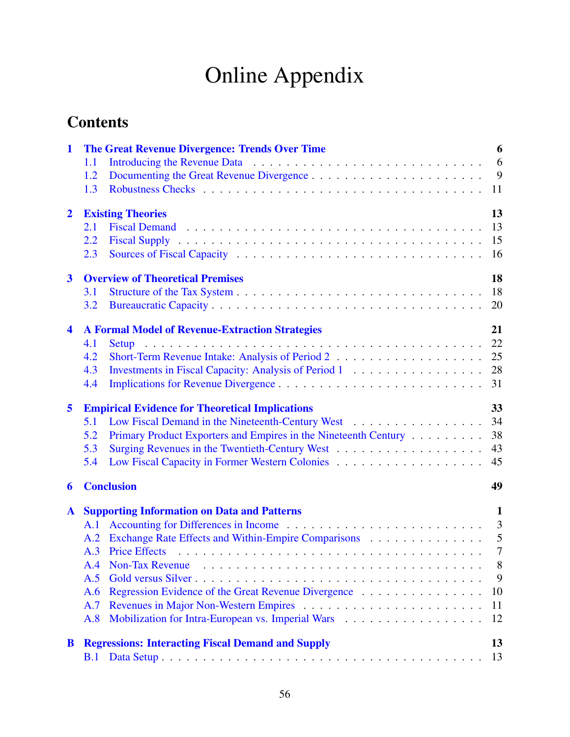# Online Appendix

# **Contents**

|                         | <b>The Great Revenue Divergence: Trends Over Time</b><br>1      | 6                                                                                                                                                                                                                                    |
|-------------------------|-----------------------------------------------------------------|--------------------------------------------------------------------------------------------------------------------------------------------------------------------------------------------------------------------------------------|
|                         | 1.1<br>1.2                                                      | 6<br>9                                                                                                                                                                                                                               |
|                         | 1.3                                                             | 11                                                                                                                                                                                                                                   |
|                         |                                                                 |                                                                                                                                                                                                                                      |
| $\overline{2}$          | <b>Existing Theories</b>                                        | 13                                                                                                                                                                                                                                   |
|                         | 2.1                                                             | 13                                                                                                                                                                                                                                   |
|                         | 2.2                                                             | 15<br>Fiscal Supply (and a series of the series of the series of the series of the series of the series of the series of the series of the series of the series of the series of the series of the series of the series of the serie |
|                         | 2.3                                                             | 16                                                                                                                                                                                                                                   |
| $\overline{\mathbf{3}}$ | <b>Overview of Theoretical Premises</b>                         | 18                                                                                                                                                                                                                                   |
|                         | 3.1                                                             | 18                                                                                                                                                                                                                                   |
|                         | 3.2                                                             | 20                                                                                                                                                                                                                                   |
| $\overline{\mathbf{4}}$ | <b>A Formal Model of Revenue-Extraction Strategies</b>          | 21                                                                                                                                                                                                                                   |
|                         | 4.1<br>Setup                                                    | 22                                                                                                                                                                                                                                   |
|                         | 4.2                                                             | 25                                                                                                                                                                                                                                   |
|                         | 4.3                                                             | Investments in Fiscal Capacity: Analysis of Period 1<br>28                                                                                                                                                                           |
|                         | 4.4                                                             | 31                                                                                                                                                                                                                                   |
| 5                       | <b>Empirical Evidence for Theoretical Implications</b>          | 33                                                                                                                                                                                                                                   |
|                         |                                                                 |                                                                                                                                                                                                                                      |
|                         | 5.1                                                             | Low Fiscal Demand in the Nineteenth-Century West<br>34                                                                                                                                                                               |
|                         | 5.2                                                             | 38<br>Primary Product Exporters and Empires in the Nineteenth Century                                                                                                                                                                |
|                         | 5.3                                                             | 43                                                                                                                                                                                                                                   |
|                         | 5.4                                                             | 45                                                                                                                                                                                                                                   |
| 6                       | <b>Conclusion</b>                                               | 49                                                                                                                                                                                                                                   |
| $\mathbf{A}$            |                                                                 | 1                                                                                                                                                                                                                                    |
|                         | <b>Supporting Information on Data and Patterns</b><br>A.1       | $\overline{3}$                                                                                                                                                                                                                       |
|                         | A.2                                                             | 5<br>Exchange Rate Effects and Within-Empire Comparisons                                                                                                                                                                             |
|                         | <b>Price Effects</b><br>A.3                                     | 7                                                                                                                                                                                                                                    |
|                         | <b>Non-Tax Revenue</b><br>A.4                                   | 8                                                                                                                                                                                                                                    |
|                         | A.5                                                             | 9                                                                                                                                                                                                                                    |
|                         | A.6                                                             | Regression Evidence of the Great Revenue Divergence<br>10                                                                                                                                                                            |
|                         | A.7                                                             | 11                                                                                                                                                                                                                                   |
|                         | A.8                                                             | 12                                                                                                                                                                                                                                   |
| B                       | <b>Regressions: Interacting Fiscal Demand and Supply</b><br>B.1 | 13<br>13                                                                                                                                                                                                                             |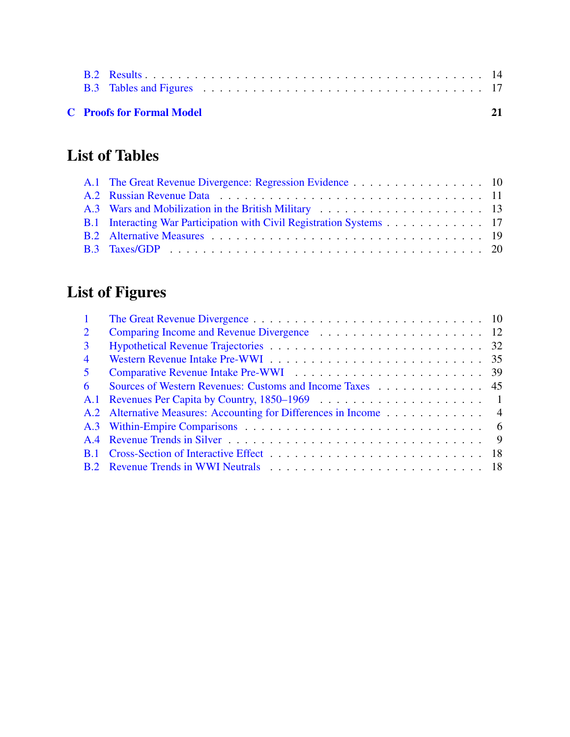|  | <b>C</b> Proofs for Formal Model | 21 |
|--|----------------------------------|----|
|  |                                  |    |

# List of Tables

| A.1 The Great Revenue Divergence: Regression Evidence 10             |  |
|----------------------------------------------------------------------|--|
|                                                                      |  |
|                                                                      |  |
| B.1 Interacting War Participation with Civil Registration Systems 17 |  |
|                                                                      |  |
|                                                                      |  |

# List of Figures

| $\mathbf{1}$   |                                                                  |
|----------------|------------------------------------------------------------------|
| $\overline{2}$ |                                                                  |
| $\mathbf{R}$   |                                                                  |
| $\overline{4}$ |                                                                  |
| 5              |                                                                  |
| 6              | Sources of Western Revenues: Customs and Income Taxes 45         |
|                |                                                                  |
|                | A.2 Alternative Measures: Accounting for Differences in Income 4 |
|                |                                                                  |
| $\mathbf{A}$ 4 |                                                                  |
| <b>B</b> .1    |                                                                  |
|                |                                                                  |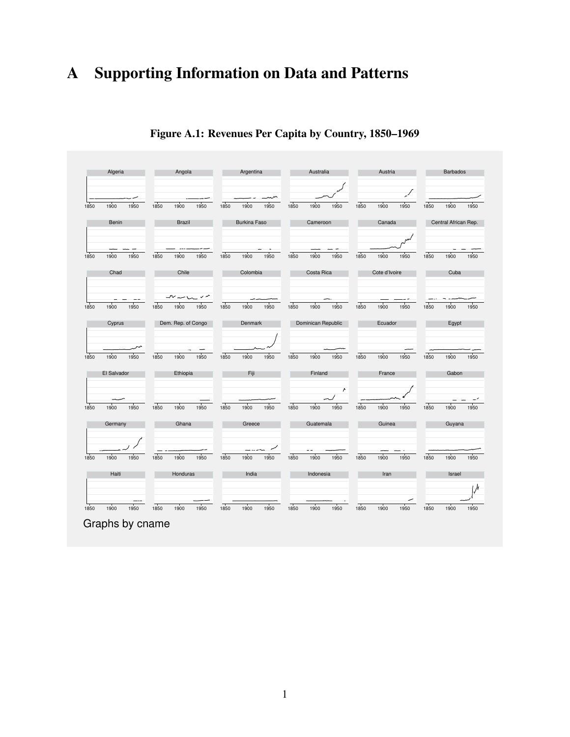# <span id="page-58-0"></span>A Supporting Information on Data and Patterns

<span id="page-58-1"></span>

#### Figure A.1: Revenues Per Capita by Country, 1850–1969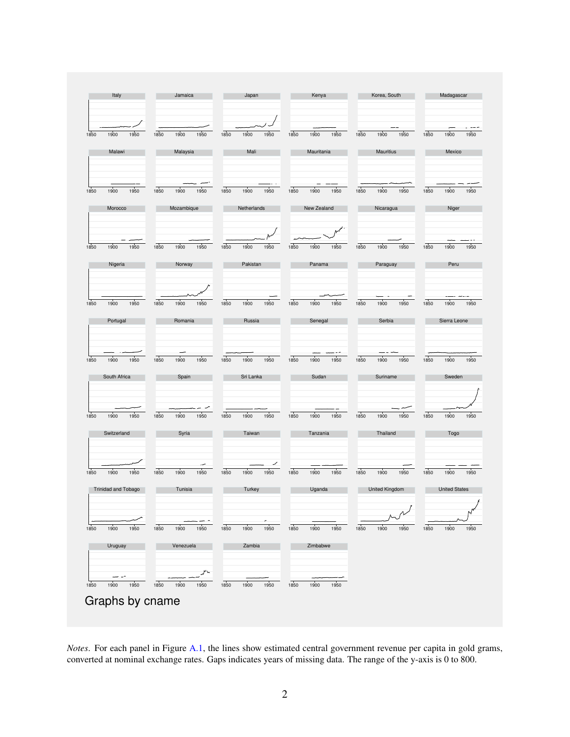|      | Italy               |      |      | Jamaica       |                    |      | Japan          |      |      | Kenya            |      |      | Korea, South     |      |      | Madagascar           |      |
|------|---------------------|------|------|---------------|--------------------|------|----------------|------|------|------------------|------|------|------------------|------|------|----------------------|------|
|      |                     |      |      |               |                    |      |                |      |      |                  |      |      |                  |      |      |                      |      |
| 1850 | 1900                | 1950 | 1850 | 1900          | 1950               | 1850 | 1900           | 1950 | 1850 | 1900             | 1950 | 1850 | 1900             | 1950 | 1850 | 1900                 | 1950 |
|      | Malawi              |      |      | Malaysia      |                    |      | Mali           |      |      | Mauritania       |      |      | Mauritius        |      |      | Mexico               |      |
| 1850 | 1900                | 1950 | 1850 | 1900          | 1950               | 1850 | 1900           | 1950 | 1850 | 1900             | 1950 | 1850 | 1900             | 1950 | 1850 | 1900                 | 1950 |
|      | Morocco             |      |      | Mozambique    |                    |      | Netherlands    |      |      | New Zealand      |      |      | Nicaragua        |      |      | Niger                |      |
|      |                     |      |      |               |                    |      |                |      |      |                  |      |      |                  |      |      |                      |      |
| 1850 | 1900                | 1950 | 1850 | 1900          | 1950               | 1850 | 1900           | 1950 | 1850 | 1900             | 1950 | 1850 | 1900             | 1950 | 1850 | 1900                 | 1950 |
|      | Nigeria             |      |      | Norway        |                    |      | Pakistan       |      |      | Panama           |      |      | Paraguay         |      |      | Peru                 |      |
|      |                     |      |      |               |                    |      |                |      |      |                  |      |      |                  |      |      |                      |      |
| 1850 | 1900                | 1950 | 1850 | 1900          | 1950               | 1850 | 1900           | 1950 | 1850 | 1900             | 1950 | 1850 | 1900             | 1950 | 1850 | 1900                 | 1950 |
|      | Portugal            |      |      | Romania       |                    |      | Russia         |      |      | Senegal          |      |      | Serbia           |      |      | Sierra Leone         |      |
| 1850 | 1900                | 1950 | 1850 | 1900          | 1950               | 1850 | 1900           | 1950 | 1850 | 1900             | 1950 | 1850 | 1900             | 1950 | 1850 | 1900                 | 1950 |
|      | South Africa        |      |      | Spain         |                    |      | Sri Lanka      |      |      | Sudan            |      |      | Suriname         |      |      | Sweden               |      |
|      |                     |      |      |               |                    |      |                |      |      |                  |      |      |                  |      |      |                      |      |
| 1850 | 1900<br>Switzerland | 1950 | 1850 | 1900<br>Syria | 1950               | 1850 | 1900<br>Taiwan | 1950 | 1850 | 1900<br>Tanzania | 1950 | 1850 | 1900<br>Thailand | 1950 | 1850 | 1900<br>Togo         | 1950 |
|      |                     |      |      |               |                    |      |                |      |      |                  |      |      |                  |      |      |                      |      |
| 1850 | 1900                | 1950 | 1850 | 1900          | $\tilde{}$<br>1950 | 1850 | 1900           | 1950 | 1850 | 1900             | 1950 | 1850 | 1900             | 1950 | 1850 | 1900                 | 1950 |
|      | Trinidad and Tobago |      |      | Tunisia       |                    |      | Turkey         |      |      | Uganda           |      |      | United Kingdom   |      |      | <b>United States</b> |      |
|      |                     |      |      |               |                    |      |                |      |      |                  |      |      |                  |      |      |                      |      |
| 1850 | 1900                | 1950 | 1850 | 1900          | 1950               | 1850 | 1900           | 1950 | 1850 | 1900             | 1950 | 1850 | 1900             | 1950 | 1850 | 1900                 | 1950 |
|      | Uruguay             |      |      | Venezuela     |                    |      | Zambia         |      |      | Zimbabwe         |      |      |                  |      |      |                      |      |
|      |                     |      |      |               |                    |      |                |      |      |                  |      |      |                  |      |      |                      |      |
| 1850 | 1900                | 1950 | 1850 | 1900          | 1950               | 1850 | 1900           | 1950 | 1850 | 1900             | 1950 |      |                  |      |      |                      |      |

*Notes*. For each panel in Figure [A.1,](#page-58-1) the lines show estimated central government revenue per capita in gold grams, converted at nominal exchange rates. Gaps indicates years of missing data. The range of the y-axis is 0 to 800.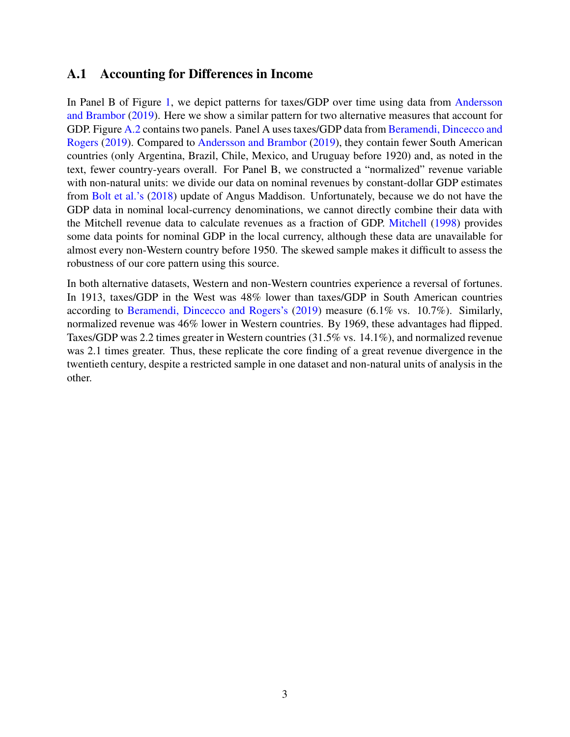# <span id="page-60-0"></span>A.1 Accounting for Differences in Income

In Panel B of Figure [1,](#page-10-0) we depict patterns for taxes/GDP over time using data from [Andersson](#page-50-1) [and Brambor](#page-50-1) [\(2019\)](#page-50-1). Here we show a similar pattern for two alternative measures that account for GDP. Figure [A.2](#page-61-0) contains two panels. Panel A uses taxes/GDP data from [Beramendi, Dincecco and](#page-50-2) [Rogers](#page-50-2) [\(2019\)](#page-50-2). Compared to [Andersson and Brambor](#page-50-1) [\(2019\)](#page-50-1), they contain fewer South American countries (only Argentina, Brazil, Chile, Mexico, and Uruguay before 1920) and, as noted in the text, fewer country-years overall. For Panel B, we constructed a "normalized" revenue variable with non-natural units: we divide our data on nominal revenues by constant-dollar GDP estimates from [Bolt et al.'s](#page-51-6) [\(2018\)](#page-51-6) update of Angus Maddison. Unfortunately, because we do not have the GDP data in nominal local-currency denominations, we cannot directly combine their data with the Mitchell revenue data to calculate revenues as a fraction of GDP. [Mitchell](#page-53-6) [\(1998\)](#page-53-6) provides some data points for nominal GDP in the local currency, although these data are unavailable for almost every non-Western country before 1950. The skewed sample makes it difficult to assess the robustness of our core pattern using this source.

In both alternative datasets, Western and non-Western countries experience a reversal of fortunes. In 1913, taxes/GDP in the West was 48% lower than taxes/GDP in South American countries according to [Beramendi, Dincecco and Rogers's](#page-50-2) [\(2019\)](#page-50-2) measure (6.1% vs. 10.7%). Similarly, normalized revenue was 46% lower in Western countries. By 1969, these advantages had flipped. Taxes/GDP was 2.2 times greater in Western countries (31.5% vs. 14.1%), and normalized revenue was 2.1 times greater. Thus, these replicate the core finding of a great revenue divergence in the twentieth century, despite a restricted sample in one dataset and non-natural units of analysis in the other.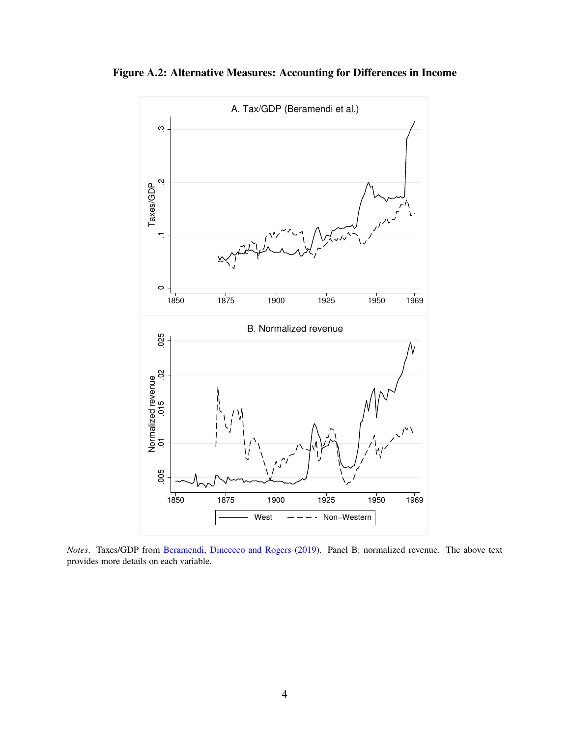<span id="page-61-0"></span>Figure A.2: Alternative Measures: Accounting for Differences in Income



*Notes*. Taxes/GDP from [Beramendi, Dincecco and Rogers](#page-50-2) [\(2019\)](#page-50-2). Panel B: normalized revenue. The above text provides more details on each variable.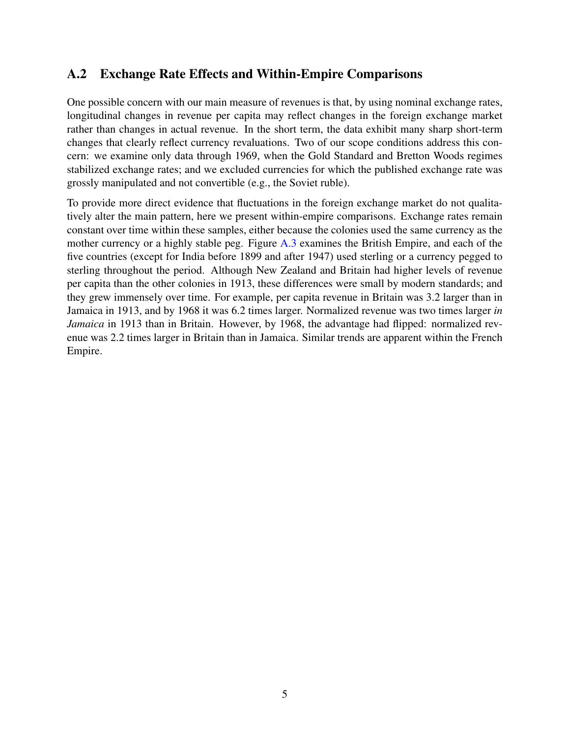# <span id="page-62-0"></span>A.2 Exchange Rate Effects and Within-Empire Comparisons

One possible concern with our main measure of revenues is that, by using nominal exchange rates, longitudinal changes in revenue per capita may reflect changes in the foreign exchange market rather than changes in actual revenue. In the short term, the data exhibit many sharp short-term changes that clearly reflect currency revaluations. Two of our scope conditions address this concern: we examine only data through 1969, when the Gold Standard and Bretton Woods regimes stabilized exchange rates; and we excluded currencies for which the published exchange rate was grossly manipulated and not convertible (e.g., the Soviet ruble).

To provide more direct evidence that fluctuations in the foreign exchange market do not qualitatively alter the main pattern, here we present within-empire comparisons. Exchange rates remain constant over time within these samples, either because the colonies used the same currency as the mother currency or a highly stable peg. Figure [A.3](#page-63-0) examines the British Empire, and each of the five countries (except for India before 1899 and after 1947) used sterling or a currency pegged to sterling throughout the period. Although New Zealand and Britain had higher levels of revenue per capita than the other colonies in 1913, these differences were small by modern standards; and they grew immensely over time. For example, per capita revenue in Britain was 3.2 larger than in Jamaica in 1913, and by 1968 it was 6.2 times larger. Normalized revenue was two times larger *in Jamaica* in 1913 than in Britain. However, by 1968, the advantage had flipped: normalized revenue was 2.2 times larger in Britain than in Jamaica. Similar trends are apparent within the French Empire.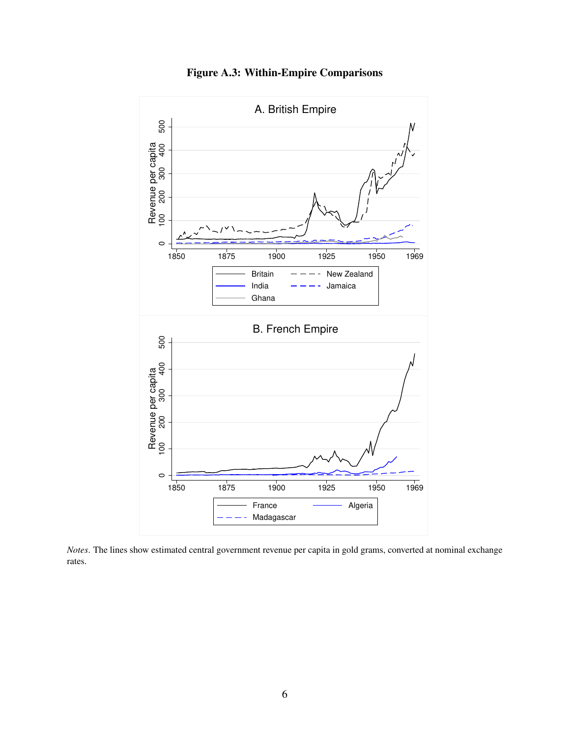<span id="page-63-0"></span>

#### Figure A.3: Within-Empire Comparisons

*Notes*. The lines show estimated central government revenue per capita in gold grams, converted at nominal exchange rates.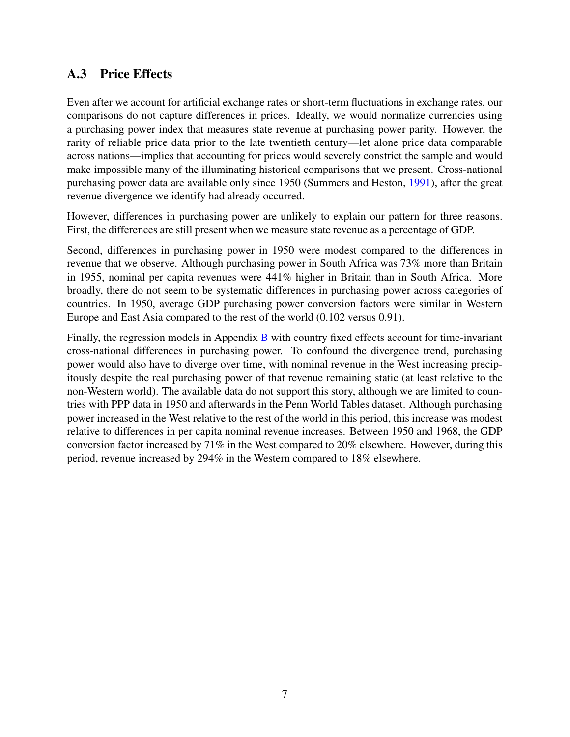# <span id="page-64-0"></span>A.3 Price Effects

Even after we account for artificial exchange rates or short-term fluctuations in exchange rates, our comparisons do not capture differences in prices. Ideally, we would normalize currencies using a purchasing power index that measures state revenue at purchasing power parity. However, the rarity of reliable price data prior to the late twentieth century—let alone price data comparable across nations—implies that accounting for prices would severely constrict the sample and would make impossible many of the illuminating historical comparisons that we present. Cross-national purchasing power data are available only since 1950 (Summers and Heston, [1991\)](#page-82-0), after the great revenue divergence we identify had already occurred.

However, differences in purchasing power are unlikely to explain our pattern for three reasons. First, the differences are still present when we measure state revenue as a percentage of GDP.

Second, differences in purchasing power in 1950 were modest compared to the differences in revenue that we observe. Although purchasing power in South Africa was 73% more than Britain in 1955, nominal per capita revenues were 441% higher in Britain than in South Africa. More broadly, there do not seem to be systematic differences in purchasing power across categories of countries. In 1950, average GDP purchasing power conversion factors were similar in Western Europe and East Asia compared to the rest of the world (0.102 versus 0.91).

Finally, the regression models in Appendix  $\overline{B}$  $\overline{B}$  $\overline{B}$  with country fixed effects account for time-invariant cross-national differences in purchasing power. To confound the divergence trend, purchasing power would also have to diverge over time, with nominal revenue in the West increasing precipitously despite the real purchasing power of that revenue remaining static (at least relative to the non-Western world). The available data do not support this story, although we are limited to countries with PPP data in 1950 and afterwards in the Penn World Tables dataset. Although purchasing power increased in the West relative to the rest of the world in this period, this increase was modest relative to differences in per capita nominal revenue increases. Between 1950 and 1968, the GDP conversion factor increased by 71% in the West compared to 20% elsewhere. However, during this period, revenue increased by 294% in the Western compared to 18% elsewhere.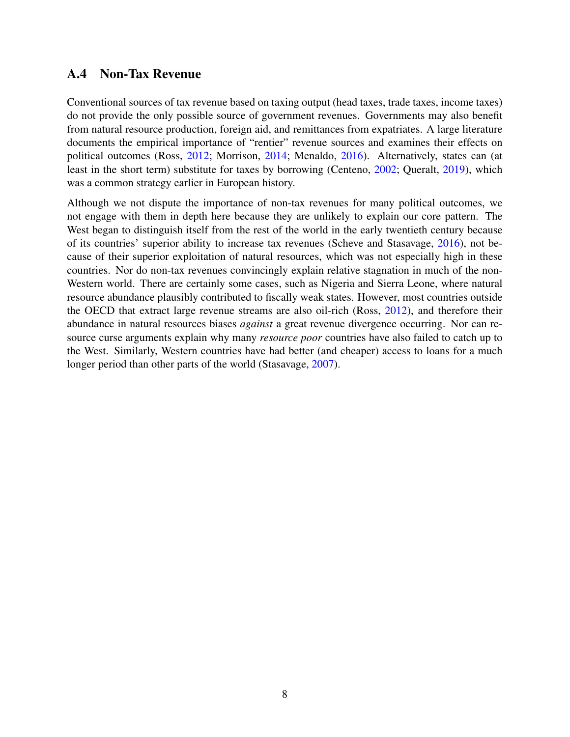## <span id="page-65-0"></span>A.4 Non-Tax Revenue

Conventional sources of tax revenue based on taxing output (head taxes, trade taxes, income taxes) do not provide the only possible source of government revenues. Governments may also benefit from natural resource production, foreign aid, and remittances from expatriates. A large literature documents the empirical importance of "rentier" revenue sources and examines their effects on political outcomes (Ross, [2012;](#page-82-1) Morrison, [2014;](#page-81-0) Menaldo, [2016\)](#page-81-1). Alternatively, states can (at least in the short term) substitute for taxes by borrowing (Centeno, [2002;](#page-51-5) Queralt, [2019\)](#page-54-7), which was a common strategy earlier in European history.

Although we not dispute the importance of non-tax revenues for many political outcomes, we not engage with them in depth here because they are unlikely to explain our core pattern. The West began to distinguish itself from the rest of the world in the early twentieth century because of its countries' superior ability to increase tax revenues (Scheve and Stasavage, [2016\)](#page-54-5), not because of their superior exploitation of natural resources, which was not especially high in these countries. Nor do non-tax revenues convincingly explain relative stagnation in much of the non-Western world. There are certainly some cases, such as Nigeria and Sierra Leone, where natural resource abundance plausibly contributed to fiscally weak states. However, most countries outside the OECD that extract large revenue streams are also oil-rich (Ross, [2012\)](#page-82-1), and therefore their abundance in natural resources biases *against* a great revenue divergence occurring. Nor can resource curse arguments explain why many *resource poor* countries have also failed to catch up to the West. Similarly, Western countries have had better (and cheaper) access to loans for a much longer period than other parts of the world (Stasavage, [2007\)](#page-82-2).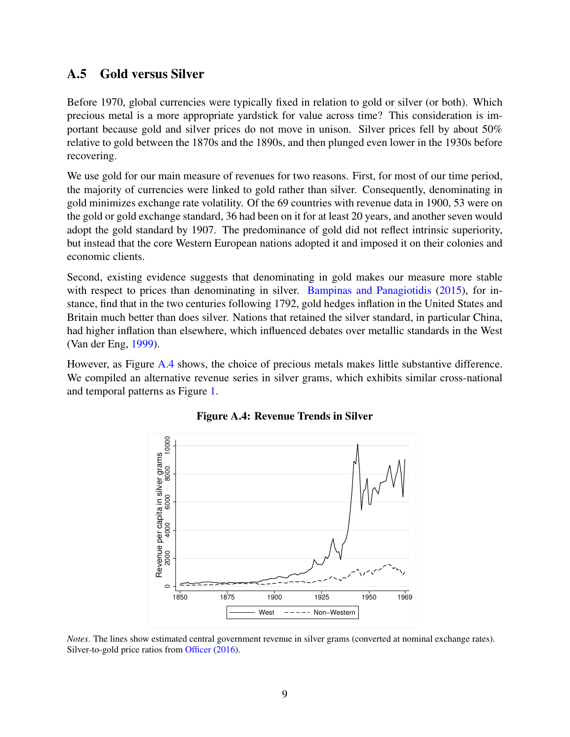# <span id="page-66-0"></span>A.5 Gold versus Silver

Before 1970, global currencies were typically fixed in relation to gold or silver (or both). Which precious metal is a more appropriate yardstick for value across time? This consideration is important because gold and silver prices do not move in unison. Silver prices fell by about 50% relative to gold between the 1870s and the 1890s, and then plunged even lower in the 1930s before recovering.

We use gold for our main measure of revenues for two reasons. First, for most of our time period, the majority of currencies were linked to gold rather than silver. Consequently, denominating in gold minimizes exchange rate volatility. Of the 69 countries with revenue data in 1900, 53 were on the gold or gold exchange standard, 36 had been on it for at least 20 years, and another seven would adopt the gold standard by 1907. The predominance of gold did not reflect intrinsic superiority, but instead that the core Western European nations adopted it and imposed it on their colonies and economic clients.

Second, existing evidence suggests that denominating in gold makes our measure more stable with respect to prices than denominating in silver. [Bampinas and Panagiotidis](#page-81-2) [\(2015\)](#page-81-2), for instance, find that in the two centuries following 1792, gold hedges inflation in the United States and Britain much better than does silver. Nations that retained the silver standard, in particular China, had higher inflation than elsewhere, which influenced debates over metallic standards in the West (Van der Eng, [1999\)](#page-82-3).

<span id="page-66-1"></span>However, as Figure [A.4](#page-66-1) shows, the choice of precious metals makes little substantive difference. We compiled an alternative revenue series in silver grams, which exhibits similar cross-national and temporal patterns as Figure [1.](#page-10-0)



Figure A.4: Revenue Trends in Silver

*Notes*. The lines show estimated central government revenue in silver grams (converted at nominal exchange rates). Silver-to-gold price ratios from [Officer](#page-53-11) [\(2016\)](#page-53-11).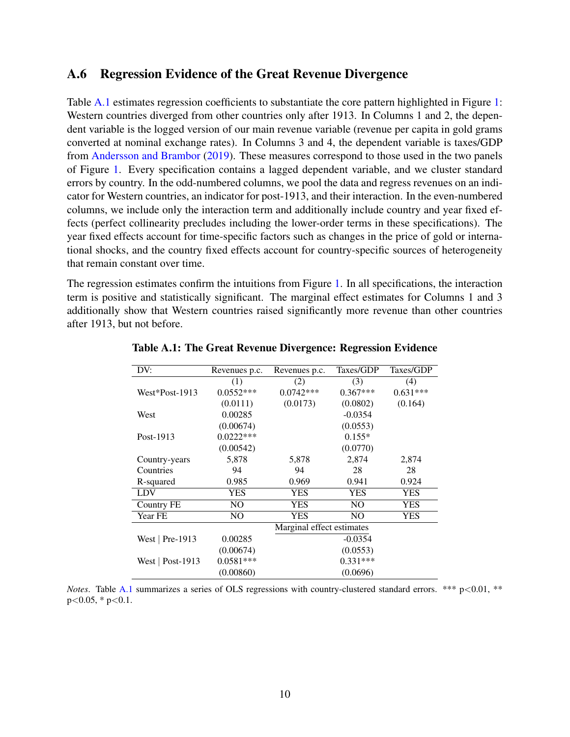## <span id="page-67-0"></span>A.6 Regression Evidence of the Great Revenue Divergence

Table [A.1](#page-67-1) estimates regression coefficients to substantiate the core pattern highlighted in Figure [1:](#page-10-0) Western countries diverged from other countries only after 1913. In Columns 1 and 2, the dependent variable is the logged version of our main revenue variable (revenue per capita in gold grams converted at nominal exchange rates). In Columns 3 and 4, the dependent variable is taxes/GDP from [Andersson and Brambor](#page-50-1) [\(2019\)](#page-50-1). These measures correspond to those used in the two panels of Figure [1.](#page-10-0) Every specification contains a lagged dependent variable, and we cluster standard errors by country. In the odd-numbered columns, we pool the data and regress revenues on an indicator for Western countries, an indicator for post-1913, and their interaction. In the even-numbered columns, we include only the interaction term and additionally include country and year fixed effects (perfect collinearity precludes including the lower-order terms in these specifications). The year fixed effects account for time-specific factors such as changes in the price of gold or international shocks, and the country fixed effects account for country-specific sources of heterogeneity that remain constant over time.

The regression estimates confirm the intuitions from Figure [1.](#page-10-0) In all specifications, the interaction term is positive and statistically significant. The marginal effect estimates for Columns 1 and 3 additionally show that Western countries raised significantly more revenue than other countries after 1913, but not before.

| DV:               | Revenues p.c. | Revenues p.c.             | Taxes/GDP  | Taxes/GDP  |  |
|-------------------|---------------|---------------------------|------------|------------|--|
|                   | (1)           | (2)                       | (3)        | (4)        |  |
| West*Post-1913    | $0.0552***$   | $0.0742***$               | $0.367***$ | $0.631***$ |  |
|                   | (0.0111)      | (0.0173)                  | (0.0802)   | (0.164)    |  |
| West              | 0.00285       |                           | $-0.0354$  |            |  |
|                   | (0.00674)     |                           | (0.0553)   |            |  |
| Post-1913         | $0.0222***$   |                           | $0.155*$   |            |  |
|                   | (0.00542)     |                           | (0.0770)   |            |  |
| Country-years     | 5,878         | 5,878                     | 2,874      | 2,874      |  |
| Countries         | 94            | 94                        | 28         | 28         |  |
| R-squared         | 0.985         | 0.969                     | 0.941      | 0.924      |  |
| LDV               | YES           | <b>YES</b>                | YES        | <b>YES</b> |  |
| <b>Country FE</b> | NO.           | YES                       | NO         | <b>YES</b> |  |
| Year FE           | NO.           | YES                       | NO         | <b>YES</b> |  |
|                   |               | Marginal effect estimates |            |            |  |
| West   Pre-1913   | 0.00285       |                           | $-0.0354$  |            |  |
|                   | (0.00674)     |                           | (0.0553)   |            |  |
| West   Post-1913  | $0.0581***$   | $0.331***$                |            |            |  |
|                   | (0.00860)     |                           | (0.0696)   |            |  |

<span id="page-67-1"></span>Table A.1: The Great Revenue Divergence: Regression Evidence

*Notes*. Table [A.1](#page-67-1) summarizes a series of OLS regressions with country-clustered standard errors. \*\*\* p<0.01, \*\*  $p<0.05$ , \*  $p<0.1$ .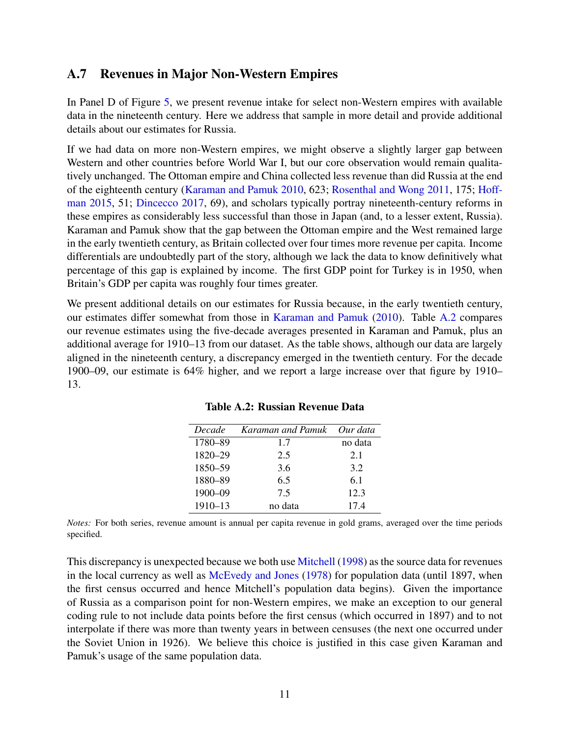## <span id="page-68-0"></span>A.7 Revenues in Major Non-Western Empires

In Panel D of Figure [5,](#page-39-0) we present revenue intake for select non-Western empires with available data in the nineteenth century. Here we address that sample in more detail and provide additional details about our estimates for Russia.

If we had data on more non-Western empires, we might observe a slightly larger gap between Western and other countries before World War I, but our core observation would remain qualitatively unchanged. The Ottoman empire and China collected less revenue than did Russia at the end of the eighteenth century [\(Karaman and Pamuk](#page-52-3) [2010,](#page-52-3) 623; [Rosenthal and Wong](#page-54-2) [2011,](#page-54-2) 175; [Hoff](#page-52-4)[man](#page-52-4) [2015,](#page-52-4) 51; [Dincecco](#page-52-5) [2017,](#page-52-5) 69), and scholars typically portray nineteenth-century reforms in these empires as considerably less successful than those in Japan (and, to a lesser extent, Russia). Karaman and Pamuk show that the gap between the Ottoman empire and the West remained large in the early twentieth century, as Britain collected over four times more revenue per capita. Income differentials are undoubtedly part of the story, although we lack the data to know definitively what percentage of this gap is explained by income. The first GDP point for Turkey is in 1950, when Britain's GDP per capita was roughly four times greater.

We present additional details on our estimates for Russia because, in the early twentieth century, our estimates differ somewhat from those in [Karaman and Pamuk](#page-52-3) [\(2010\)](#page-52-3). Table [A.2](#page-68-1) compares our revenue estimates using the five-decade averages presented in Karaman and Pamuk, plus an additional average for 1910–13 from our dataset. As the table shows, although our data are largely aligned in the nineteenth century, a discrepancy emerged in the twentieth century. For the decade 1900–09, our estimate is 64% higher, and we report a large increase over that figure by 1910– 13.

| <i>Decade</i> | Karaman and Pamuk Our data |         |
|---------------|----------------------------|---------|
| 1780-89       | 1.7                        | no data |
| 1820-29       | 2.5                        | 2.1     |
| 1850-59       | 3.6                        | 3.2     |
| 1880-89       | 6.5                        | 6.1     |
| 1900-09       | 7.5                        | 12.3    |
| $1910 - 13$   | no data                    | 174     |

Table A.2: Russian Revenue Data

<span id="page-68-1"></span>*Notes:* For both series, revenue amount is annual per capita revenue in gold grams, averaged over the time periods specified.

This discrepancy is unexpected because we both use [Mitchell](#page-53-6) [\(1998\)](#page-53-6) as the source data for revenues in the local currency as well as [McEvedy and Jones](#page-81-3) [\(1978\)](#page-81-3) for population data (until 1897, when the first census occurred and hence Mitchell's population data begins). Given the importance of Russia as a comparison point for non-Western empires, we make an exception to our general coding rule to not include data points before the first census (which occurred in 1897) and to not interpolate if there was more than twenty years in between censuses (the next one occurred under the Soviet Union in 1926). We believe this choice is justified in this case given Karaman and Pamuk's usage of the same population data.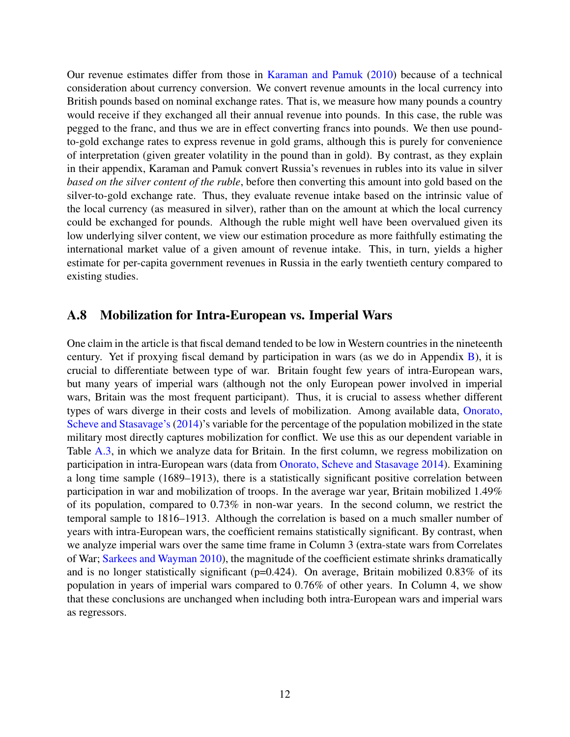Our revenue estimates differ from those in [Karaman and Pamuk](#page-52-3) [\(2010\)](#page-52-3) because of a technical consideration about currency conversion. We convert revenue amounts in the local currency into British pounds based on nominal exchange rates. That is, we measure how many pounds a country would receive if they exchanged all their annual revenue into pounds. In this case, the ruble was pegged to the franc, and thus we are in effect converting francs into pounds. We then use poundto-gold exchange rates to express revenue in gold grams, although this is purely for convenience of interpretation (given greater volatility in the pound than in gold). By contrast, as they explain in their appendix, Karaman and Pamuk convert Russia's revenues in rubles into its value in silver *based on the silver content of the ruble*, before then converting this amount into gold based on the silver-to-gold exchange rate. Thus, they evaluate revenue intake based on the intrinsic value of the local currency (as measured in silver), rather than on the amount at which the local currency could be exchanged for pounds. Although the ruble might well have been overvalued given its low underlying silver content, we view our estimation procedure as more faithfully estimating the international market value of a given amount of revenue intake. This, in turn, yields a higher estimate for per-capita government revenues in Russia in the early twentieth century compared to existing studies.

#### <span id="page-69-0"></span>A.8 Mobilization for Intra-European vs. Imperial Wars

One claim in the article is that fiscal demand tended to be low in Western countries in the nineteenth century. Yet if proxying fiscal demand by participation in wars (as we do in Appendix [B\)](#page-70-0), it is crucial to differentiate between type of war. Britain fought few years of intra-European wars, but many years of imperial wars (although not the only European power involved in imperial wars, Britain was the most frequent participant). Thus, it is crucial to assess whether different types of wars diverge in their costs and levels of mobilization. Among available data, [Onorato,](#page-53-12) [Scheve and Stasavage's](#page-53-12) [\(2014\)](#page-53-12)'s variable for the percentage of the population mobilized in the state military most directly captures mobilization for conflict. We use this as our dependent variable in Table [A.3,](#page-70-2) in which we analyze data for Britain. In the first column, we regress mobilization on participation in intra-European wars (data from [Onorato, Scheve and Stasavage](#page-53-12) [2014\)](#page-53-12). Examining a long time sample (1689–1913), there is a statistically significant positive correlation between participation in war and mobilization of troops. In the average war year, Britain mobilized 1.49% of its population, compared to 0.73% in non-war years. In the second column, we restrict the temporal sample to 1816–1913. Although the correlation is based on a much smaller number of years with intra-European wars, the coefficient remains statistically significant. By contrast, when we analyze imperial wars over the same time frame in Column 3 (extra-state wars from Correlates of War; [Sarkees and Wayman](#page-82-4) [2010\)](#page-82-4), the magnitude of the coefficient estimate shrinks dramatically and is no longer statistically significant ( $p=0.424$ ). On average, Britain mobilized 0.83% of its population in years of imperial wars compared to 0.76% of other years. In Column 4, we show that these conclusions are unchanged when including both intra-European wars and imperial wars as regressors.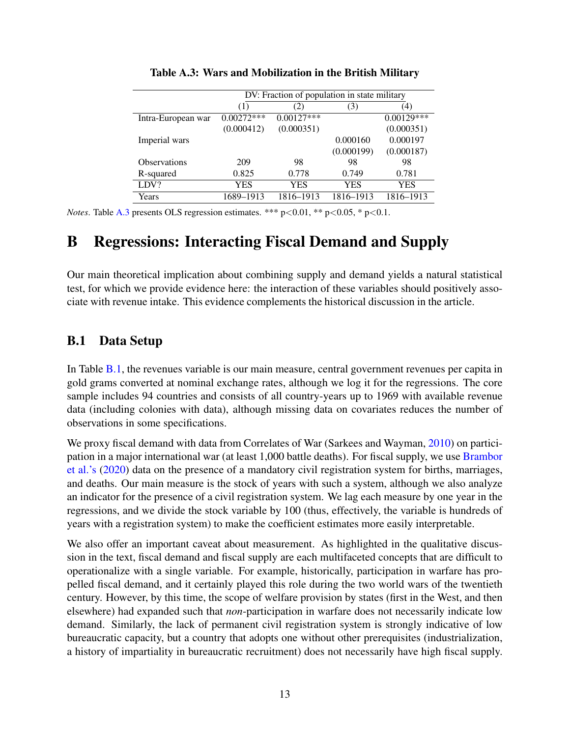<span id="page-70-2"></span>

|                     | DV: Fraction of population in state military |              |            |              |  |  |  |  |
|---------------------|----------------------------------------------|--------------|------------|--------------|--|--|--|--|
|                     | (1)                                          | (2)          | (3)        | (4)          |  |  |  |  |
| Intra-European war  | $0.00272***$                                 | $0.00127***$ |            | $0.00129***$ |  |  |  |  |
|                     | (0.000412)                                   | (0.000351)   |            | (0.000351)   |  |  |  |  |
| Imperial wars       |                                              |              | 0.000160   | 0.000197     |  |  |  |  |
|                     |                                              |              | (0.000199) | (0.000187)   |  |  |  |  |
| <b>Observations</b> | 209                                          | 98           | 98         | 98           |  |  |  |  |
| R-squared           | 0.825                                        | 0.778        | 0.749      | 0.781        |  |  |  |  |
| LDV?                | YES                                          | YES          | YES        | YES          |  |  |  |  |
| Years               | 1689–1913                                    | 1816–1913    | 1816–1913  | 1816–1913    |  |  |  |  |

Table A.3: Wars and Mobilization in the British Military

*Notes*. Table [A.3](#page-70-2) presents OLS regression estimates. \*\*\*  $p < 0.01$ , \*\*  $p < 0.05$ , \*  $p < 0.1$ .

# <span id="page-70-0"></span>B Regressions: Interacting Fiscal Demand and Supply

Our main theoretical implication about combining supply and demand yields a natural statistical test, for which we provide evidence here: the interaction of these variables should positively associate with revenue intake. This evidence complements the historical discussion in the article.

# <span id="page-70-1"></span>B.1 Data Setup

In Table [B.1,](#page-74-1) the revenues variable is our main measure, central government revenues per capita in gold grams converted at nominal exchange rates, although we log it for the regressions. The core sample includes 94 countries and consists of all country-years up to 1969 with available revenue data (including colonies with data), although missing data on covariates reduces the number of observations in some specifications.

We proxy fiscal demand with data from Correlates of War (Sarkees and Wayman, [2010\)](#page-82-4) on participation in a major international war (at least 1,000 battle deaths). For fiscal supply, we use [Brambor](#page-51-0) [et al.'s](#page-51-0) [\(2020\)](#page-51-0) data on the presence of a mandatory civil registration system for births, marriages, and deaths. Our main measure is the stock of years with such a system, although we also analyze an indicator for the presence of a civil registration system. We lag each measure by one year in the regressions, and we divide the stock variable by 100 (thus, effectively, the variable is hundreds of years with a registration system) to make the coefficient estimates more easily interpretable.

We also offer an important caveat about measurement. As highlighted in the qualitative discussion in the text, fiscal demand and fiscal supply are each multifaceted concepts that are difficult to operationalize with a single variable. For example, historically, participation in warfare has propelled fiscal demand, and it certainly played this role during the two world wars of the twentieth century. However, by this time, the scope of welfare provision by states (first in the West, and then elsewhere) had expanded such that *non*-participation in warfare does not necessarily indicate low demand. Similarly, the lack of permanent civil registration system is strongly indicative of low bureaucratic capacity, but a country that adopts one without other prerequisites (industrialization, a history of impartiality in bureaucratic recruitment) does not necessarily have high fiscal supply.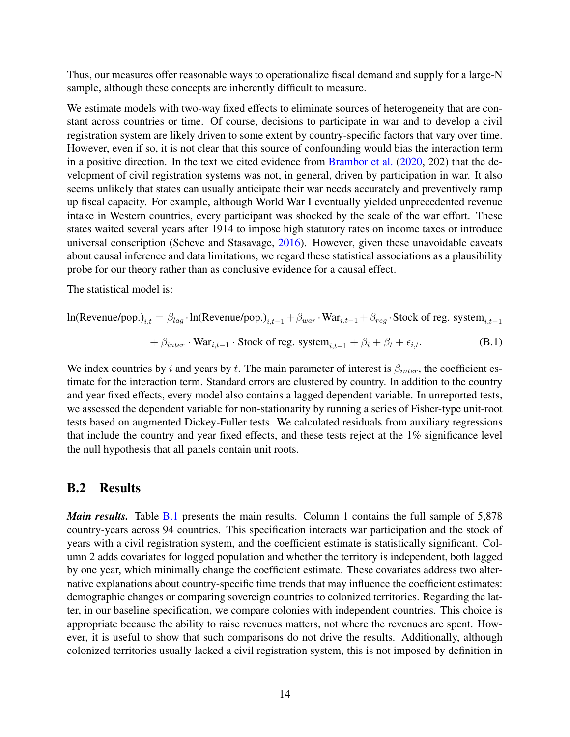Thus, our measures offer reasonable ways to operationalize fiscal demand and supply for a large-N sample, although these concepts are inherently difficult to measure.

We estimate models with two-way fixed effects to eliminate sources of heterogeneity that are constant across countries or time. Of course, decisions to participate in war and to develop a civil registration system are likely driven to some extent by country-specific factors that vary over time. However, even if so, it is not clear that this source of confounding would bias the interaction term in a positive direction. In the text we cited evidence from [Brambor et al.](#page-51-0) [\(2020,](#page-51-0) 202) that the development of civil registration systems was not, in general, driven by participation in war. It also seems unlikely that states can usually anticipate their war needs accurately and preventively ramp up fiscal capacity. For example, although World War I eventually yielded unprecedented revenue intake in Western countries, every participant was shocked by the scale of the war effort. These states waited several years after 1914 to impose high statutory rates on income taxes or introduce universal conscription (Scheve and Stasavage, [2016\)](#page-54-5). However, given these unavoidable caveats about causal inference and data limitations, we regard these statistical associations as a plausibility probe for our theory rather than as conclusive evidence for a causal effect.

The statistical model is:

$$
\ln(\text{Revenue/pop.})_{i,t} = \beta_{lag} \cdot \ln(\text{Revenue/pop.})_{i,t-1} + \beta_{war} \cdot \text{War}_{i,t-1} + \beta_{reg} \cdot \text{Stock of reg. system}_{i,t-1}
$$

$$
+ \beta_{inter} \cdot \text{War}_{i,t-1} \cdot \text{Stock of reg. system}_{i,t-1} + \beta_i + \beta_t + \epsilon_{i,t}. \tag{B.1}
$$

We index countries by i and years by t. The main parameter of interest is  $\beta_{inter}$ , the coefficient estimate for the interaction term. Standard errors are clustered by country. In addition to the country and year fixed effects, every model also contains a lagged dependent variable. In unreported tests, we assessed the dependent variable for non-stationarity by running a series of Fisher-type unit-root tests based on augmented Dickey-Fuller tests. We calculated residuals from auxiliary regressions that include the country and year fixed effects, and these tests reject at the 1% significance level the null hypothesis that all panels contain unit roots.

#### <span id="page-71-0"></span>B.2 Results

*Main results.* Table [B.1](#page-74-1) presents the main results. Column 1 contains the full sample of 5,878 country-years across 94 countries. This specification interacts war participation and the stock of years with a civil registration system, and the coefficient estimate is statistically significant. Column 2 adds covariates for logged population and whether the territory is independent, both lagged by one year, which minimally change the coefficient estimate. These covariates address two alternative explanations about country-specific time trends that may influence the coefficient estimates: demographic changes or comparing sovereign countries to colonized territories. Regarding the latter, in our baseline specification, we compare colonies with independent countries. This choice is appropriate because the ability to raise revenues matters, not where the revenues are spent. However, it is useful to show that such comparisons do not drive the results. Additionally, although colonized territories usually lacked a civil registration system, this is not imposed by definition in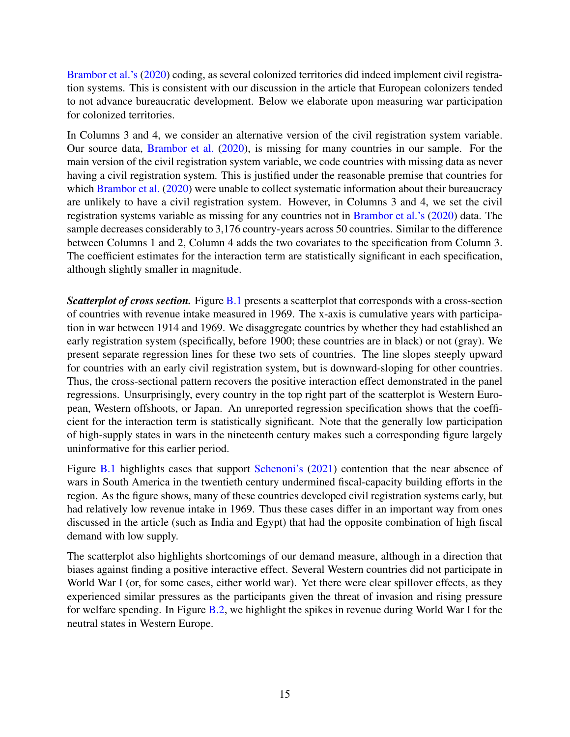[Brambor et al.'s](#page-51-0) [\(2020\)](#page-51-0) coding, as several colonized territories did indeed implement civil registration systems. This is consistent with our discussion in the article that European colonizers tended to not advance bureaucratic development. Below we elaborate upon measuring war participation for colonized territories.

In Columns 3 and 4, we consider an alternative version of the civil registration system variable. Our source data, [Brambor et al.](#page-51-0) [\(2020\)](#page-51-0), is missing for many countries in our sample. For the main version of the civil registration system variable, we code countries with missing data as never having a civil registration system. This is justified under the reasonable premise that countries for which [Brambor et al.](#page-51-0) [\(2020\)](#page-51-0) were unable to collect systematic information about their bureaucracy are unlikely to have a civil registration system. However, in Columns 3 and 4, we set the civil registration systems variable as missing for any countries not in [Brambor et al.'s](#page-51-0) [\(2020\)](#page-51-0) data. The sample decreases considerably to 3,176 country-years across 50 countries. Similar to the difference between Columns 1 and 2, Column 4 adds the two covariates to the specification from Column 3. The coefficient estimates for the interaction term are statistically significant in each specification, although slightly smaller in magnitude.

*Scatterplot of cross section.* Figure [B.1](#page-75-0) presents a scatterplot that corresponds with a cross-section of countries with revenue intake measured in 1969. The x-axis is cumulative years with participation in war between 1914 and 1969. We disaggregate countries by whether they had established an early registration system (specifically, before 1900; these countries are in black) or not (gray). We present separate regression lines for these two sets of countries. The line slopes steeply upward for countries with an early civil registration system, but is downward-sloping for other countries. Thus, the cross-sectional pattern recovers the positive interaction effect demonstrated in the panel regressions. Unsurprisingly, every country in the top right part of the scatterplot is Western European, Western offshoots, or Japan. An unreported regression specification shows that the coefficient for the interaction term is statistically significant. Note that the generally low participation of high-supply states in wars in the nineteenth century makes such a corresponding figure largely uninformative for this earlier period.

Figure [B.1](#page-75-0) highlights cases that support [Schenoni's](#page-54-0) [\(2021\)](#page-54-0) contention that the near absence of wars in South America in the twentieth century undermined fiscal-capacity building efforts in the region. As the figure shows, many of these countries developed civil registration systems early, but had relatively low revenue intake in 1969. Thus these cases differ in an important way from ones discussed in the article (such as India and Egypt) that had the opposite combination of high fiscal demand with low supply.

The scatterplot also highlights shortcomings of our demand measure, although in a direction that biases against finding a positive interactive effect. Several Western countries did not participate in World War I (or, for some cases, either world war). Yet there were clear spillover effects, as they experienced similar pressures as the participants given the threat of invasion and rising pressure for welfare spending. In Figure [B.2,](#page-75-1) we highlight the spikes in revenue during World War I for the neutral states in Western Europe.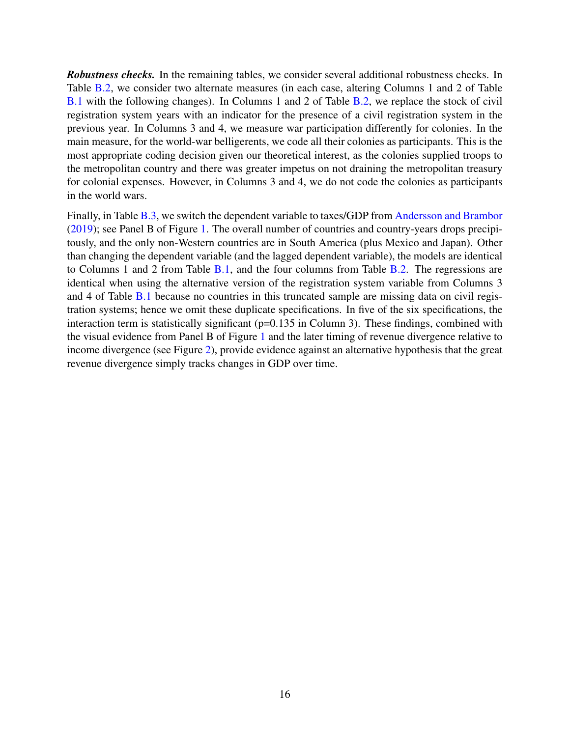*Robustness checks.* In the remaining tables, we consider several additional robustness checks. In Table [B.2,](#page-76-0) we consider two alternate measures (in each case, altering Columns 1 and 2 of Table [B.1](#page-74-0) with the following changes). In Columns 1 and 2 of Table [B.2,](#page-76-0) we replace the stock of civil registration system years with an indicator for the presence of a civil registration system in the previous year. In Columns 3 and 4, we measure war participation differently for colonies. In the main measure, for the world-war belligerents, we code all their colonies as participants. This is the most appropriate coding decision given our theoretical interest, as the colonies supplied troops to the metropolitan country and there was greater impetus on not draining the metropolitan treasury for colonial expenses. However, in Columns 3 and 4, we do not code the colonies as participants in the world wars.

Finally, in Table [B.3,](#page-77-0) we switch the dependent variable to taxes/GDP from [Andersson and Brambor](#page-50-0) [\(2019\)](#page-50-0); see Panel B of Figure [1.](#page-10-0) The overall number of countries and country-years drops precipitously, and the only non-Western countries are in South America (plus Mexico and Japan). Other than changing the dependent variable (and the lagged dependent variable), the models are identical to Columns 1 and 2 from Table [B.1,](#page-74-0) and the four columns from Table [B.2.](#page-76-0) The regressions are identical when using the alternative version of the registration system variable from Columns 3 and 4 of Table [B.1](#page-74-0) because no countries in this truncated sample are missing data on civil registration systems; hence we omit these duplicate specifications. In five of the six specifications, the interaction term is statistically significant (p=0.135 in Column 3). These findings, combined with the visual evidence from Panel B of Figure [1](#page-10-0) and the later timing of revenue divergence relative to income divergence (see Figure [2\)](#page-12-0), provide evidence against an alternative hypothesis that the great revenue divergence simply tracks changes in GDP over time.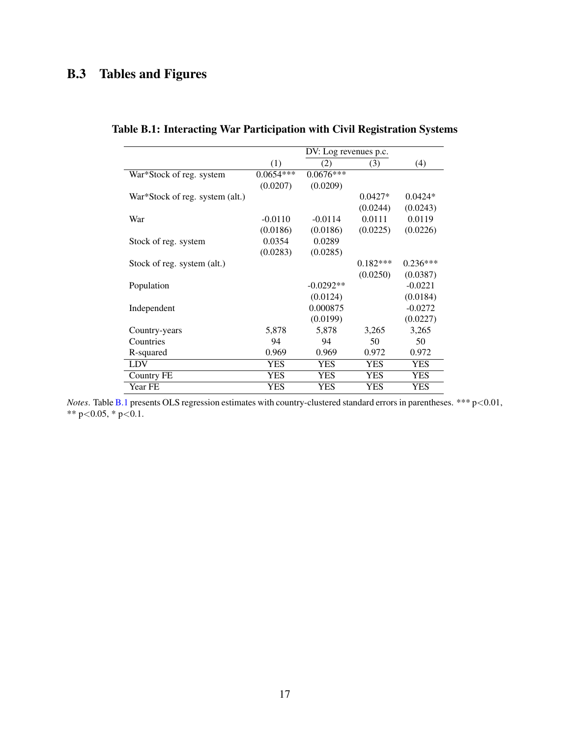# B.3 Tables and Figures

|                                 | DV: Log revenues p.c. |             |            |            |  |  |
|---------------------------------|-----------------------|-------------|------------|------------|--|--|
|                                 | (1)                   | (2)         | (3)        | (4)        |  |  |
| War*Stock of reg. system        | $0.0654***$           | $0.0676***$ |            |            |  |  |
|                                 | (0.0207)              | (0.0209)    |            |            |  |  |
| War*Stock of reg. system (alt.) |                       |             | $0.0427*$  | $0.0424*$  |  |  |
|                                 |                       |             | (0.0244)   | (0.0243)   |  |  |
| War                             | $-0.0110$             | $-0.0114$   | 0.0111     | 0.0119     |  |  |
|                                 | (0.0186)              | (0.0186)    | (0.0225)   | (0.0226)   |  |  |
| Stock of reg. system            | 0.0354                | 0.0289      |            |            |  |  |
|                                 | (0.0283)              | (0.0285)    |            |            |  |  |
| Stock of reg. system (alt.)     |                       |             | $0.182***$ | $0.236***$ |  |  |
|                                 |                       |             | (0.0250)   | (0.0387)   |  |  |
| Population                      |                       | $-0.0292**$ |            | $-0.0221$  |  |  |
|                                 |                       | (0.0124)    |            | (0.0184)   |  |  |
| Independent                     |                       | 0.000875    |            | $-0.0272$  |  |  |
|                                 |                       | (0.0199)    |            | (0.0227)   |  |  |
| Country-years                   | 5,878                 | 5,878       | 3,265      | 3,265      |  |  |
| Countries                       | 94                    | 94          | 50         | 50         |  |  |
| R-squared                       | 0.969                 | 0.969       | 0.972      | 0.972      |  |  |
| <b>LDV</b>                      | YES                   | <b>YES</b>  | <b>YES</b> | <b>YES</b> |  |  |
| Country FE                      | <b>YES</b>            | <b>YES</b>  | <b>YES</b> | <b>YES</b> |  |  |
| Year FE                         | YES                   | YES         | YES        | YES        |  |  |

#### <span id="page-74-0"></span>Table B.1: Interacting War Participation with Civil Registration Systems

*Notes*. Table [B.1](#page-74-0) presents OLS regression estimates with country-clustered standard errors in parentheses. \*\*\* p<0.01, \*\* p<0.05, \* p<0.1.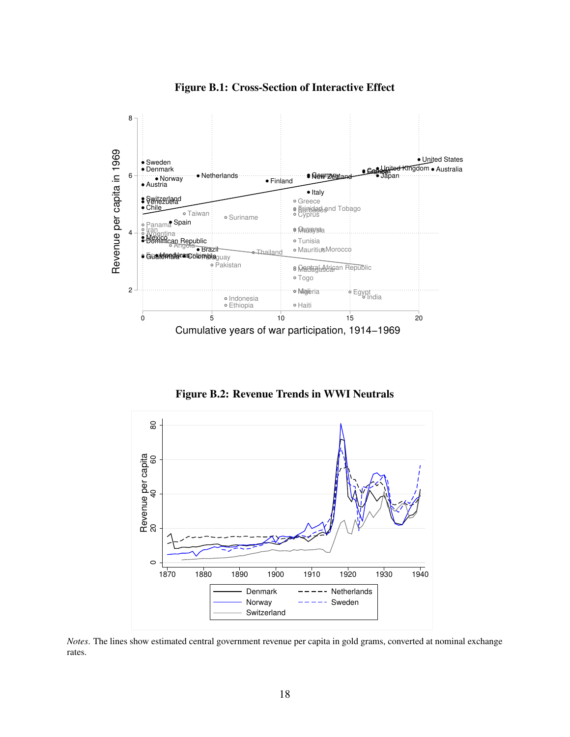<span id="page-75-0"></span>

Figure B.1: Cross-Section of Interactive Effect

Figure B.2: Revenue Trends in WWI Neutrals

<span id="page-75-1"></span>

*Notes*. The lines show estimated central government revenue per capita in gold grams, converted at nominal exchange rates.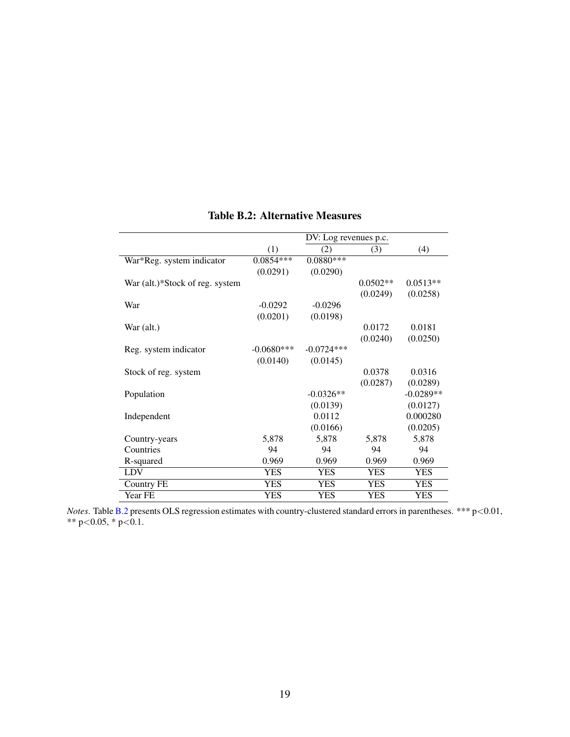<span id="page-76-0"></span>

|                                 | DV: Log revenues p.c. |              |            |             |  |  |
|---------------------------------|-----------------------|--------------|------------|-------------|--|--|
|                                 | (1)                   | (2)          | (3)        | (4)         |  |  |
| War*Reg. system indicator       | $0.0854***$           | $0.0880***$  |            |             |  |  |
|                                 | (0.0291)              | (0.0290)     |            |             |  |  |
| War (alt.)*Stock of reg. system |                       |              | $0.0502**$ | $0.0513**$  |  |  |
|                                 |                       |              | (0.0249)   | (0.0258)    |  |  |
| War                             | $-0.0292$             | $-0.0296$    |            |             |  |  |
|                                 | (0.0201)              | (0.0198)     |            |             |  |  |
| War (alt.)                      |                       |              | 0.0172     | 0.0181      |  |  |
|                                 |                       |              | (0.0240)   | (0.0250)    |  |  |
| Reg. system indicator           | $-0.0680***$          | $-0.0724***$ |            |             |  |  |
|                                 | (0.0140)              | (0.0145)     |            |             |  |  |
| Stock of reg. system            |                       |              | 0.0378     | 0.0316      |  |  |
|                                 |                       |              | (0.0287)   | (0.0289)    |  |  |
| Population                      |                       | $-0.0326**$  |            | $-0.0289**$ |  |  |
|                                 |                       | (0.0139)     |            | (0.0127)    |  |  |
| Independent                     |                       | 0.0112       |            | 0.000280    |  |  |
|                                 |                       | (0.0166)     |            | (0.0205)    |  |  |
| Country-years                   | 5,878                 | 5,878        | 5,878      | 5,878       |  |  |
| Countries                       | 94                    | 94           | 94         | 94          |  |  |
| R-squared                       | 0.969                 | 0.969        | 0.969      | 0.969       |  |  |
| LDV                             | <b>YES</b>            | <b>YES</b>   | <b>YES</b> | <b>YES</b>  |  |  |
| Country FE                      | <b>YES</b>            | <b>YES</b>   | <b>YES</b> | <b>YES</b>  |  |  |
| Year FE                         | <b>YES</b>            | <b>YES</b>   | <b>YES</b> | <b>YES</b>  |  |  |

#### Table B.2: Alternative Measures

*Notes*. Table [B.2](#page-76-0) presents OLS regression estimates with country-clustered standard errors in parentheses. \*\*\* p<0.01, \*\* p<0.05, \* p<0.1.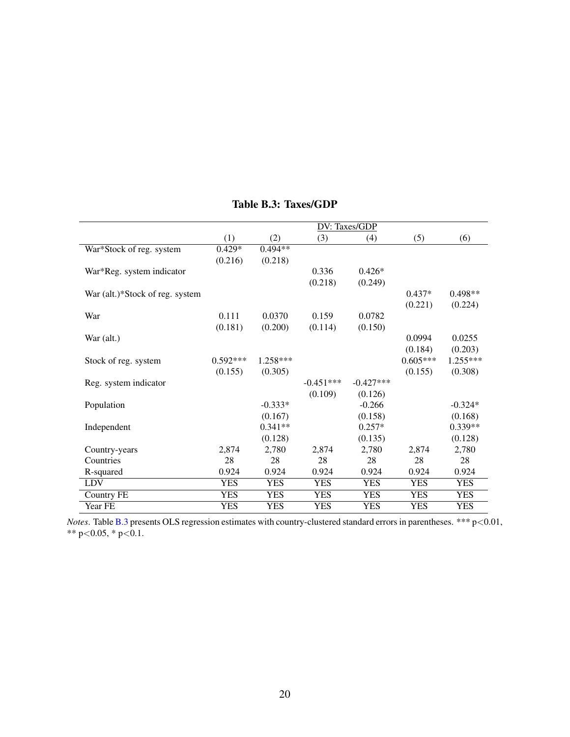<span id="page-77-0"></span>

|                                 | DV: Taxes/GDP |            |             |             |            |            |
|---------------------------------|---------------|------------|-------------|-------------|------------|------------|
|                                 | (1)           | (2)        | (3)         | (4)         | (5)        | (6)        |
| War*Stock of reg. system        | $0.429*$      | $0.494**$  |             |             |            |            |
|                                 | (0.216)       | (0.218)    |             |             |            |            |
| War*Reg. system indicator       |               |            | 0.336       | $0.426*$    |            |            |
|                                 |               |            | (0.218)     | (0.249)     |            |            |
| War (alt.)*Stock of reg. system |               |            |             |             | $0.437*$   | $0.498**$  |
|                                 |               |            |             |             | (0.221)    | (0.224)    |
| War                             | 0.111         | 0.0370     | 0.159       | 0.0782      |            |            |
|                                 | (0.181)       | (0.200)    | (0.114)     | (0.150)     |            |            |
| War (alt.)                      |               |            |             |             | 0.0994     | 0.0255     |
|                                 |               |            |             |             | (0.184)    | (0.203)    |
| Stock of reg. system            | $0.592***$    | 1.258***   |             |             | $0.605***$ | 1.255***   |
|                                 | (0.155)       | (0.305)    |             |             | (0.155)    | (0.308)    |
| Reg. system indicator           |               |            | $-0.451***$ | $-0.427***$ |            |            |
|                                 |               |            | (0.109)     | (0.126)     |            |            |
| Population                      |               | $-0.333*$  |             | $-0.266$    |            | $-0.324*$  |
|                                 |               | (0.167)    |             | (0.158)     |            | (0.168)    |
| Independent                     |               | $0.341**$  |             | $0.257*$    |            | $0.339**$  |
|                                 |               | (0.128)    |             | (0.135)     |            | (0.128)    |
| Country-years                   | 2,874         | 2,780      | 2,874       | 2,780       | 2,874      | 2,780      |
| Countries                       | 28            | 28         | 28          | 28          | 28         | 28         |
| R-squared                       | 0.924         | 0.924      | 0.924       | 0.924       | 0.924      | 0.924      |
| <b>LDV</b>                      | <b>YES</b>    | <b>YES</b> | <b>YES</b>  | <b>YES</b>  | <b>YES</b> | <b>YES</b> |
| <b>Country FE</b>               | <b>YES</b>    | <b>YES</b> | <b>YES</b>  | <b>YES</b>  | <b>YES</b> | <b>YES</b> |
| Year FE                         | <b>YES</b>    | <b>YES</b> | <b>YES</b>  | <b>YES</b>  | <b>YES</b> | <b>YES</b> |

### Table B.3: Taxes/GDP

*Notes*. Table [B.3](#page-77-0) presents OLS regression estimates with country-clustered standard errors in parentheses. \*\*\* p<0.01, \*\* p<0.05, \* p<0.1.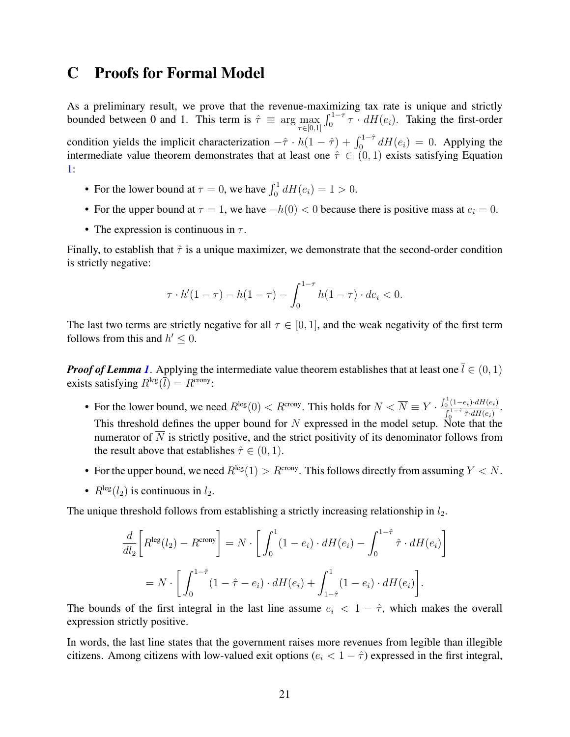### C Proofs for Formal Model

As a preliminary result, we prove that the revenue-maximizing tax rate is unique and strictly bounded between 0 and 1. This term is  $\hat{\tau} \equiv \arg \max_{\tau \in [0,1]}$  $\int_0^{1-\tau} \tau \cdot dH(e_i)$ . Taking the first-order condition yields the implicit characterization  $-\hat{\tau} \cdot h(1-\hat{\tau}) + \int_0^{1-\hat{\tau}} dH(e_i) = 0$ . Applying the intermediate value theorem demonstrates that at least one  $\hat{\tau} \in (0,1)$  exists satisfying Equation [1:](#page-26-0)

- For the lower bound at  $\tau = 0$ , we have  $\int_0^1 dH(e_i) = 1 > 0$ .
- For the upper bound at  $\tau = 1$ , we have  $-h(0) < 0$  because there is positive mass at  $e_i = 0$ .
- The expression is continuous in  $\tau$ .

Finally, to establish that  $\hat{\tau}$  is a unique maximizer, we demonstrate that the second-order condition is strictly negative:

$$
\tau \cdot h'(1-\tau) - h(1-\tau) - \int_0^{1-\tau} h(1-\tau) \cdot de_i < 0.
$$

The last two terms are strictly negative for all  $\tau \in [0, 1]$ , and the weak negativity of the first term follows from this and  $h' \leq 0$ .

*Proof of Lemma [1](#page-26-1)*. Applying the intermediate value theorem establishes that at least one  $\bar{l} \in (0, 1)$ exists satisfying  $R^{\text{leg}}(\overline{l}) = R^{\text{crony}}$ :

- For the lower bound, we need  $R^{\text{leg}}(0) < R^{\text{crony}}$ . This holds for  $N < \overline{N} \equiv Y \cdot \frac{\int_0^1 (1-e_i) \cdot dH(e_i)}{e_1 \hat{r}} \approx dH(e_i)}$  $\frac{1}{\int_0^{1-\hat{\tau}}\hat{\tau}\cdot dH(e_i)}$ . This threshold defines the upper bound for N expressed in the model setup. Note that the numerator of  $\overline{N}$  is strictly positive, and the strict positivity of its denominator follows from the result above that establishes  $\hat{\tau} \in (0, 1)$ .
- For the upper bound, we need  $R^{\text{leg}}(1) > R^{\text{crony}}$ . This follows directly from assuming  $Y < N$ .
- $R^{\text{leg}}(l_2)$  is continuous in  $l_2$ .

The unique threshold follows from establishing a strictly increasing relationship in  $l_2$ .

$$
\frac{d}{dt_2} \left[ R^{\text{leg}}(l_2) - R^{\text{crony}} \right] = N \cdot \left[ \int_0^1 (1 - e_i) \cdot dH(e_i) - \int_0^{1 - \hat{\tau}} \hat{\tau} \cdot dH(e_i) \right]
$$

$$
= N \cdot \left[ \int_0^{1 - \hat{\tau}} (1 - \hat{\tau} - e_i) \cdot dH(e_i) + \int_{1 - \hat{\tau}}^1 (1 - e_i) \cdot dH(e_i) \right].
$$

The bounds of the first integral in the last line assume  $e_i < 1 - \hat{\tau}$ , which makes the overall expression strictly positive.

In words, the last line states that the government raises more revenues from legible than illegible citizens. Among citizens with low-valued exit options ( $e_i < 1 - \hat{\tau}$ ) expressed in the first integral,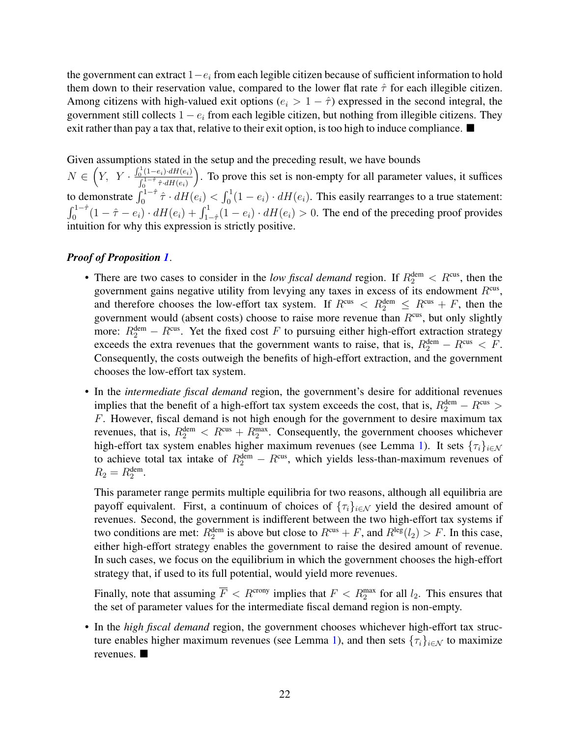the government can extract  $1-e_i$  from each legible citizen because of sufficient information to hold them down to their reservation value, compared to the lower flat rate  $\hat{\tau}$  for each illegible citizen. Among citizens with high-valued exit options ( $e_i > 1 - \hat{\tau}$ ) expressed in the second integral, the government still collects  $1 - e_i$  from each legible citizen, but nothing from illegible citizens. They exit rather than pay a tax that, relative to their exit option, is too high to induce compliance.  $\blacksquare$ 

Given assumptions stated in the setup and the preceding result, we have bounds

 $N \in \left(Y, Y \cdot \frac{\int_0^1 (1-e_i) \cdot dH(e_i)}{\int_0^1 - \hat{\tau} \cdot \hat{\tau} \cdot dH(\tau)}\right)$  $\int_0^{1-\hat{\tau}} \hat{\tau} \cdot dH(e_i)$  . To prove this set is non-empty for all parameter values, it suffices to demonstrate  $\int_0^{1-\hat{\tau}} \hat{\tau} \cdot dH(e_i) < \int_0^1 (1-e_i) \cdot dH(e_i)$ . This easily rearranges to a true statement:  $\int_0^{1-\hat{\tau}} (1-\hat{\tau}-e_i) \cdot dH(e_i) + \int_{1-\hat{\tau}}^1 (1-e_i) \cdot dH(e_i) > 0$ . The end of the preceding proof provides intuition for why this expression is strictly positive.

#### *Proof of Proposition [1](#page-27-0)*.

- There are two cases to consider in the *low fiscal demand* region. If  $R_2^{\text{dem}} < R^{\text{cus}}$ , then the government gains negative utility from levying any taxes in excess of its endowment  $R<sup>cus</sup>$ , and therefore chooses the low-effort tax system. If  $R_{\text{c}}^{\text{c}} < R_2^{\text{dem}} \leq R_{\text{c}}^{\text{c}} + F$ , then the government would (absent costs) choose to raise more revenue than  $R<sup>cus</sup>$ , but only slightly more:  $R_2^{\text{dem}} - R^{\text{cus}}$ . Yet the fixed cost F to pursuing either high-effort extraction strategy exceeds the extra revenues that the government wants to raise, that is,  $R_2^{\text{dem}} - R^{\text{cus}} < F$ . Consequently, the costs outweigh the benefits of high-effort extraction, and the government chooses the low-effort tax system.
- In the *intermediate fiscal demand* region, the government's desire for additional revenues implies that the benefit of a high-effort tax system exceeds the cost, that is,  $R_2^{\text{dem}} - R^{\text{cus}} >$ F. However, fiscal demand is not high enough for the government to desire maximum tax revenues, that is,  $R_2^{\text{dem}} < R^{\text{cus}} + R_2^{\text{max}}$ . Consequently, the government chooses whichever high-effort tax system enables higher maximum revenues (see Lemma [1\)](#page-26-1). It sets  $\{\tau_i\}_{i\in\mathcal{N}}$ to achieve total tax intake of  $R_2^{\text{dem}} - R^{\text{cus}},$  which yields less-than-maximum revenues of  $R_2 = R_2^{\text{dem}}$ .

This parameter range permits multiple equilibria for two reasons, although all equilibria are payoff equivalent. First, a continuum of choices of  $\{\tau_i\}_{i\in\mathcal{N}}$  yield the desired amount of revenues. Second, the government is indifferent between the two high-effort tax systems if two conditions are met:  $R_2^{\text{dem}}$  is above but close to  $R^{\text{cus}} + F$ , and  $R^{\text{leg}}(l_2) > F$ . In this case, either high-effort strategy enables the government to raise the desired amount of revenue. In such cases, we focus on the equilibrium in which the government chooses the high-effort strategy that, if used to its full potential, would yield more revenues.

Finally, note that assuming  $\overline{F} < R^{\text{crony}}$  implies that  $F < R_2^{\text{max}}$  for all  $l_2$ . This ensures that the set of parameter values for the intermediate fiscal demand region is non-empty.

• In the *high fiscal demand* region, the government chooses whichever high-effort tax struc-ture enables higher maximum revenues (see Lemma [1\)](#page-26-1), and then sets  $\{\tau_i\}_{i\in\mathcal{N}}$  to maximize revenues.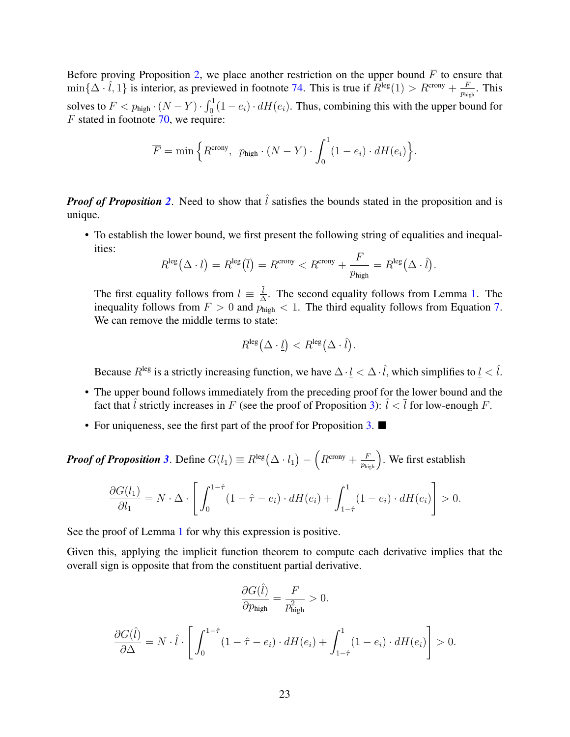Before proving Proposition [2,](#page-30-0) we place another restriction on the upper bound  $\overline{F}$  to ensure that  $\min\{\Delta \cdot \hat{l}, 1\}$  is interior, as previewed in footnote [74.](#page-30-1) This is true if  $R^{\text{leg}}(1) > R^{\text{crony}} + \frac{F}{n}$  $\frac{F}{p_{\text{high}}}$ . This solves to  $F < p_{\text{high}} \cdot (N - Y) \cdot \int_0^1 (1 - e_i) \cdot dH(e_i)$ . Thus, combining this with the upper bound for  $F$  stated in footnote [70,](#page-26-2) we require:

$$
\overline{F} = \min \Big\{ R^{\text{crony}}, \ \ p_{\text{high}} \cdot (N - Y) \cdot \int_0^1 (1 - e_i) \cdot dH(e_i) \Big\}.
$$

*Proof of Proposition [2](#page-30-0).* Need to show that  $\hat{l}$  satisfies the bounds stated in the proposition and is unique.

• To establish the lower bound, we first present the following string of equalities and inequalities:

$$
R^{\text{leg}}(\Delta \cdot \underline{l}) = R^{\text{leg}}(\overline{l}) = R^{\text{crony}} < R^{\text{crony}} + \frac{F}{p_{\text{high}}} = R^{\text{leg}}(\Delta \cdot \hat{l}).
$$

The first equality follows from  $\underline{l} \equiv \frac{l}{\Delta}$  $\frac{l}{\Delta}$ . The second equality follows from Lemma [1.](#page-26-1) The inequality follows from  $F > 0$  and  $p_{\text{high}} < 1$ . The third equality follows from Equation [7.](#page-30-2) We can remove the middle terms to state:

$$
R^{\text{leg}}(\Delta \cdot \underline{l}) < R^{\text{leg}}(\Delta \cdot \hat{l}).
$$

Because  $R^{\text{leg}}$  is a strictly increasing function, we have  $\Delta \cdot \underline{l} < \Delta \cdot \hat{l}$ , which simplifies to  $\underline{l} < \hat{l}$ .

- The upper bound follows immediately from the preceding proof for the lower bound and the fact that  $\hat{l}$  strictly increases in F (see the proof of Proposition [3\)](#page-31-0):  $\hat{l} < \overline{l}$  for low-enough F.
- For uniqueness, see the first part of the proof for Proposition [3.](#page-31-0)  $\blacksquare$

*Proof of Proposition [3](#page-31-0)*. Define  $G(l_1)\equiv R^{\deg}\big(\Delta\cdot l_1\big)-\Big(R^{\rm{crony}}+\frac{F}{p_{\rm{high}}}\Big).$  We first establish

$$
\frac{\partial G(l_1)}{\partial l_1} = N \cdot \Delta \cdot \left[ \int_0^{1-\hat{\tau}} (1-\hat{\tau}-e_i) \cdot dH(e_i) + \int_{1-\hat{\tau}}^1 (1-e_i) \cdot dH(e_i) \right] > 0.
$$

See the proof of Lemma [1](#page-26-1) for why this expression is positive.

Given this, applying the implicit function theorem to compute each derivative implies that the overall sign is opposite that from the constituent partial derivative.

$$
\frac{\partial G(\hat{l})}{\partial p_{\text{high}}} = \frac{F}{p_{\text{high}}^2} > 0.
$$

$$
\frac{\partial G(\hat{l})}{\partial \Delta} = N \cdot \hat{l} \cdot \left[ \int_0^{1-\hat{\tau}} (1-\hat{\tau}-e_i) \cdot dH(e_i) + \int_{1-\hat{\tau}}^1 (1-e_i) \cdot dH(e_i) \right] > 0.
$$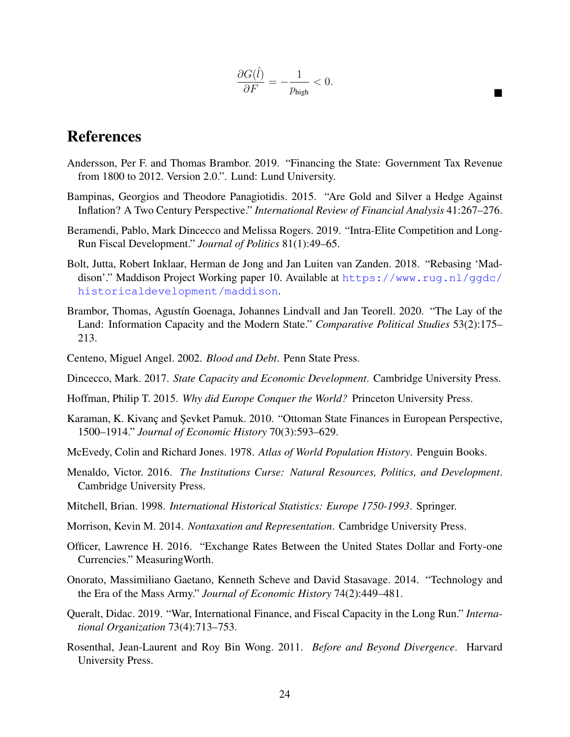$$
\frac{\partial G(\hat{l})}{\partial F} = -\frac{1}{p_{\text{high}}} < 0.
$$

 $\blacksquare$ 

## References

- Andersson, Per F. and Thomas Brambor. 2019. "Financing the State: Government Tax Revenue from 1800 to 2012. Version 2.0.". Lund: Lund University.
- Bampinas, Georgios and Theodore Panagiotidis. 2015. "Are Gold and Silver a Hedge Against Inflation? A Two Century Perspective." *International Review of Financial Analysis* 41:267–276.
- Beramendi, Pablo, Mark Dincecco and Melissa Rogers. 2019. "Intra-Elite Competition and Long-Run Fiscal Development." *Journal of Politics* 81(1):49–65.
- Bolt, Jutta, Robert Inklaar, Herman de Jong and Jan Luiten van Zanden. 2018. "Rebasing 'Maddison'." Maddison Project Working paper 10. Available at [https://www.rug.nl/ggdc/](https://www.rug.nl/ggdc/historicaldevelopment/maddison) [historicaldevelopment/maddison](https://www.rug.nl/ggdc/historicaldevelopment/maddison).
- Brambor, Thomas, Agustín Goenaga, Johannes Lindvall and Jan Teorell. 2020. "The Lay of the Land: Information Capacity and the Modern State." *Comparative Political Studies* 53(2):175– 213.
- Centeno, Miguel Angel. 2002. *Blood and Debt*. Penn State Press.
- Dincecco, Mark. 2017. *State Capacity and Economic Development*. Cambridge University Press.
- Hoffman, Philip T. 2015. *Why did Europe Conquer the World?* Princeton University Press.
- Karaman, K. Kivanç and Şevket Pamuk. 2010. "Ottoman State Finances in European Perspective, 1500–1914." *Journal of Economic History* 70(3):593–629.
- McEvedy, Colin and Richard Jones. 1978. *Atlas of World Population History*. Penguin Books.
- Menaldo, Victor. 2016. *The Institutions Curse: Natural Resources, Politics, and Development*. Cambridge University Press.
- Mitchell, Brian. 1998. *International Historical Statistics: Europe 1750-1993*. Springer.
- Morrison, Kevin M. 2014. *Nontaxation and Representation*. Cambridge University Press.
- Officer, Lawrence H. 2016. "Exchange Rates Between the United States Dollar and Forty-one Currencies." MeasuringWorth.
- Onorato, Massimiliano Gaetano, Kenneth Scheve and David Stasavage. 2014. "Technology and the Era of the Mass Army." *Journal of Economic History* 74(2):449–481.
- Queralt, Didac. 2019. "War, International Finance, and Fiscal Capacity in the Long Run." *International Organization* 73(4):713–753.
- Rosenthal, Jean-Laurent and Roy Bin Wong. 2011. *Before and Beyond Divergence*. Harvard University Press.